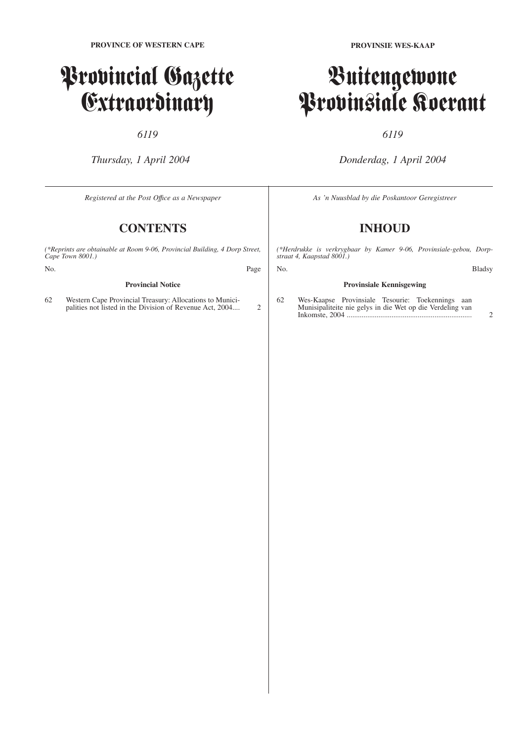# Provincial Gazette Extraordinary

### *6119*

*Thursday, 1 April 2004*

*Registered at the Post Offıce as a Newspaper*

# **CONTENTS**

*(\*Reprints are obtainable at Room 9-06, Provincial Building, 4 Dorp Street, Cape Town 8001.)*

#### **Provincial Notice**

62 Western Cape Provincial Treasury: Allocations to Municipalities not listed in the Division of Revenue Act, 2004.... 2

# Buitengewone Provinsiale Koerant

## *6119*

*Donderdag, 1 April 2004*

*As 'n Nuusblad by die Poskantoor Geregistreer*

# **INHOUD**

*(\*Herdrukke is verkrygbaar by Kamer 9-06, Provinsiale-gebou, Dorpstraat 4, Kaapstad 8001.)*

No. Bladsy

### **Provinsiale Kennisgewing** 62 Wes-Kaapse Provinsiale Tesourie: Toekennings aan Munisipaliteite nie gelys in die Wet op die Verdeling van

Inkomste, 2004 ................................................................... 2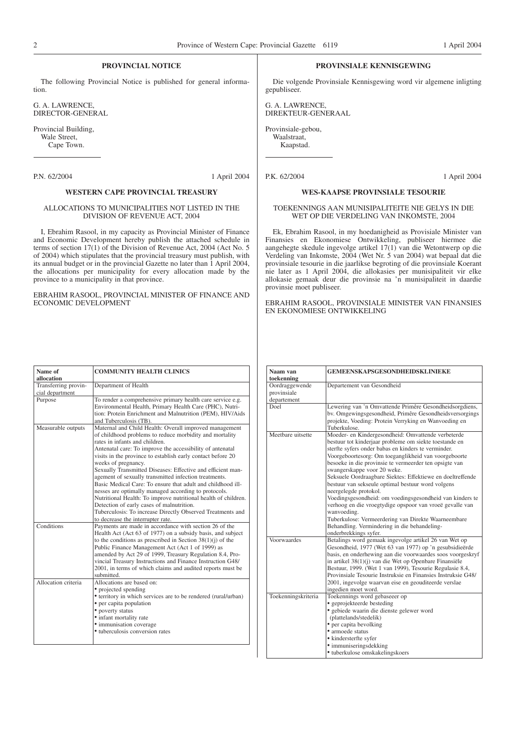#### **PROVINCIAL NOTICE**

The following Provincial Notice is published for general information.

G. A. LAWRENCE, DIRECTOR-GENERAL

Provincial Building, Wale Street, Cape Town.

#### **WESTERN CAPE PROVINCIAL TREASURY**

#### ALLOCATIONS TO MUNICIPALITIES NOT LISTED IN THE DIVISION OF REVENUE ACT, 2004

I, Ebrahim Rasool, in my capacity as Provincial Minister of Finance and Economic Development hereby publish the attached schedule in terms of section 17(1) of the Division of Revenue Act, 2004 (Act No. 5 of 2004) which stipulates that the provincial treasury must publish, with its annual budget or in the provincial Gazette no later than 1 April 2004, the allocations per municipality for every allocation made by the province to a municipality in that province.

EBRAHIM RASOOL, PROVINCIAL MINISTER OF FINANCE AND ECONOMIC DEVELOPMENT

#### **PROVINSIALE KENNISGEWING**

Die volgende Provinsiale Kennisgewing word vir algemene inligting gepubliseer.

G. A. LAWRENCE, DIREKTEUR-GENERAAL

Provinsiale-gebou, Waalstraat, Kaapstad.

P.K. 62/2004 1 April 2004

#### **WES-KAAPSE PROVINSIALE TESOURIE**

#### TOEKENNINGS AAN MUNISIPALITEITE NIE GELYS IN DIE WET OP DIE VERDELING VAN INKOMSTE, 2004

Ek, Ebrahim Rasool, in my hoedanigheid as Provisiale Minister van Finansies en Ekonomiese Ontwikkeling, publiseer hiermee die aangehegte skedule ingevolge artikel 17(1) van die Wetontwerp op die Verdeling van Inkomste, 2004 (Wet Nr. 5 van 2004) wat bepaal dat die provinsiale tesourie in die jaarlikse begroting of die provinsiale Koerant nie later as 1 April 2004, die allokasies per munisipaliteit vir elke allokasie gemaak deur die provinsie na 'n munisipaliteit in daardie provinsie moet publiseer.

EBRAHIM RASOOL, PROVINSIALE MINISTER VAN FINANSIES EN EKONOMIESE ONTWIKKELING

| Name of              | <b>COMMUNITY HEALTH CLINICS</b>                                                                                                                                                                                                                                                                                                                                                                                                                                                                                                                                                                                                                                                                                                                                         |
|----------------------|-------------------------------------------------------------------------------------------------------------------------------------------------------------------------------------------------------------------------------------------------------------------------------------------------------------------------------------------------------------------------------------------------------------------------------------------------------------------------------------------------------------------------------------------------------------------------------------------------------------------------------------------------------------------------------------------------------------------------------------------------------------------------|
| allocation           |                                                                                                                                                                                                                                                                                                                                                                                                                                                                                                                                                                                                                                                                                                                                                                         |
| Transferring provin- | Department of Health                                                                                                                                                                                                                                                                                                                                                                                                                                                                                                                                                                                                                                                                                                                                                    |
| cial department      |                                                                                                                                                                                                                                                                                                                                                                                                                                                                                                                                                                                                                                                                                                                                                                         |
| Purpose              | To render a comprehensive primary health care service e.g.<br>Environmental Health, Primary Health Care (PHC), Nutri-<br>tion: Protein Enrichment and Malnutrition (PEM), HIV/Aids<br>and Tuberculosis (TB).                                                                                                                                                                                                                                                                                                                                                                                                                                                                                                                                                            |
| Measurable outputs   | Maternal and Child Health: Overall improved management<br>of childhood problems to reduce morbidity and mortality<br>rates in infants and children.<br>Antenatal care: To improve the accessibility of antenatal<br>visits in the province to establish early contact before 20<br>weeks of pregnancy.<br>Sexually Transmitted Diseases: Effective and efficient man-<br>agement of sexually transmitted infection treatments.<br>Basic Medical Care: To ensure that adult and childhood ill-<br>nesses are optimally managed according to protocols.<br>Nutritional Health: To improve nutritional health of children.<br>Detection of early cases of malnutrition.<br>Tuberculosis: To increase Directly Observed Treatments and<br>to decrease the interrupter rate. |
| Conditions           | Payments are made in accordance with section 26 of the<br>Health Act (Act 63 of 1977) on a subsidy basis, and subject<br>to the conditions as prescribed in Section $38(1)(i)$ of the<br>Public Finance Management Act (Act 1 of 1999) as<br>amended by Act 29 of 1999, Treasury Regulation 8.4, Pro-<br>vincial Treasury Instructions and Finance Instruction G48/<br>2001, in terms of which claims and audited reports must be<br>submitted.                                                                                                                                                                                                                                                                                                                         |
| Allocation criteria  | Allocations are based on:<br>• projected spending<br>• territory in which services are to be rendered (rural/urban)<br>• per capita population<br>• poverty status<br>• infant mortality rate<br>• immunisation coverage<br>• tuberculosis conversion rates                                                                                                                                                                                                                                                                                                                                                                                                                                                                                                             |

| Naam van<br>toekenning                       | <b>GEMEENSKAPSGESONDHEIDSKLINIEKE</b>                                                                                                                                                                                                                                                                                                                                                                                                                                                                                                                                                                                                                                                                          |
|----------------------------------------------|----------------------------------------------------------------------------------------------------------------------------------------------------------------------------------------------------------------------------------------------------------------------------------------------------------------------------------------------------------------------------------------------------------------------------------------------------------------------------------------------------------------------------------------------------------------------------------------------------------------------------------------------------------------------------------------------------------------|
| Oordraggewende<br>provinsiale<br>departement | Departement van Gesondheid                                                                                                                                                                                                                                                                                                                                                                                                                                                                                                                                                                                                                                                                                     |
| Doel                                         | Lewering van 'n Omvattende Primêre Gesondheidsorgdiens,<br>by. Omgewingsgesondheid, Primêre Gesondheidsversorgings<br>projekte, Voeding: Protein Verryking en Wanvoeding en<br>Tuberkulose.                                                                                                                                                                                                                                                                                                                                                                                                                                                                                                                    |
| Meetbare uitsette                            | Moeder- en Kindergesondheid: Omvattende verbeterde<br>bestuur tot kinderjaar probleme om siekte toestande en<br>sterfte syfers onder babas en kinders te verminder.<br>Voorgeboortesorg: Om toeganglikheid van voorgeboorte<br>besoeke in die provinsie te vermeerder ten opsigte van<br>swangerskappe voor 20 weke.<br>Seksuele Oordraagbare Siektes: Effektiewe en doeltreffende<br>bestuur van sekseule optimal bestuur word volgens<br>neergelegde protokol.<br>Voedingsgesondheid: om voedingsgesondheid van kinders te<br>verhoog en die vroegtydige opspoor van vroeë gevalle van<br>wanvoeding.<br>Tuberkulose: Vermeerdering van Direkte Waarneembare<br>Behandling. Vermindering in die behandeling- |
| Voorwaardes                                  | onderbrekkings syfer.<br>Betalings word gemaak ingevolge artikel 26 van Wet op<br>Gesondheid, 1977 (Wet 63 van 1977) op 'n gesubsidieërde<br>basis, en onderhewing aan die voorwaardes soos voorgeskryf<br>in artikel 38(1)(j) van die Wet op Openbare Finansiële<br>Bestuur, 1999. (Wet 1 van 1999), Tesourie Regulasie 8.4,<br>Provinsiale Tesourie Instruksie en Finansies Instruksie G48/<br>2001, ingevolge waarvan eise en geouditeerde verslae<br>ingedien moet word.                                                                                                                                                                                                                                   |
| Toekenningskriteria                          | Toekennings word gebaseeer op<br>• geprojekteerde besteding<br>· gebiede waarin die dienste gelewer word<br>(plattelands/stedelik)<br>• per capita bevolking<br>• armoede status<br>• kindersterfte syfer<br>• immuniseringsdekking<br>• tuberkulose omskakelingskoers                                                                                                                                                                                                                                                                                                                                                                                                                                         |

## P.N. 62/2004 1 April 2004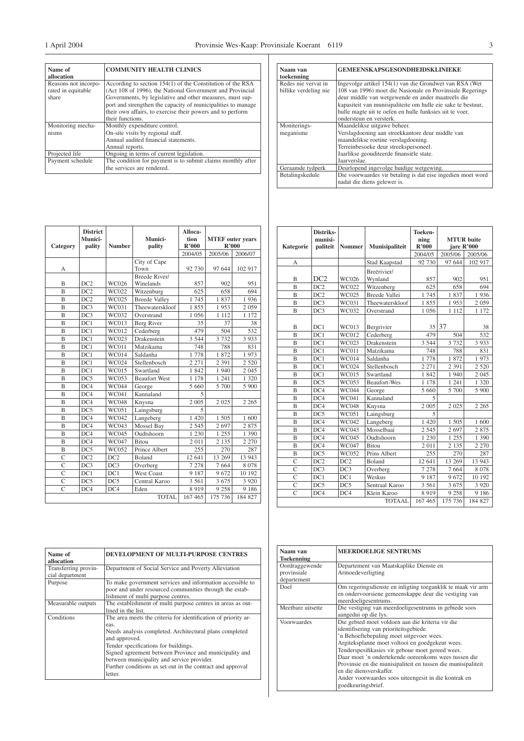$\exists$ 

| Name of<br>allocation | <b>COMMUNITY HEALTH CLINICS</b>                              |
|-----------------------|--------------------------------------------------------------|
| Reasons not incorpo-  | According to section 154(1) of the Constitution of the RSA   |
| rated in equitable    | (Act 108 of 1996), the National Government and Provincial    |
| share                 | Governments, by legislative and other measures, must sup-    |
|                       | port and strengthen the capacity of municipalities to manage |
|                       | their own affairs, to exercise their powers and to perform   |
|                       | their functions.                                             |
| Monitoring mecha-     | Monthly expenditure control.                                 |
| nisms                 | On-site visits by regional staff.                            |
|                       | Annual audited financial statements.                         |
|                       | Annual reports.                                              |
| Projected life        | Ongoing in terms of current legislation.                     |
| Payment schedule      | The condition for payment is to submit claims monthly after  |
|                       | the services are rendered.                                   |

| Category       | <b>District</b><br>Munici-<br>pality | <b>Number</b> | Munici-<br>pality          | Alloca-<br>tion<br>R'000 | <b>MTEF</b> outer vears<br>R'000 |         |
|----------------|--------------------------------------|---------------|----------------------------|--------------------------|----------------------------------|---------|
|                |                                      |               |                            | 2004/05                  | 2005/06                          | 2006/07 |
| А              |                                      |               | City of Cape<br>Town       | 92 730                   | 97 644                           | 102 917 |
| B              | DC2                                  | WC026         | Breede River/<br>Winelands | 857                      | 902                              | 951     |
| $\overline{B}$ | DC2                                  | WC022         | Witzenburg                 | 625                      | 658                              | 694     |
| $\overline{B}$ | DC2                                  | WC025         | <b>Breede Valley</b>       | 1745                     | 1837                             | 1936    |
| B              | DC3                                  | WC031         | Theewaterskloof            | 1855                     | 1953                             | 2 0 5 9 |
| B              | DC3                                  | WC032         | Overstrand                 | 1 0 5 6                  | 1 1 1 2                          | 1 172   |
| $\overline{B}$ | DC1                                  | WC013         | Berg River                 | 35                       | 37                               | 38      |
| $\overline{B}$ | DC1                                  | WC012         | Cederberg                  | 479                      | 504                              | 532     |
| B              | DC1                                  | WC023         | Drakenstein                | 3 5 4 4                  | 3 7 3 2                          | 3 9 3 3 |
| $\overline{B}$ | DC1                                  | <b>WC011</b>  | Matzikama                  | 748                      | 788                              | 831     |
| $\overline{B}$ | DC1                                  | <b>WC014</b>  | Saldanha                   | 1778                     | 1872                             | 1973    |
| B              | DC1                                  | WC024         | Stellenbosch               | 2 2 7 1                  | 2 3 9 1                          | 2 5 2 0 |
| B              | DC1                                  | WC015         | Swartland                  | 1842                     | 1940                             | 2 0 4 5 |
| B              | DC5                                  | WC053         | <b>Beaufort West</b>       | 1 1 7 8                  | 1 241                            | 1 3 2 0 |
| B              | DC4                                  | <b>WC044</b>  | George                     | 5 6 6 0                  | 5 700                            | 5 900   |
| B              | DC4                                  | WC041         | Kannaland                  | 5                        |                                  |         |
| B              | DC4                                  | <b>WC048</b>  | Knysna                     | 2 0 0 5                  | 2 0 2 5                          | 2 2 6 5 |
| B              | DC5                                  | WC051         | Laingsburg                 | 5                        |                                  |         |
| $\overline{B}$ | DC4                                  | WC042         | Langeberg                  | 1 4 2 0                  | 1 505                            | 1 600   |
| $\overline{B}$ | DC4                                  | WC043         | Mossel Bay                 | 2 5 4 5                  | 2 6 9 7                          | 2875    |
| B              | DC4                                  | <b>WC045</b>  | Oudtshoorn                 | 1 2 3 0                  | 1 2 5 5                          | 1 3 9 0 |
| B              | DC4                                  | WC047         | <b>Bitou</b>               | 2 0 1 1                  | 2 1 3 5                          | 2 2 7 0 |
| B              | DC5                                  | WC052         | Prince Albert              | 255                      | 270                              | 287     |
| $\overline{C}$ | DC2                                  | DC2           | Boland                     | 12 641                   | 13 269                           | 13 943  |
| $\overline{C}$ | DC3                                  | DC3           | Overberg                   | 7 2 7 8                  | 7 6 6 4                          | 8 0 7 8 |
| $\overline{C}$ | DC1                                  | DC1           | <b>West Coast</b>          | 9 1 8 7                  | 9672                             | 10 192  |
| $\overline{C}$ | DC5                                  | DC5           | Central Karoo              | 3 5 6 1                  | 3 6 7 5                          | 3 9 2 0 |
| $\overline{C}$ | DC4                                  | DC4           | Eden                       | 8 9 1 9                  | 9 2 5 8                          | 9 1 8 6 |
|                |                                      |               | <b>TOTAL</b>               | 167 465                  | 175 736                          | 184 827 |

| Naam van<br>toekenning | <b>GEMEENSKAPSGESONDHEIDSKLINIEKE</b>                                                                          |
|------------------------|----------------------------------------------------------------------------------------------------------------|
| Redes nie vervat in    | Ingevolge artikel 154(1) van die Grondwet van RSA (Wet                                                         |
| billike verdeling nie  | 108 van 1996) moet die Nasionale en Provinsiale Regerings<br>deur middle van wetgewende en ander maatreëls die |
|                        | kapasiteit van munisipaliteite om hulle eie sake te bestuur,                                                   |
|                        | hulle magte uit te oefen en hulle funksies uit te voer,                                                        |
|                        | ondersteun en versterk.                                                                                        |
| Moniterings-           | Maandelikse uitgawe beheer.                                                                                    |
| meganisme              | Verslagdoening aan streekkantore deur middle van                                                               |
|                        | maandelikse roetine verslagdoening.                                                                            |
|                        | Terreinbesoeke deur streekspersoneel.                                                                          |
|                        | Jaarlikse geouditeerde finansiële state.                                                                       |
|                        | Jaarverslae.                                                                                                   |
| Geraamde tydperk       | Deurlopend ingevolge huidige wetgewing.                                                                        |
| Betalingskedule        | Die voorwaardes vir betaling is dat eise ingedien moet word<br>nadat die diens gelewer is.                     |

|                | Distriks- |                 |                      | Toeken- |            |                   |
|----------------|-----------|-----------------|----------------------|---------|------------|-------------------|
|                | munisi-   |                 |                      | ning    |            | <b>MTUR</b> buite |
| Kategorie      | paliteit  | <b>Nommer</b>   | Munisipaliteit       | R'000   | jare R'000 |                   |
|                |           |                 |                      | 2004/05 | 2005/06    | 2005/06           |
| A              |           |                 | <b>Stad Kaapstad</b> | 92 730  | 97 644     | 102 917           |
|                |           |                 | Breërivier/          |         |            |                   |
| B              | DC2       | WC026           | Wynland              | 857     | 902        | 951               |
| $\overline{B}$ | DC2       | WC022           | Witzenberg           | 625     | 658        | 694               |
| $\overline{B}$ | DC2       | WC025           | <b>Breede Vallei</b> | 1745    | 1837       | 1936              |
| B              | DC3       | WC031           | Theewaterskloof      | 1855    | 1953       | 2 0 5 9           |
| B              | DC3       | WC032           | Overstrand           | 1 0 5 6 | 1 1 1 2    | 1 172             |
|                |           |                 |                      |         |            |                   |
| В              | DC1       | WC013           | Bergrivier           |         | 35 37      | 38                |
| B              | DC1       | WC012           | Cederberg            | 479     | 504        | 532               |
| B              | DC1       | WC023           | Drakenstein          | 3 5 4 4 | 3 7 3 2    | 3 9 3 3           |
| B              | DC1       | <b>WC011</b>    | Matzikama            | 748     | 788        | 831               |
| B              | DC1       | <b>WC014</b>    | Saldanha             | 1778    | 1872       | 1973              |
| B              | DC1       | WC024           | Stellenbosch         | 2 2 7 1 | 2 3 9 1    | 2 5 2 0           |
| B              | DC1       | <b>WC015</b>    | Swartland            | 1842    | 1940       | 2 0 4 5           |
| B              | DC5       | WC053           | <b>Beaufort-Wes</b>  | 1 1 7 8 | 1 241      | 1 3 2 0           |
| B              | DC4       | <b>WC044</b>    | George               | 5 6 6 0 | 5 700      | 5 9 0 0           |
| B              | DC4       | <b>WC041</b>    | Kannaland            | 5       |            |                   |
| B              | DC4       | <b>WC048</b>    | Knysna               | 2 0 0 5 | 2 0 2 5    | 2 2 6 5           |
| B              | DC5       | WC051           | Laingsburg           | 5       |            |                   |
| B              | DC4       | WC042           | Langeberg            | 1 4 2 0 | 1 505      | 1 600             |
| B              | DC4       | WC043           | Mosselbaai           | 2 5 4 5 | 2 6 9 7    | 2875              |
| B              | DC4       | <b>WC045</b>    | Oudtshoorn           | 1 2 3 0 | 1 255      | 1 3 9 0           |
| B              | DC4       | WC047           | <b>Bitou</b>         | 2011    | 2 1 3 5    | 2 2 7 0           |
| B              | DC5       | WC052           | Prins Albert         | 255     | 270        | 287               |
| $\overline{C}$ | DC2       | DC <sub>2</sub> | <b>Boland</b>        | 12 641  | 13 269     | 13 943            |
| $\overline{C}$ | DC3       | DC3             | Overberg             | 7 278   | 7 6 6 4    | 8 0 7 8           |
| $\overline{C}$ | DC1       | DC1             | Weskus               | 9 1 8 7 | 9672       | 10 192            |
| $\overline{C}$ | DC5       | DC5             | Sentraal Karoo       | 3 5 6 1 | 3 6 7 5    | 3 9 2 0           |
| $\overline{C}$ | DC4       | DC4             | Klein Karoo          | 8919    | 9 2 5 8    | 9 1 8 6           |
|                |           |                 | <b>TOTAAL</b>        | 167 465 | 175 736    | 184 827           |

| Name of<br>allocation                   | DEVELOPMENT OF MULTI-PURPOSE CENTRES                                                                                                                                                                                                                                                                                                                                        |
|-----------------------------------------|-----------------------------------------------------------------------------------------------------------------------------------------------------------------------------------------------------------------------------------------------------------------------------------------------------------------------------------------------------------------------------|
| Transferring provin-<br>cial department | Department of Social Service and Poverty Alleviation                                                                                                                                                                                                                                                                                                                        |
| Purpose                                 | To make government services and information accessible to<br>poor and under resourced communities through the estab-<br>lishment of multi purpose centres.                                                                                                                                                                                                                  |
| Measurable outputs                      | The establishment of multi purpose centres in areas as out-<br>lined in the list.                                                                                                                                                                                                                                                                                           |
| Conditions                              | The area meets the criteria for identification of priority ar-<br>eas.<br>Needs analysis completed. Architectural plans completed<br>and approved.<br>Tender specifications for buildings.<br>Signed agreement between Province and municipality and<br>between municipality and service provider.<br>Further conditions as set out in the contract and approval<br>letter. |

| Naam van<br><b>Toekenning</b> | <b>MEERDOELIGE SENTRUMS</b>                                                                                                                                                                                                                                                                                                                                                                                                                                                    |
|-------------------------------|--------------------------------------------------------------------------------------------------------------------------------------------------------------------------------------------------------------------------------------------------------------------------------------------------------------------------------------------------------------------------------------------------------------------------------------------------------------------------------|
| Oordraggewende                | Departement van Maatskaplike Dienste en                                                                                                                                                                                                                                                                                                                                                                                                                                        |
| provinsiale                   | Armoedeverligting                                                                                                                                                                                                                                                                                                                                                                                                                                                              |
| departement                   |                                                                                                                                                                                                                                                                                                                                                                                                                                                                                |
| Doel                          | Om regeringsdienste en inligting toeganklik te maak vir arm<br>en ondervoorsiene gemeenskappe deur die vestiging van<br>meerdoeligesentrums.                                                                                                                                                                                                                                                                                                                                   |
| Meethare uitsette             | Die vestiging van meerdoeligesentrums in gebiede soos<br>aangedui op die lys.                                                                                                                                                                                                                                                                                                                                                                                                  |
| Voorwaardes                   | Die gebied moet voldoen aan die kriteria vir die<br>identifisering van prioriteitsgebiede.<br>'n Behoeftebepaling moet uitgevoer wees.<br>Argiteksplanne moet voltooi en goedgekeur wees.<br>Tenderspesifikasies vir geboue moet gereed wees.<br>Daar moet 'n ondertekende ooreenkoms wees tussen die<br>Provinsie en die munisipaliteit en tussen die munisipaliteit<br>en die diensverskaffer.<br>Ander voorwaardes soos uiteengesit in die kontrak en<br>goedkeuringsbrief. |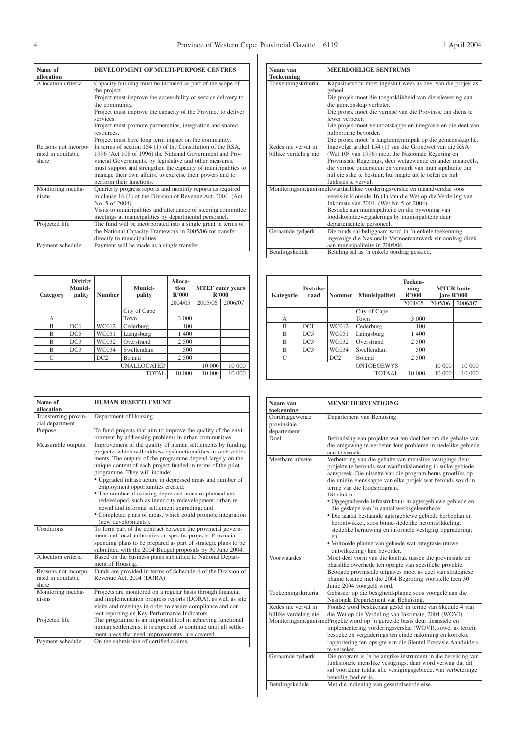| Name of<br>allocation | DEVELOPMENT OF MULTI-PURPOSE CENTRES                          |
|-----------------------|---------------------------------------------------------------|
| Allocation criteria   | Capacity building must be included as part of the scope of    |
|                       | the project.                                                  |
|                       |                                                               |
|                       | Project must improve the accessibility of service delivery to |
|                       | the community.                                                |
|                       | Project must improve the capacity of the Province to deliver  |
|                       | services.                                                     |
|                       | Project must promote partnerships, integration and shared     |
|                       | resources.                                                    |
|                       | Project must have long term impact on the community.          |
| Reasons not incorpo-  | In terms of section 154 (1) of the Constitution of the RSA,   |
| rated in equitable    | 1996 (Act 108 of 1996) the National Government and Pro-       |
| share                 | vincial Governments, by legislative and other measures,       |
|                       | must support and strengthen the capacity of municipalities to |
|                       | manage their own affairs, to exercise their powers and to     |
|                       | perform their functions.                                      |
| Monitoring mecha-     | Quarterly progress reports and monthly reports as required    |
| nisms                 | in clause 16 (1) of the Division of Revenue Act, 2004, (Act   |
|                       | No. 5 of 2004).                                               |
|                       | Visits to municipalities and attendance of steering committee |
|                       | meetings at municipalities by departmental personnel.         |
| Projected life        | The fund will be incorporated into a single grant in terms of |
|                       | the National Capacity Framework in 2005/06 for transfer       |
|                       | directly to municipalities.                                   |
| Payment schedule      | Payment will be made as a single transfer.                    |

| Category | <b>District</b><br>Munici-<br>pality | <b>Number</b> | Munici-<br>pality  | Alloca-<br>tion<br>R'000 | R'000   | <b>MTEF</b> outer years |
|----------|--------------------------------------|---------------|--------------------|--------------------------|---------|-------------------------|
|          |                                      |               |                    | 2004/05                  | 2005/06 | 2006/07                 |
|          |                                      |               | City of Cape       |                          |         |                         |
| А        |                                      |               | Town               | 3 0 0 0                  |         |                         |
| B        | DC1                                  | WC012         | Cederburg          | 100                      |         |                         |
| B        | DC5                                  | WC051         | Laingsburg         | 1 400                    |         |                         |
| B        | DC3                                  | WC032         | Overstrand         | 2 500                    |         |                         |
| B        | DC3                                  | WC034         | Swellendam         | 500                      |         |                         |
| C        |                                      | DC2           | Boland             | 2 500                    |         |                         |
|          |                                      |               | <b>UNALLOCATED</b> |                          | 10 000  | 10 000                  |
|          |                                      |               | <b>TOTAL</b>       | 10 000                   | 10 000  | 10 000                  |

| Name of<br>allocation                               | <b>HUMAN RESETTLEMENT</b>                                                                                                                                                                                                                                                                                                                                                                                                                                                                                                                                                                                                                                  |
|-----------------------------------------------------|------------------------------------------------------------------------------------------------------------------------------------------------------------------------------------------------------------------------------------------------------------------------------------------------------------------------------------------------------------------------------------------------------------------------------------------------------------------------------------------------------------------------------------------------------------------------------------------------------------------------------------------------------------|
| Transferring provin-<br>cial department             | Department of Housing                                                                                                                                                                                                                                                                                                                                                                                                                                                                                                                                                                                                                                      |
| Purpose                                             | To fund projects that aim to improve the quality of the envi-<br>ronment by addressing problems in urban communities.                                                                                                                                                                                                                                                                                                                                                                                                                                                                                                                                      |
| Measurable outputs                                  | Improvement of the quality of human settlements by funding<br>projects, which will address dysfunctionalities in such settle-<br>ments. The outputs of the programme depend largely on the<br>unique content of each project funded in terms of the pilot<br>programme. They will include:<br>• Upgraded infrastructure in depressed areas and number of<br>employment opportunities created;<br>• The number of existing depressed areas re-planned and<br>redeveloped, such as inner city redevelopment, urban re-<br>newal and informal settlement upgrading; and<br>• Completed plans of areas, which could promote integration<br>(new developments). |
| Conditions                                          | To form part of the contract between the provincial govern-<br>ment and local authorities on specific projects. Provincial<br>spending plans to be prepared as part of strategic plans to be<br>submitted with the 2004 Budget proposals by 30 June 2004.                                                                                                                                                                                                                                                                                                                                                                                                  |
| Allocation criteria                                 | Based on the business plans submitted to National Depart-<br>ment of Housing.                                                                                                                                                                                                                                                                                                                                                                                                                                                                                                                                                                              |
| Reasons not incorpo-<br>rated in equitable<br>share | Funds are provided in terms of Schedule 4 of the Division of<br>Revenue Act, 2004 (DORA).                                                                                                                                                                                                                                                                                                                                                                                                                                                                                                                                                                  |
| Monitoring mecha-<br>nisms                          | Projects are monitored on a regular basis through financial<br>and implementation progress reports (DORA), as well as site<br>visits and meetings in order to ensure compliance and cor-<br>rect reporting on Key Performance Indicators.                                                                                                                                                                                                                                                                                                                                                                                                                  |
| Projected life                                      | The programme is an important tool in achieving functional<br>human settlements, it is expected to continue until all settle-<br>ment areas that need improvements, are covered.                                                                                                                                                                                                                                                                                                                                                                                                                                                                           |
| Payment schedule                                    | On the submission of certified claims.                                                                                                                                                                                                                                                                                                                                                                                                                                                                                                                                                                                                                     |

| Naam van<br><b>Toekenning</b> | <b>MEERDOELIGE SENTRUMS</b>                                                 |
|-------------------------------|-----------------------------------------------------------------------------|
| Toekenningskriteria           | Kapasitietsbou moet ingesluit wees as deel van die projek as<br>geheel.     |
|                               | Die projek moet die toeganklikheid van dienslewering aan                    |
|                               | die gemeenskap verbeter.                                                    |
|                               | Die projek moet die vermoë van die Provinsie om diens te<br>lewer verbeter. |
|                               | Die projek moet vennootskappe en integrasie en die deel van                 |
|                               | hulpbronne bevorder.                                                        |
|                               | Die projek moet 'n langtermynimpak op die gemeenskap hê.                    |
| Redes nie vervat in           | Ingevolge artikel 154 (1) van die Grondwet van die RSA                      |
| billike verdeling nie         | (Wet 108 van 1996) moet die Nasionale Regering en                           |
|                               | Provinsiale Regerings, deur wetgewende en ander maatreëls,                  |
|                               | die vermoë ondersteun en versterk van munisipaliteite om                    |
|                               | hul eie sake te bestuur, hul magte uit te oefen en hul                      |
|                               | funksies te vervul.                                                         |
|                               | MoniteringsmeganismeKwarttaallikse vorderingsverslae en maandverslae soos   |
|                               | vereis in klousule 16 (1) van die Wet op die Verdeling van                  |
|                               | Inkomste van 2004, (Wet Nr. 5 of 2004).                                     |
|                               | Besoeke aan munisipaliteite en die bywoning van                             |
|                               | loodskomiteevergaderings by munisipaliteite deur                            |
|                               | departementele personeel.                                                   |
| Geraamde tydperk              | Die fonds sal beliggaam word in 'n enkele toekenning                        |
|                               | ingevolge die Nasionale Vermoëraamwerk vir oordrag direk                    |
|                               | aan munisipaliteite in 2005/06.                                             |
| Betalingskedule               | Betaling sal as 'n enkele oordrag geskied.                                  |

| <b>Kategorie</b> | Distriks-<br>raad | <b>Nommer</b> | Munisipaliteit    | Toeken-<br>ning<br>R'000 |         | <b>MTUR</b> buite<br>jare R'000 |
|------------------|-------------------|---------------|-------------------|--------------------------|---------|---------------------------------|
|                  |                   |               |                   | 2004/05                  | 2005/06 | 2006/07                         |
|                  |                   |               | City of Cape      |                          |         |                                 |
| А                |                   |               | Town              | 3 000                    |         |                                 |
| B                | DC1               | WC012         | Cederburg         | 100                      |         |                                 |
| B                | DC5               | WC051         | Laingsburg        | 1 400                    |         |                                 |
| B                | DC3               | WC032         | Overstrand        | 2 500                    |         |                                 |
| B                | DC3               | WC034         | Swellendam        | 500                      |         |                                 |
| C                |                   | DC2           | Boland            | 2 500                    |         |                                 |
|                  |                   |               | <b>ONTOEGEWYS</b> |                          | 10 000  | 10 000                          |
|                  |                   |               | <b>TOTAAL</b>     | 10 000                   | 10 000  | 10 000                          |

| Naam van              | <b>MENSE HERVESTIGING</b>                                                 |
|-----------------------|---------------------------------------------------------------------------|
| toekenning            |                                                                           |
| Oordraggewende        | Departement van Behuising                                                 |
| provinsiale           |                                                                           |
| departement           |                                                                           |
| Doel                  | Befondsing van projekte wat ten doel het om die gehalte van               |
|                       | die omgewing te verbeter deur probleme in stedelike gebiede               |
|                       | aan te spreek.                                                            |
| Meethare uitsette     | Verbetering van die gehalte van menslike vestigings deur                  |
|                       | projekte te befonds wat wanfunksionering in sulke gebiede                 |
|                       | aanspreek. Die uitsette van die program berus grootliks op                |
|                       | die unieke eienskappe van elke projek wat befonds word in                 |
|                       | terme van die loodsprogram.                                               |
|                       | Dit sluit in:                                                             |
|                       | • Opgegradeerde infrastruktuur in agtergeblewe gebiede en                 |
|                       | die geskepe van 'n aantal werksgeleenthede;                               |
|                       | · Die aantal bestaande agtergeblewe gebiede herbeplan en                  |
|                       | herontwikkel, soos binne-stedelike herontwikkeling,                       |
|                       | stedelike hernuwing en informele vestiging opgradering;                   |
|                       | en                                                                        |
|                       | • Voltooide planne van gebiede wat integrasie (nuwe                       |
|                       | ontwikkeling) kan bevorder.                                               |
| Voorwaardes           | Moet deel vorm van die kontrak tussen die provinsiale en                  |
|                       | plaaslike owerhede ten opsigte van spesifieke projekte.                   |
|                       | Beoogde provinsiale uitgawes moet as deel van strategiese                 |
|                       | planne tesame met die 2004 Begroting voorstelle teen 30                   |
|                       | Junie 2004 voorgelê word.                                                 |
| Toekenningskriteria   | Gebaseer op die besigheidsplanne soos voorgelê aan die                    |
|                       | Nasionale Departement van Behuising.                                      |
| Redes nie vervat in   | Fondse word beskikbaar gestel in terme van Skedule 4 van                  |
| billike verdeling nie | die Wet op die Verdeling van Inkomste, 2004 (WOVI).                       |
|                       | MoniteringsmeganismeProjekte word op 'n gereelde basis deur finansiële en |
|                       | implementering vorderingsverslae (WOVI), sowel as terrein                 |
|                       | besoeke en vergaderings ten einde nakoming en korrekte                    |
|                       | rapportering ten opsigte van die Sleutel Prestasie Aanduiders             |
|                       | te verseker.                                                              |
| Geraamde tydperk      | Die program is 'n belangrike instrument in die bereiking van              |
|                       | funksionele menslike vestigings, daar word verwag dat dit                 |
|                       | sal voortduur totdat alle vestigingsgebiede, wat verbeteringe             |
|                       | benodig, bedien is.                                                       |
| Betalingskedule       | Met die indiening van gesertifiseerde eise.                               |
|                       |                                                                           |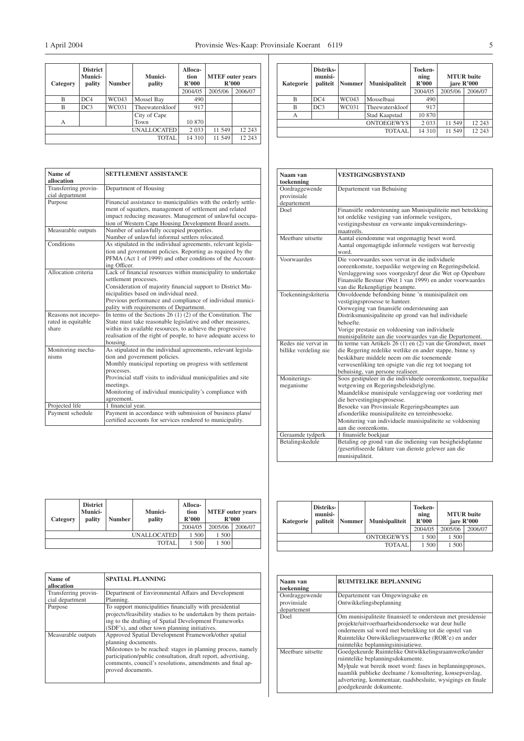| Category | <b>District</b><br><b>Munici-</b><br>pality | <b>Number</b> | Munici-<br>pality | Alloca-<br>tion<br>R'000 | <b>MTEF</b> outer years<br>R'000 |         |
|----------|---------------------------------------------|---------------|-------------------|--------------------------|----------------------------------|---------|
|          |                                             |               |                   | 2004/05                  | 2005/06                          | 2006/07 |
| B        | DC4                                         | WC043         | Mossel Bay        | 490                      |                                  |         |
| B        | DC3                                         | WC031         | Theewaterskloof   | 917                      |                                  |         |
|          |                                             |               | City of Cape      |                          |                                  |         |
| А        |                                             |               | Town              | 10 870                   |                                  |         |
|          | 2 0 3 3                                     | 11 549        | 12 243            |                          |                                  |         |
|          | 14 310                                      | 11 549        | 12 243            |                          |                                  |         |

| Name of<br>allocation                               | <b>SETTLEMENT ASSISTANCE</b>                                                                                                                                                                                                                                                                                                   |
|-----------------------------------------------------|--------------------------------------------------------------------------------------------------------------------------------------------------------------------------------------------------------------------------------------------------------------------------------------------------------------------------------|
| Transferring provin-<br>cial department             | Department of Housing                                                                                                                                                                                                                                                                                                          |
| Purpose                                             | Financial assistance to municipalities with the orderly settle-<br>ment of squatters, management of settlement and related<br>impact reducing measures. Management of unlawful occupa-<br>tion of Western Cape Housing Development Board assets.                                                                               |
| Measurable outputs                                  | Number of unlawfully occupied properties.<br>Number of unlawful informal settlers relocated.                                                                                                                                                                                                                                   |
| Conditions                                          | As stipulated in the individual agreements, relevant legisla-<br>tion and government policies. Reporting as required by the<br>PFMA (Act 1 of 1999) and other conditions of the Account-<br>ing Officer.                                                                                                                       |
| Allocation criteria                                 | Lack of financial resources within municipality to undertake<br>settlement processes.<br>Consideration of majority financial support to District Mu-<br>nicipalities based on individual need.<br>Previous performance and compliance of individual munici-<br>pality with requirements of Department.                         |
| Reasons not incorpo-<br>rated in equitable<br>share | In terms of the Sections $26(1)(2)$ of the Constitution. The<br>State must take reasonable legislative and other measures,<br>within its available resources, to achieve the progressive<br>realisation of the right of people, to have adequate access to<br>housing.                                                         |
| Monitoring mecha-<br>nisms                          | As stipulated in the individual agreements, relevant legisla-<br>tion and government policies.<br>Monthly municipal reporting on progress with settlement<br>processes.<br>Provincial staff visits to individual municipalities and site<br>meetings.<br>Monitoring of individual municipality's compliance with<br>agreement. |
| Projected life                                      | 1 financial year.                                                                                                                                                                                                                                                                                                              |
| Payment schedule                                    | Payment in accordance with submission of business plans/<br>certified accounts for services rendered to municipality.                                                                                                                                                                                                          |

| Category | <b>District</b><br><b>Munici-</b><br>pality | <b>Number</b> | <b>Munici-</b><br>pality | Alloca-<br>tion<br>R'000 | <b>MTEF</b> outer years<br>R'000 |         |
|----------|---------------------------------------------|---------------|--------------------------|--------------------------|----------------------------------|---------|
|          |                                             |               |                          | 2004/05                  | 2005/06                          | 2006/07 |
|          | 1 500                                       | 1 500         |                          |                          |                                  |         |
|          |                                             |               | 1 500                    | 1 500                    |                                  |         |

| Name of<br>allocation                   | <b>SPATIAL PLANNING</b>                                                                                                                                                                                                                                                                        |
|-----------------------------------------|------------------------------------------------------------------------------------------------------------------------------------------------------------------------------------------------------------------------------------------------------------------------------------------------|
| Transferring provin-<br>cial department | Department of Environmental Affairs and Development<br>Planning.                                                                                                                                                                                                                               |
| Purpose                                 | To support municipalities financially with presidential<br>projects/feasibility studies to be undertaken by them pertain-<br>ing to the drafting of Spatial Development Frameworks<br>(SDF's), and other town planning initiatives.                                                            |
| Measurable outputs                      | Approved Spatial Development Framework/other spatial<br>planning documents.<br>Milestones to be reached: stages in planning process, namely<br>participation/public consultation, draft report, advertising,<br>comments, council's resolutions, amendments and final ap-<br>proved documents. |

| Kategorie | Distriks-<br>munisi-<br>paliteit | <b>Nommer</b> | Munisipaliteit  | Toeken-<br>ning<br>R'000<br>2004/05 | jare R'000<br>2005/06 | <b>MTUR</b> buite<br>2006/07 |
|-----------|----------------------------------|---------------|-----------------|-------------------------------------|-----------------------|------------------------------|
| B         | DC4                              | WC043         | Mosselbaai      | 490                                 |                       |                              |
| B         | DC3                              | WC031         | Theewaterskloof | 917                                 |                       |                              |
| A         |                                  |               | Stad Kaapstad   | 10 870                              |                       |                              |
|           |                                  | 2 0 3 3       | 11 549          | 12 243                              |                       |                              |
|           |                                  |               | <b>TOTAAL</b>   | 14 3 10                             | 11 549                | 12 243                       |

| Naam van<br>toekenning                       | VESTIGINGSBYSTAND                                                                                                                                                                                                                                                                                                                                                                     |
|----------------------------------------------|---------------------------------------------------------------------------------------------------------------------------------------------------------------------------------------------------------------------------------------------------------------------------------------------------------------------------------------------------------------------------------------|
| Oordraggewende<br>provinsiale<br>departement | Departement van Behuising                                                                                                                                                                                                                                                                                                                                                             |
| Doel                                         | Finansiële ondersteuning aan Munisipaliteite met betrekking<br>tot ordelike vestiging van informele vestigers,<br>vestigingsbestuur en verwante impakverminderings-<br>maatreëls.                                                                                                                                                                                                     |
| Meethare uitsette                            | Aantal eiendomme wat ongemagtig beset word.<br>Aantal ongemagtigde informele vestigers wat hervestig<br>word.                                                                                                                                                                                                                                                                         |
| Voorwaardes                                  | Die voorwaardes soos vervat in die individuele<br>ooreenkomste, toepaslike wetgewing en Regeringsbeleid.<br>Verslaggewing soos voorgeskryf deur die Wet op Openbare<br>Finansiële Bestuur (Wet 1 van 1999) en ander voorwaardes<br>van die Rekenpligtige beampte.                                                                                                                     |
| Toekenningskriteria                          | Onvoldoende befondsing binne 'n munisipaliteit om<br>vestigingsprosesse te hanteer.<br>Oorweging van finansiële ondersteuning aan<br>Distriksmunisipaliteite op grond van hul individuele<br>behoefte.<br>Vorige prestasie en voldoening van individuele<br>munisipaliteite aan die voorwaardes van die Departement.                                                                  |
| Redes nie vervat in<br>billike verdeling nie | In terme van Artikels 26 (1) en (2) van die Grondwet, moet<br>die Regering redelike wetlike en ander stappe, binne sy<br>beskikbare middele neem om die toenemende<br>verwesenliking ten opsigte van die reg tot toegang tot<br>behuising, van persone realiseer.                                                                                                                     |
| Moniterings-<br>meganisme                    | Soos gestipuleer in die individuele ooreenkomste, toepaslike<br>wetgewing en Regeringsbeleidsriglyne.<br>Maandelikse munisipale verslaggewing oor vordering met<br>die hervestingingsprosesse.<br>Besoeke van Provinsiale Regeringsbeamptes aan<br>afsonderlike munisipaliteite en terreinbesoeke.<br>Monitering van individuele munisipaliteite se voldoening<br>aan die ooreenkoms. |
| Geraamde tydperk<br>Betalingskedule          | 1 finansiële boekjaar<br>Betaling op grond van die indiening van besigheidsplanne<br>/gesertifiseerde fakture van dienste gelewer aan die<br>munisipaliteit.                                                                                                                                                                                                                          |

| Kategorie | Distriks-<br>munisi-       | paliteit Nommer | <b>Munisipaliteit</b> | Toeken-<br>ning<br>R'000 |         | <b>MTUR</b> buite<br>jare R'000 |
|-----------|----------------------------|-----------------|-----------------------|--------------------------|---------|---------------------------------|
|           |                            |                 |                       | 2004/05                  | 2005/06 | 2006/07                         |
|           | 1 500<br><b>ONTOEGEWYS</b> | 1 500           |                       |                          |         |                                 |
|           | 1.500                      | 1 500           |                       |                          |         |                                 |

| Naam van<br>toekenning     | <b>RUIMTELIKE BEPLANNING</b>                                                                                                                                                                                                                                                                                |
|----------------------------|-------------------------------------------------------------------------------------------------------------------------------------------------------------------------------------------------------------------------------------------------------------------------------------------------------------|
| Oordraggewende             | Departement van Omgewingsake en                                                                                                                                                                                                                                                                             |
| provinsiale<br>departement | Ontwikkelingsbeplanning                                                                                                                                                                                                                                                                                     |
| Doel                       | Om munisipaliteite finansieël te ondersteun met presidensie<br>projekte/uitvoerbaarheidsondersoeke wat deur hulle<br>onderneem sal word met betrekking tot die opstel van<br>Ruimtelike Ontwikkelingsraamwerke (ROR'e) en ander<br>ruimtelike beplanningsinisiatiewe.                                       |
| Meetbare uitsette          | Goedgekeurde Ruimtelike Ontwikkelingsraamwerke/ander<br>ruimtelike beplanningsdokumente.<br>Mylpale wat bereik moet word: fases in beplanningsproses,<br>naamlik publieke deelname / konsultering, konsepverslag,<br>advertering, kommentaar, raadsbesluite, wysigings en finale<br>goedgekeurde dokumente. |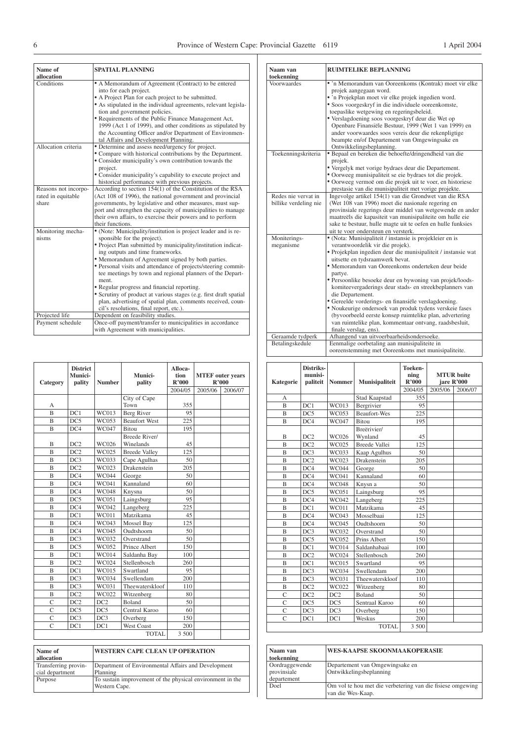| Name of              | <b>SPATIAL PLANNING</b>                                           |
|----------------------|-------------------------------------------------------------------|
| allocation           |                                                                   |
| Conditions           | • A Memorandum of Agreement (Contract) to be entered              |
|                      | into for each project.                                            |
|                      | • A Project Plan for each project to be submitted.                |
|                      | • As stipulated in the individual agreements, relevant legisla-   |
|                      | tion and government policies.                                     |
|                      | • Requirements of the Public Finance Management Act,              |
|                      | 1999 (Act 1 of 1999), and other conditions as stipulated by       |
|                      | the Accounting Officer and/or Department of Environmen-           |
|                      | tal Affairs and Development Planning.                             |
| Allocation criteria  | • Determine and assess need/urgency for project.                  |
|                      | • Compare with historical contributions by the Department.        |
|                      | • Consider municipality's own contribution towards the            |
|                      | project.                                                          |
|                      | • Consider municipality's capability to execute project and       |
|                      |                                                                   |
|                      | historical performance with previous projects.                    |
| Reasons not incorpo- | According to section 154(1) of the Constitution of the RSA        |
| rated in equitable   | (Act 108 of 1996), the national government and provincial         |
| share                | governments, by legislative and other measures, must sup-         |
|                      | port and strengthen the capacity of municipalities to manage      |
|                      | their own affairs, to exercise their powers and to perform        |
|                      | their functions.                                                  |
| Monitoring mecha-    | • (Note: Municipality/institution is project leader and is re-    |
| nisms                | sponsible for the project).                                       |
|                      | · Project Plan submitted by municipality/institution indicat-     |
|                      | ing outputs and time frameworks.                                  |
|                      | • Memorandum of Agreement signed by both parties.                 |
|                      | • Personal visits and attendance of projects/steering commit-     |
|                      | tee meetings by town and regional planners of the Depart-         |
|                      | ment.                                                             |
|                      | • Regular progress and financial reporting.                       |
|                      | • Scrutiny of product at various stages (e.g. first draft spatial |
|                      | plan, advertising of spatial plan, comments received, coun-       |
|                      | cil's resolutions, final report, etc.).                           |
| Projected life       | Dependent on feasibility studies.                                 |
| Payment schedule     | Once-off payment/transfer to municipalities in accordance         |
|                      | with Agreement with municipalities.                               |
|                      |                                                                   |

| Category       | <b>District</b><br>Munici-<br>pality | <b>Number</b> | Munici-<br>pality    | Alloca-<br>tion<br>R'000 | <b>MTEF</b> outer years<br>R'000 |         |
|----------------|--------------------------------------|---------------|----------------------|--------------------------|----------------------------------|---------|
|                |                                      |               |                      | 2004/05                  | 2005/06                          | 2006/07 |
|                |                                      |               | City of Cape         |                          |                                  |         |
| А              |                                      |               | Town                 | 355                      |                                  |         |
| $\overline{B}$ | DC1                                  | WC013         | Berg River           | 95                       |                                  |         |
| $\mathbf{B}$   | DC5                                  | <b>WC053</b>  | <b>Beaufort West</b> | 225                      |                                  |         |
| B              | DC4                                  | <b>WC047</b>  | <b>Bitou</b>         | 195                      |                                  |         |
|                |                                      |               | <b>Breede River/</b> |                          |                                  |         |
| $\overline{B}$ | DC2                                  | WC026         | Winelands            | 45                       |                                  |         |
| B              | DC2                                  | WC025         | <b>Breede Valley</b> | 125                      |                                  |         |
| R              | DC3                                  | WC033         | Cape Agulhas         | 50                       |                                  |         |
| B              | DC2                                  | WC023         | Drakenstein          | 205                      |                                  |         |
| B              | DC4                                  | <b>WC044</b>  | George               | 50                       |                                  |         |
| B              | DC4                                  | WC041         | Kannaland            | 60                       |                                  |         |
| B              | DC4                                  | <b>WC048</b>  | Knysna               | 50                       |                                  |         |
| $\overline{B}$ | DC5                                  | WC051         | Laingsburg           | 95                       |                                  |         |
| $\overline{B}$ | DC4                                  | WC042         | Langeberg            | 225                      |                                  |         |
| B              | DC1                                  | WC011         | Matzikama            | 45                       |                                  |         |
| $\overline{B}$ | DC4                                  | WC043         | Mossel Bay           | 125                      |                                  |         |
| $\overline{B}$ | DC4                                  | WC045         | Oudtshoorn           | 50                       |                                  |         |
| $\mathbf{B}$   | DC3                                  | WC032         | Overstrand           | 50                       |                                  |         |
| $\overline{B}$ | DC5                                  | WC052         | Prince Albert        | 150                      |                                  |         |
| $\overline{B}$ | DC1                                  | <b>WC014</b>  | Saldanha Bay         | 100                      |                                  |         |
| B              | DC2                                  | WC024         | Stellenbosch         | 260                      |                                  |         |
| $\overline{B}$ | DC1                                  | <b>WC015</b>  | Swartland            | 95                       |                                  |         |
| B              | DC3                                  | WC034         | Swellendam           | 200                      |                                  |         |
| $\overline{B}$ | DC3                                  | <b>WC031</b>  | Theewaterskloof      | 110                      |                                  |         |
| B              | DC2                                  | WC022         | Witzenberg           | 80                       |                                  |         |
| C              | DC2                                  | DC2           | <b>Boland</b>        | 50                       |                                  |         |
| $\overline{C}$ | DC5                                  | DC5           | Central Karoo        | 60                       |                                  |         |
| $\overline{C}$ | DC3                                  | DC3           | Overberg             | 150                      |                                  |         |
| C              | DC1                                  | DC1           | <b>West Coast</b>    | 200                      |                                  |         |
|                |                                      |               | <b>TOTAL</b>         | 3 500                    |                                  |         |

| Name of<br>allocation | <b>WESTERN CAPE CLEAN UP OPERATION</b>                    |
|-----------------------|-----------------------------------------------------------|
| Transferring provin-  | Department of Environmental Affairs and Development       |
| cial department       | Planning                                                  |
| Purpose               | To sustain improvement of the physical environment in the |
|                       | Western Cape.                                             |

| Naam van              | <b>RUIMTELIKE BEPLANNING</b>                                                                     |
|-----------------------|--------------------------------------------------------------------------------------------------|
| toekenning            |                                                                                                  |
| Voorwaardes           | • 'n Memorandum van Ooreenkoms (Kontrak) moet vir elke<br>projek aangegaan word.                 |
|                       | • 'n Projekplan moet vir elke projek ingedien word.                                              |
|                       | · Soos voorgeskryf in die individuele ooreenkomste,                                              |
|                       | toepaslike wetgewing en regeringsbeleid.                                                         |
|                       | • Verslagdoening soos voorgeskryf deur die Wet op                                                |
|                       | Openbare Finansiële Bestuur, 1999 (Wet 1 van 1999) en                                            |
|                       | ander voorwaardes soos vereis deur die rekenpligtige                                             |
|                       | beampte en/of Departement van Omgewingsake en                                                    |
|                       | Ontwikkelingsbeplanning.                                                                         |
| Toekenningskriteria   | · Bepaal en bereken die behoefte/dringendheid van die                                            |
|                       | projek.                                                                                          |
|                       | • Vergelyk met vorige bydraes deur die Departement.                                              |
|                       | • Oorweeg munisipaliteit se eie bydraes tot die projek.                                          |
|                       | • Oorweeg vermoë om die projek uit te voer, en historiese                                        |
|                       | prestasie van die munisipaliteit met vorige projekte.                                            |
| Redes nie vervat in   | Ingevolge artikel 154(1) van die Grondwet van die RSA                                            |
| billike verdeling nie | (Wet 108 van 1996) moet die nasionale regering en                                                |
|                       | provinsiale regerings deur middel van wetgewende en ander                                        |
|                       | maatreëls die kapasiteit van munisipaliteite om hulle eie                                        |
|                       | sake te bestuur, hulle magte uit te oefen en hulle funksies                                      |
|                       | uit te voer ondersteun en versterk.                                                              |
| Moniterings-          | • (Nota: Munisipaliteit / instansie is projekleier en is                                         |
| meganisme             | verantwoordelik vir die projek).                                                                 |
|                       | · Projekplan ingedien deur die munisipaliteit / instansie wat<br>uitsette en tydsraamwerk bevat. |
|                       | • Memorandum van Ooreenkoms onderteken deur beide                                                |
|                       | partye.                                                                                          |
|                       | • Persoonlike besoeke deur en bywoning van projek/loods-                                         |
|                       | komiteevergaderings deur stads- en streekbeplanners van                                          |
|                       | die Departement.                                                                                 |
|                       | • Gereelde vorderings- en finansiële verslagdoening.                                             |
|                       | · Noukeurige ondersoek van produk tydens verskeie fases                                          |
|                       | (byvoorbeeld eerste konsep ruimtelike plan, advertering                                          |
|                       | van ruimtelike plan, kommentaar ontvang, raadsbesluit,                                           |
|                       | finale verslag, ens).                                                                            |
| Geraamde tydperk      | Afhangend van uitvoerbaarheidsondersoeke.                                                        |
| Betalingskedule       | Eenmalige oorbetaling aan munisipaliteite in                                                     |
|                       | ooreenstemming met Ooreenkoms met munisipaliteite.                                               |

| Kategorie      | Distriks-<br>munisi-<br>paliteit | <b>Nommer</b> | Munisipaliteit         | <b>Toeken-</b><br>ning<br>R'000 |         | <b>MTUR</b> buite<br>jare R'000 |
|----------------|----------------------------------|---------------|------------------------|---------------------------------|---------|---------------------------------|
|                |                                  |               |                        | 2004/05                         | 2005/06 | 2006/07                         |
| $\overline{A}$ |                                  |               | Stad Kaapstad          | 355                             |         |                                 |
| $\overline{B}$ | DC1                              | WC013         | Bergrivier             | 95                              |         |                                 |
| $\overline{B}$ | DC5                              | WC053         | <b>Beaufort-Wes</b>    | 225                             |         |                                 |
| $\overline{B}$ | DC4                              | WC047         | <b>Bitou</b>           | 195                             |         |                                 |
| B              | DC2                              | WC026         | Breërivier/<br>Wynland | 45                              |         |                                 |
| $\overline{B}$ | DC2                              | WC025         | <b>Breede Vallei</b>   | 125                             |         |                                 |
| B              | DC3                              | WC033         | Kaap Agulhus           | 50                              |         |                                 |
| B              | DC2                              | WC023         | Drakenstein            | 205                             |         |                                 |
| $\overline{B}$ | DC4                              | WC044         | George                 | 50                              |         |                                 |
| $\overline{B}$ | DC4                              | WC041         | Kannaland              | 60                              |         |                                 |
| $\overline{B}$ | DC4                              | <b>WC048</b>  | Knysn a                | 50                              |         |                                 |
| $\overline{B}$ | DC5                              | WC051         | Laingsburg             | 95                              |         |                                 |
| $\overline{B}$ | DC4                              | WC042         | Langeberg              | 225                             |         |                                 |
| B              | DC1                              | <b>WC011</b>  | Matzikama              | 45                              |         |                                 |
| $\overline{B}$ | DC4                              | WC043         | Mosselbaai             | 125                             |         |                                 |
| $\overline{B}$ | DC4                              | <b>WC045</b>  | Oudtshoorn             | 50                              |         |                                 |
| $\overline{B}$ | DC3                              | WC032         | Overstrand             | 50                              |         |                                 |
| $\overline{B}$ | DC5                              | WC052         | Prins Albert           | 150                             |         |                                 |
| B              | DC1                              | <b>WC014</b>  | Saldanhabaai           | 100                             |         |                                 |
| $\overline{B}$ | DC2                              | WC024         | Stellenbosch           | 260                             |         |                                 |
| B              | DC1                              | <b>WC015</b>  | Swartland              | 95                              |         |                                 |
| $\overline{B}$ | DC3                              | <b>WC034</b>  | Swellendam             | 200                             |         |                                 |
| $\overline{B}$ | DC3                              | WC031         | Theewaterskloof        | 110                             |         |                                 |
| B              | DC2                              | WC022         | Witzenberg             | 80                              |         |                                 |
| $\overline{C}$ | DC2                              | DC2           | <b>Boland</b>          | 50                              |         |                                 |
| $\overline{C}$ | DC5                              | DC5           | Sentraal Karoo         | 60                              |         |                                 |
| $\overline{C}$ | DC3                              | DC3           | Overberg               | 150                             |         |                                 |
| $\overline{C}$ | DC1                              | DC1           | Weskus                 | 200                             |         |                                 |
|                |                                  |               | TOTAL.                 | 3 500                           |         |                                 |

| Naam van       | WES-KAAPSE SKOONMAAKOPERASIE                                                    |
|----------------|---------------------------------------------------------------------------------|
| toekenning     |                                                                                 |
| Oordraggewende | Departement van Omgewingsake en                                                 |
| provinsiale    | Ontwikkelingsbeplanning                                                         |
| departement    |                                                                                 |
| Doel           | Om vol te hou met die verbetering van die fisiese omgewing<br>van die Wes-Kaap. |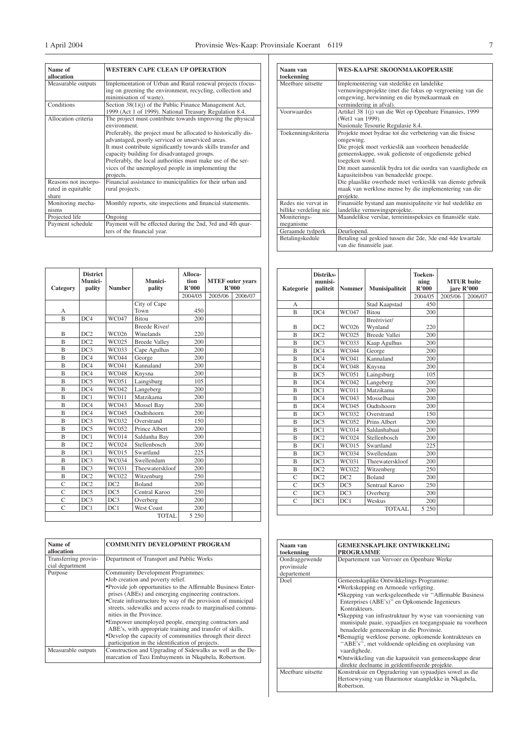┤

 $\exists$ 

| Name of<br>allocation                               | <b>WESTERN CAPE CLEAN UP OPERATION</b>                                                                                                                                                                                                                                                                                                                                                                                                            |
|-----------------------------------------------------|---------------------------------------------------------------------------------------------------------------------------------------------------------------------------------------------------------------------------------------------------------------------------------------------------------------------------------------------------------------------------------------------------------------------------------------------------|
| Measurable outputs                                  | Implementation of Urban and Rural renewal projects (focus-<br>ing on greening the environment, recycling, collection and<br>minimisation of waste).                                                                                                                                                                                                                                                                                               |
| Conditions                                          | Section 38(1)(j) of the Public Finance Management Act,<br>1999 (Act 1 of 1999). National Treasury Regulation 8.4.                                                                                                                                                                                                                                                                                                                                 |
| Allocation criteria                                 | The project must contribute towards improving the physical<br>environment.<br>Preferably, the project must be allocated to historically dis-<br>advantaged, poorly serviced or unserviced areas.<br>It must contribute significantly towards skills transfer and<br>capacity building for disadvantaged groups.<br>Preferably, the local authorities must make use of the ser-<br>vices of the unemployed people in implementing the<br>projects. |
| Reasons not incorpo-<br>rated in equitable<br>share | Financial assistance to municipalities for their urban and<br>rural projects.                                                                                                                                                                                                                                                                                                                                                                     |
| Monitoring mecha-<br>nisms                          | Monthly reports, site inspections and financial statements.                                                                                                                                                                                                                                                                                                                                                                                       |
| Projected life                                      | Ongoing                                                                                                                                                                                                                                                                                                                                                                                                                                           |
| Payment schedule                                    | Payment will be effected during the 2nd, 3rd and 4th quar-<br>ters of the financial year.                                                                                                                                                                                                                                                                                                                                                         |

| Naam van              | <b>WES-KAAPSE SKOONMAAKOPERASIE</b>                         |
|-----------------------|-------------------------------------------------------------|
| toekenning            |                                                             |
| Meetbare uitsette     | Implementering van stedelike en landelike                   |
|                       | vernuwingsprojekte (met die fokus op vergroening van die    |
|                       | omgewing, herwinning en die bymekaarmaak en                 |
|                       | vermindering in afval).                                     |
| Voorwaardes           | Artikel 38 1(j) van die Wet op Openbare Finansies, 1999     |
|                       | (Wet1 van 1999).                                            |
|                       | Nasionale Tesourie Regulasie 8.4.                           |
| Toekenningskriteria   | Projekte moet bydrae tot die verbetering van die fisiese    |
|                       | omgewing.                                                   |
|                       | Die projek moet verkieslik aan voorheen benadeelde          |
|                       | gemeenskappe, swak gedienste of ongedienste gebied          |
|                       | toegeken word.                                              |
|                       | Dit moet aansienlik bydra tot die oordra van vaardighede en |
|                       | kapasiteitsbou van benadeelde groepe.                       |
|                       | Die plaaslike owerhede moet verkieslik van dienste gebruik  |
|                       | maak van werklose mense by die implementering van die       |
|                       | projekte.                                                   |
| Redes nie vervat in   | Finansiële bystand aan munisipaliteite vir hul stedelike en |
| billike verdeling nie | landelike vernuwingsprojekte.                               |
| Moniterings-          | Maandelikse verslae, terreininspeksies en finansiële state. |
| meganisme             |                                                             |
| Geraamde tydperk      | Deurlopend.                                                 |
| Betalingskedule       | Betaling sal geskied tussen die 2de, 3de end 4de kwartale   |
|                       | van die finansiële jaar.                                    |

| Category       | <b>District</b><br>Munici-<br>pality | <b>Number</b> | Munici-<br>pality          | Alloca-<br>tion<br>R'000 | <b>MTEF</b> outer years<br>R'000 |         |
|----------------|--------------------------------------|---------------|----------------------------|--------------------------|----------------------------------|---------|
|                |                                      |               |                            | 2004/05                  | 2005/06                          | 2006/07 |
|                |                                      |               | City of Cape               |                          |                                  |         |
| A              |                                      |               | Town                       | 450                      |                                  |         |
| B              | DC4                                  | WC047         | <b>Bitou</b>               | 200                      |                                  |         |
| B              | DC2                                  | WC026         | Breede River/<br>Winelands | 220                      |                                  |         |
| B              | DC2                                  | WC025         | <b>Breede Valley</b>       | 200                      |                                  |         |
| B              | DC3                                  | WC033         | Cape Agulhas               | 200                      |                                  |         |
| B              | DC4                                  | <b>WC044</b>  | George                     | 200                      |                                  |         |
| B              | DC4                                  | WC041         | Kannaland                  | 200                      |                                  |         |
| B              | DC4                                  | <b>WC048</b>  | Knysna                     | 200                      |                                  |         |
| B              | DC5                                  | WC051         | Laingsburg                 | 105                      |                                  |         |
| B              | DC4                                  | WC042         | Langeberg                  | 200                      |                                  |         |
| B              | DC1                                  | <b>WC011</b>  | Matzikama                  | 200                      |                                  |         |
| B              | DC4                                  | WC043         | Mossel Bay                 | 200                      |                                  |         |
| B              | DC4                                  | WC045         | Oudtshoorn                 | 200                      |                                  |         |
| B              | DC3                                  | WC032         | Overstrand                 | 150                      |                                  |         |
| B              | DC5                                  | WC052         | Prince Albert              | 200                      |                                  |         |
| B              | DC1                                  | <b>WC014</b>  | Saldanha Bay               | 200                      |                                  |         |
| B              | DC2                                  | WC024         | Stellenbosch               | 200                      |                                  |         |
| $\mathbf{B}$   | DC1                                  | <b>WC015</b>  | Swartland                  | 225                      |                                  |         |
| B              | DC3                                  | WC034         | Swellendam                 | 200                      |                                  |         |
| B              | DC3                                  | WC031         | Theewaterskloof            | 200                      |                                  |         |
| B              | DC2                                  | WC022         | Witzenburg                 | 250                      |                                  |         |
| Ċ              | DC2                                  | DC2           | <b>Boland</b>              | 200                      |                                  |         |
| $\overline{C}$ | DC5                                  | DC5           | Central Karoo              | 250                      |                                  |         |
| $\overline{C}$ | DC3                                  | DC3           | Overberg                   | 200                      |                                  |         |
| Ċ              | DC1                                  | DC1           | <b>West Coast</b>          | 200                      |                                  |         |
|                |                                      |               | TOTAL.                     | 5 2 5 0                  |                                  |         |

| Name of<br>allocation                   | <b>COMMUNITY DEVELOPMENT PROGRAM</b>                                                                                                                                                                                                                                                                                                                                                                                                                                                                                                                                                       |
|-----------------------------------------|--------------------------------------------------------------------------------------------------------------------------------------------------------------------------------------------------------------------------------------------------------------------------------------------------------------------------------------------------------------------------------------------------------------------------------------------------------------------------------------------------------------------------------------------------------------------------------------------|
| Transferring provin-<br>cial department | Department of Transport and Public Works                                                                                                                                                                                                                                                                                                                                                                                                                                                                                                                                                   |
| Purpose                                 | Community Development Programmes:<br>•Job creation and poverty relief.<br>•Provide job opportunities to the Affirmable Business Enter-<br>prises (ABEs) and emerging engineering contractors.<br>•Create infrastructure by way of the provision of municipal<br>streets, sidewalks and access roads to marginalised commu-<br>nities in the Province.<br>•Empower unemployed people, emerging contractors and<br>ABE's, with appropriate training and transfer of skills.<br>•Develop the capacity of communities through their direct<br>participation in the identification of projects. |
| Measurable outputs                      | Construction and Upgrading of Sidewalks as well as the De-<br>marcation of Taxi Embayments in Nkqubela, Robertson.                                                                                                                                                                                                                                                                                                                                                                                                                                                                         |

| Kategorie      | Distriks-<br>munisi-<br>paliteit | <b>Nommer</b> | Munisipaliteit         | Toeken-<br>ning<br>R'000 |         | <b>MTUR</b> buite<br>jare R'000 |
|----------------|----------------------------------|---------------|------------------------|--------------------------|---------|---------------------------------|
|                |                                  |               |                        | 2004/05                  | 2005/06 | 2006/07                         |
| A              |                                  |               | Stad Kaapstad          | 450                      |         |                                 |
| $\overline{B}$ | DC4                              | WC047         | <b>Bitou</b>           | 200                      |         |                                 |
| B              | DC2                              | WC026         | Breërivier/<br>Wynland | 220                      |         |                                 |
| B              | DC2                              | WC025         | <b>Breede Vallei</b>   | 200                      |         |                                 |
| B              | DC3                              | WC033         | Kaap Agulhus           | 200                      |         |                                 |
| $\overline{B}$ | DC4                              | <b>WC044</b>  | George                 | 200                      |         |                                 |
| B              | DC4                              | WC041         | Kannaland              | 200                      |         |                                 |
| B              | DC4                              | WC048         | Knysna                 | 200                      |         |                                 |
| B              | DC5                              | WC051         | Laingsburg             | 105                      |         |                                 |
| B              | DC4                              | WC042         | Langeberg              | 200                      |         |                                 |
| B              | DC1                              | <b>WC011</b>  | Matzikama              | 200                      |         |                                 |
| B              | DC4                              | WC043         | Mosselbaai             | 200                      |         |                                 |
| B              | DC4                              | WC045         | Oudtshoorn             | 200                      |         |                                 |
| $\overline{B}$ | DC3                              | WC032         | Overstrand             | 150                      |         |                                 |
| B              | DC5                              | WC052         | Prins Albert           | 200                      |         |                                 |
| B              | DC1                              | <b>WC014</b>  | Saldanhabaai           | 200                      |         |                                 |
| $\overline{B}$ | DC2                              | WC024         | Stellenbosch           | 200                      |         |                                 |
| B              | DC1                              | <b>WC015</b>  | Swartland              | 225                      |         |                                 |
| B              | DC3                              | <b>WC034</b>  | Swellendam             | 200                      |         |                                 |
| $\overline{B}$ | DC3                              | WC031         | Theewaterskloof        | 200                      |         |                                 |
| B              | DC2                              | WC022         | Witzenberg             | 250                      |         |                                 |
| $\overline{C}$ | DC2                              | DC2           | <b>Boland</b>          | 200                      |         |                                 |
| $\overline{C}$ | DC5                              | DC5           | Sentraal Karoo         | 250                      |         |                                 |
| $\overline{C}$ | DC3                              | DC3           | Overberg               | 200                      |         |                                 |
| $\overline{C}$ | DC1                              | DC1           | Weskus                 | 200                      |         |                                 |
|                |                                  |               | TOTAAL                 | 5 2 5 0                  |         |                                 |

| Naam van          | <b>GEMEENSKAPLIKE ONTWIKKELING</b>                                                                   |
|-------------------|------------------------------------------------------------------------------------------------------|
| toekenning        | <b>PROGRAMME</b>                                                                                     |
| Oordraggewende    | Departement van Vervoer en Openbare Werke                                                            |
| provinsiale       |                                                                                                      |
| departement       |                                                                                                      |
| Doel              | Gemeenskaplike Ontwikkelings Programme:                                                              |
|                   | •Werkskepping en Armoede verligting.                                                                 |
|                   | *Skepping van werksgeleenthede vir "Affirmable Business"                                             |
|                   | Enterprises (ABE's)" en Opkomende Ingenieurs                                                         |
|                   | Kontrakteurs.                                                                                        |
|                   | •Skepping van infrastruktuur by wyse van voorsiening van                                             |
|                   | munisipale paaie, sypaadjies en toegangspaaie na voorheen<br>benadeelde gemeenskap in die Provinsie. |
|                   | *Bemagtig werklose persone, opkomende kontrakteurs en                                                |
|                   | "ABE's", met voldoende opleiding en oorplasing van                                                   |
|                   | vaardighede.                                                                                         |
|                   | •Ontwikkeling van die kapasiteit van gemeenskappe deur                                               |
|                   | direkte deelname in geïdentifiseerde projekte.                                                       |
| Meetbare uitsette | Konstruksie en Opgradering van sypaadjies sowel as die                                               |
|                   | Hertoewysing van Huurmotor staanplekke in Nkqubela,                                                  |
|                   | Robertson.                                                                                           |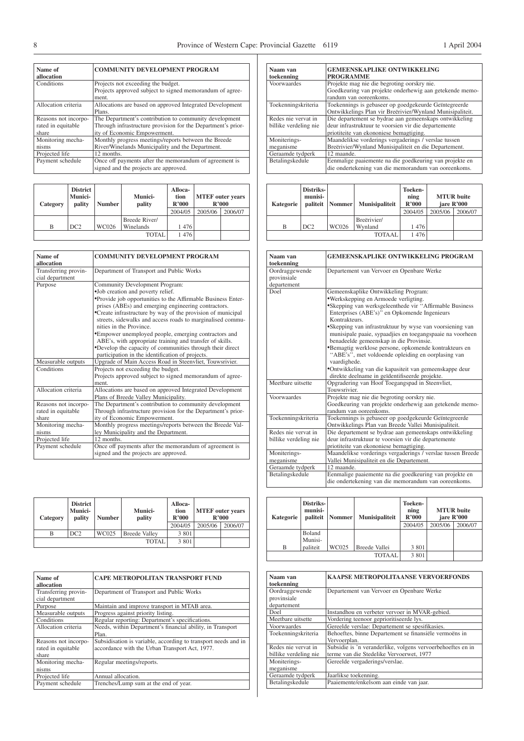| Name of<br>allocation | <b>COMMUNITY DEVELOPMENT PROGRAM</b>                         |
|-----------------------|--------------------------------------------------------------|
| Conditions            | Projects not exceeding the budget.                           |
|                       | Projects approved subject to signed memorandum of agree-     |
|                       | ment.                                                        |
| Allocation criteria   | Allocations are based on approved Integrated Development     |
|                       | Plans.                                                       |
| Reasons not incorpo-  | The Department's contribution to community development       |
| rated in equitable    | Through infrastructure provision for the Department's prior- |
| share                 | ity of Economic Empowerment.                                 |
| Monitoring mecha-     | Monthly progress meetings/reports between the Breede         |
| nisms                 | River/Winelands Municipality and the Department.             |
| Projected life        | 12 months.                                                   |
| Payment schedule      | Once off payments after the memorandum of agreement is       |
|                       | signed and the projects are approved.                        |
|                       |                                                              |

| Category | <b>District</b><br>Munici-<br>pality | <b>Number</b> | <b>Munici-</b><br>pality | Alloca-<br>tion<br>R'000 |         | <b>MTEF</b> outer years<br>R'000 |
|----------|--------------------------------------|---------------|--------------------------|--------------------------|---------|----------------------------------|
|          |                                      |               |                          | 2004/05                  | 2005/06 | 2006/07                          |
|          |                                      |               | Breede River/            |                          |         |                                  |
| B        | DC <sub>2</sub>                      | <b>WC026</b>  | Winelands                | 1476                     |         |                                  |
|          |                                      |               | <b>TOTAL</b>             | 1 476                    |         |                                  |

| Name of              | <b>COMMUNITY DEVELOPMENT PROGRAM</b>                         |
|----------------------|--------------------------------------------------------------|
| allocation           |                                                              |
| Transferring provin- | Department of Transport and Public Works                     |
| cial department      |                                                              |
| Purpose              | Community Development Program:                               |
|                      | •Job creation and poverty relief.                            |
|                      | •Provide job opportunities to the Affirmable Business Enter- |
|                      | prises (ABEs) and emerging engineering contractors.          |
|                      | •Create infrastructure by way of the provision of municipal  |
|                      | streets, sidewalks and access roads to marginalised commu-   |
|                      | nities in the Province.                                      |
|                      | •Empower unemployed people, emerging contractors and         |
|                      | ABE's, with appropriate training and transfer of skills.     |
|                      | •Develop the capacity of communities through their direct    |
|                      | participation in the identification of projects.             |
| Measurable outputs   | Upgrade of Main Access Road in Steenvliet, Touwsrivier.      |
| Conditions           | Projects not exceeding the budget.                           |
|                      | Projects approved subject to signed memorandum of agree-     |
|                      | ment.                                                        |
| Allocation criteria  | Allocations are based on approved Integrated Development     |
|                      | Plans of Breede Valley Municipality.                         |
| Reasons not incorpo- | The Department's contribution to community development       |
| rated in equitable   | Through infrastructure provision for the Department's prior- |
| share                | ity of Economic Empowerment.                                 |
| Monitoring mecha-    | Monthly progress meetings/reports between the Breede Val-    |
| nisms                | ley Municipality and the Department.                         |
| Projected life       | 12 months.                                                   |
| Payment schedule     | Once off payments after the memorandum of agreement is       |
|                      | signed and the projects are approved.                        |

| Category | <b>District</b><br>Munici-<br>pality | <b>Number</b> | <b>Munici-</b><br>pality | Alloca-<br>tion<br>R'000<br>2004/05 | 2005/06 | <b>MTEF</b> outer years<br>R'000<br>2006/07 |
|----------|--------------------------------------|---------------|--------------------------|-------------------------------------|---------|---------------------------------------------|
| В        | DC2                                  | WC025         | <b>Breede Valley</b>     | 3 8 0 1                             |         |                                             |
|          |                                      |               | <b>TOTAL</b>             | 3 8 0 1                             |         |                                             |

| Name of<br>allocation                               | <b>CAPE METROPOLITAN TRANSPORT FUND</b>                                                                          |
|-----------------------------------------------------|------------------------------------------------------------------------------------------------------------------|
| Transferring provin-<br>cial department             | Department of Transport and Public Works                                                                         |
| Purpose                                             | Maintain and improve transport in MTAB area.                                                                     |
| Measurable outputs                                  | Progress against priority listing.                                                                               |
| Conditions                                          | Regular reporting: Department's specifications.                                                                  |
| Allocation criteria                                 | Needs, within Department's financial ability, in Transport<br>Plan.                                              |
| Reasons not incorpo-<br>rated in equitable<br>share | Subsidisation is variable, according to transport needs and in<br>accordance with the Urban Transport Act, 1977. |
| Monitoring mecha-<br>nisms                          | Regular meetings/reports.                                                                                        |
| Projected life                                      | Annual allocation.                                                                                               |
| Payment schedule                                    | Trenches/Lump sum at the end of year.                                                                            |

| Naam van<br>toekenning | <b>GEMEENSKAPLIKE ONTWIKKELING</b><br><b>PROGRAMME</b>    |
|------------------------|-----------------------------------------------------------|
| Voorwaardes            | Projekte mag nie die begroting oorskry nie.               |
|                        | Goedkeuring van projekte onderhewig aan getekende memo-   |
|                        | randum van ooreenkoms.                                    |
| Toekenningskriteria    | Toekennings is gebaseer op goedgekeurde Geïntegreerde     |
|                        | Ontwikkelings Plan vir Breërivier/Wynland Munisipaliteit. |
| Redes nie vervat in    | Die departement se bydrae aan gemeenskaps ontwikkeling    |
| billike verdeling nie  | deur infrastruktuur te voorsien vir die departemente      |
|                        | priotiteite van ekononiese bemagtiging.                   |
| Moniterings-           | Maandelikse vorderings vergaderings / verslae tussen      |
| meganisme              | Breërivier/Wynland Munisipaliteit en die Departement.     |
| Geraamde tydperk       | 12 maande.                                                |
| Betalingskedule        | Eenmalige paaiemente na die goedkeuring van projekte en   |
|                        | die ondertekening van die memorandum van ooreenkoms.      |

| Kategorie | Distriks-<br>munisi-<br>paliteit | Nommer | <b>Munisipaliteit</b> | Toeken-<br>ning<br>R'000 |         | <b>MTUR</b> buite<br>jare R'000 |
|-----------|----------------------------------|--------|-----------------------|--------------------------|---------|---------------------------------|
|           |                                  |        |                       | 2004/05                  | 2005/06 | 2006/07                         |
|           |                                  |        | Breërivier/           |                          |         |                                 |
| B         | DC2                              | WC026  | Wynland               | 1476                     |         |                                 |
|           |                                  |        | <b>TOTAAL</b>         | 1476                     |         |                                 |

| Naam van<br>toekenning                       | <b>GEMEENSKAPLIKE ONTWIKKELING PROGRAM</b>                                                                                                                                                                                                                                                                                                                                                                                                                                                                                                                                                                              |
|----------------------------------------------|-------------------------------------------------------------------------------------------------------------------------------------------------------------------------------------------------------------------------------------------------------------------------------------------------------------------------------------------------------------------------------------------------------------------------------------------------------------------------------------------------------------------------------------------------------------------------------------------------------------------------|
| Oordraggewende<br>provinsiale<br>departement | Departement van Vervoer en Openbare Werke                                                                                                                                                                                                                                                                                                                                                                                                                                                                                                                                                                               |
| Doel                                         | Gemeenskaplike Ontwikkeling Program:<br>•Werkskepping en Armoede verligting.<br>•Skepping van werksgeleenthede vir "Affirmable Business<br>Enterprises (ABE's)" en Opkomende Ingenieurs<br>Kontrakteurs.<br>•Skepping van infrastruktuur by wyse van voorsiening van<br>munisipale paaie, sypaadjies en toegangspaaie na voorheen<br>benadeelde gemeenskap in die Provinsie.<br>*Bemagtig werklose persone, opkomende kontrakteurs en<br>"ABE's", met voldoende opleiding en oorplasing van<br>vaardighede.<br>*Ontwikkeling van die kapasiteit van gemeenskappe deur<br>direkte deelname in geïdentifiseerde projekte. |
| Meetbare uitsette                            | Opgradering van Hoof Toegangspad in Steenvliet,<br>Touwsrivier.                                                                                                                                                                                                                                                                                                                                                                                                                                                                                                                                                         |
| Voorwaardes                                  | Projekte mag nie die begroting oorskry nie.<br>Goedkeuring van projekte onderhewig aan getekende memo-<br>randum van ooreenkoms.                                                                                                                                                                                                                                                                                                                                                                                                                                                                                        |
| Toekenningskriteria                          | Toekennings is gebaseer op goedgekeurde Geïntegreerde<br>Ontwikkelings Plan van Breede Vallei Munisipaliteit.                                                                                                                                                                                                                                                                                                                                                                                                                                                                                                           |
| Redes nie vervat in<br>billike verdeling nie | Die departement se bydrae aan gemeenskaps ontwikkeling<br>deur infrastruktuur te voorsien vir die departemente<br>priotiteite van ekononiese bemagtiging.                                                                                                                                                                                                                                                                                                                                                                                                                                                               |
| Moniterings-<br>meganisme                    | Maandelikse vorderings vergaderings / verslae tussen Breede<br>Vallei Munisipaliteit en die Departement.                                                                                                                                                                                                                                                                                                                                                                                                                                                                                                                |
| Geraamde tydperk                             | 12 maande.                                                                                                                                                                                                                                                                                                                                                                                                                                                                                                                                                                                                              |
| Betalingskedule                              | Eenmalige paaiemente na die goedkeuring van projekte en<br>die ondertekening van die memorandum van ooreenkoms.                                                                                                                                                                                                                                                                                                                                                                                                                                                                                                         |

| Kategorie | Distriks-<br>munisi-<br>paliteit | <b>Nommer</b> | <b>Munisipaliteit</b> | Toeken-<br>ning<br>R'000 |         | <b>MTUR</b> buite<br>jare R'000 |
|-----------|----------------------------------|---------------|-----------------------|--------------------------|---------|---------------------------------|
|           |                                  |               |                       | 2004/05                  | 2005/06 | 2006/07                         |
|           | Boland<br>Munisi-                |               |                       |                          |         |                                 |
| B         | paliteit                         | WC025         | Breede Vallei         | 3 8 0 1                  |         |                                 |
|           |                                  |               | TOTAAL                | 3 8 0 1                  |         |                                 |

| Naam van<br>toekenning        | KAAPSE METROPOLITAANSE VERVOERFONDS                         |
|-------------------------------|-------------------------------------------------------------|
| Oordraggewende<br>provinsiale | Departement van Vervoer en Openbare Werke                   |
| departement                   |                                                             |
| Doel                          | Instandhou en verbeter vervoer in MVAR-gebied.              |
| Meetbare uitsette             | Vordering teenoor geprioritiseerde lys.                     |
| Voorwaardes                   | Gereelde verslae: Departement se spesifikasies.             |
| Toekenningskriteria           | Behoeftes, binne Departement se finansiële vermoëns in      |
|                               | Vervoerplan.                                                |
| Redes nie vervat in           | Subsidie is 'n veranderlike, volgens vervoerbehoeftes en in |
| billike verdeling nie         | terme van die Stedelike Vervoerwet, 1977                    |
| Moniterings-                  | Gereelde vergaderings/verslae.                              |
| meganisme                     |                                                             |
| Geraamde tydperk              | Jaarlikse toekenning.                                       |
| Betalingskedule               | Paaiemente/enkelsom aan einde van jaar.                     |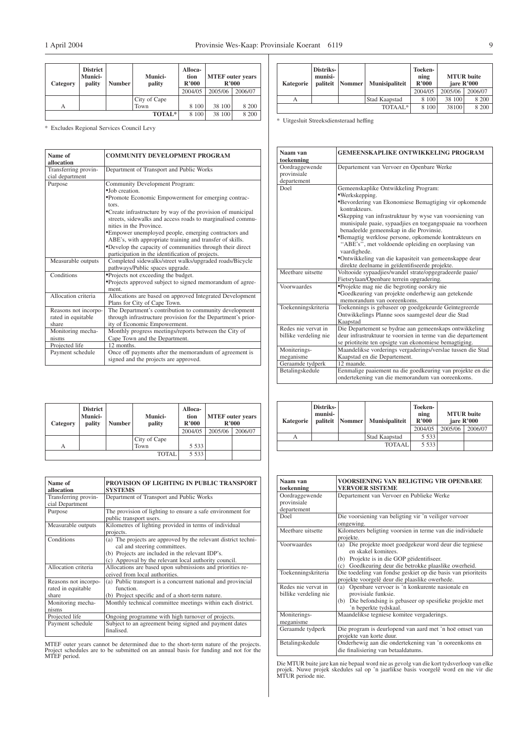| Category | <b>District</b><br>Munici-<br>pality | <b>Number</b> | <b>Munici-</b><br>pality | Alloca-<br>tion<br>R'000 | <b>MTEF</b> outer years<br>R'000 |         |
|----------|--------------------------------------|---------------|--------------------------|--------------------------|----------------------------------|---------|
|          |                                      |               |                          | 2004/05                  | 2005/06                          | 2006/07 |
|          |                                      |               | City of Cape             |                          |                                  |         |
| А        |                                      |               | Town                     | 8 100                    | 38 100                           | 8 200   |
|          |                                      |               | <b>TOTAL*</b>            | 8 100                    | 38 100                           | 8 200   |

\* Excludes Regional Services Council Levy

| Name of                                 | <b>COMMUNITY DEVELOPMENT PROGRAM</b>                         |  |  |  |
|-----------------------------------------|--------------------------------------------------------------|--|--|--|
| allocation                              |                                                              |  |  |  |
| Transferring provin-<br>cial department | Department of Transport and Public Works                     |  |  |  |
| Purpose                                 | Community Development Program:                               |  |  |  |
|                                         | • Job creation.                                              |  |  |  |
|                                         | *Promote Economic Empowerment for emerging contrac-          |  |  |  |
|                                         | tors.                                                        |  |  |  |
|                                         | •Create infrastructure by way of the provision of municipal  |  |  |  |
|                                         | streets, sidewalks and access roads to marginalised commu-   |  |  |  |
|                                         | nities in the Province.                                      |  |  |  |
|                                         | •Empower unemployed people, emerging contractors and         |  |  |  |
|                                         | ABE's, with appropriate training and transfer of skills.     |  |  |  |
|                                         | •Develop the capacity of communities through their direct    |  |  |  |
|                                         | participation in the identification of projects.             |  |  |  |
| Measurable outputs                      | Completed sidewalks/street walks/upgraded roads/Bicycle      |  |  |  |
|                                         | pathways/Public spaces upgrade.                              |  |  |  |
| Conditions                              | •Projects not exceeding the budget.                          |  |  |  |
|                                         | •Projects approved subject to signed memorandum of agree-    |  |  |  |
|                                         | ment.                                                        |  |  |  |
| Allocation criteria                     | Allocations are based on approved Integrated Development     |  |  |  |
|                                         | Plans for City of Cape Town.                                 |  |  |  |
| Reasons not incorpo-                    | The Department's contribution to community development       |  |  |  |
| rated in equitable                      | through infrastructure provision for the Department's prior- |  |  |  |
| share                                   | ity of Economic Empowerment.                                 |  |  |  |
| Monitoring mecha-                       | Monthly progress meetings/reports between the City of        |  |  |  |
| nisms                                   | Cape Town and the Department.                                |  |  |  |
| Projected life                          | 12 months.                                                   |  |  |  |
| Payment schedule                        | Once off payments after the memorandum of agreement is       |  |  |  |
|                                         | signed and the projects are approved.                        |  |  |  |

| Category | <b>District</b><br><b>Munici-</b><br>pality | <b>Number</b> | <b>Munici-</b><br>pality | Alloca-<br>tion<br>R'000 | <b>MTEF</b> outer years<br>R'000 |         |
|----------|---------------------------------------------|---------------|--------------------------|--------------------------|----------------------------------|---------|
|          |                                             |               |                          | 2004/05                  | 2005/06                          | 2006/07 |
|          |                                             |               | City of Cape             |                          |                                  |         |
| А        |                                             |               | Town                     | 5 5 3 3                  |                                  |         |
|          |                                             |               | <b>TOTAL</b>             | 5 5 3 3                  |                                  |         |

| Name of<br>allocation                               | PROVISION OF LIGHTING IN PUBLIC TRANSPORT<br><b>SYSTEMS</b>                                                                                                                                                 |
|-----------------------------------------------------|-------------------------------------------------------------------------------------------------------------------------------------------------------------------------------------------------------------|
| Transferring provin-<br>cial Department             | Department of Transport and Public Works                                                                                                                                                                    |
| Purpose                                             | The provision of lighting to ensure a safe environment for<br>public transport users.                                                                                                                       |
| Measurable outputs                                  | Kilometres of lighting provided in terms of individual<br>projects.                                                                                                                                         |
| Conditions                                          | (a) The projects are approved by the relevant district techni-<br>cal and steering committees.<br>(b) Projects are included in the relevant IDP's.<br>(c) Approval by the relevant local authority council. |
| Allocation criteria                                 | Allocations are based upon submissions and priorities re-<br>ceived from local authorities.                                                                                                                 |
| Reasons not incorpo-<br>rated in equitable<br>share | (a) Public transport is a concurrent national and provincial<br>function.<br>(b) Project specific and of a short-term nature.                                                                               |
| Monitoring mecha-<br>nisms                          | Monthly technical committee meetings within each district.                                                                                                                                                  |
| Projected life                                      | Ongoing programme with high turnover of projects.                                                                                                                                                           |
| Payment schedule                                    | Subject to an agreement being signed and payment dates<br>finalised.                                                                                                                                        |

MTEF outer years cannot be determined due to the short-term nature of the projects. Project schedules are to be submitted on an annual basis for funding and not for the MTEF period.

| Kategorie | Distriks-<br>munisi- | paliteit Nommer | <b>Munisipaliteit</b> | Toeken-<br>ning<br>R'000 | <b>MTUR</b> buite<br>jare R'000 |         |
|-----------|----------------------|-----------------|-----------------------|--------------------------|---------------------------------|---------|
|           |                      |                 |                       | 2004/05                  | 2005/06                         | 2006/07 |
|           |                      |                 | Stad Kaapstad         | 8 100                    | 38 100                          | 8 200   |
|           | 8 100                | 38100           | 8 200                 |                          |                                 |         |

\* Uitgesluit Streeksdiensteraad heffing

| Naam van<br>toekenning                       | <b>GEMEENSKAPLIKE ONTWIKKELING PROGRAM</b>                                                                                                                                                                                                                                                                                                                                                                                                                                                                                                      |
|----------------------------------------------|-------------------------------------------------------------------------------------------------------------------------------------------------------------------------------------------------------------------------------------------------------------------------------------------------------------------------------------------------------------------------------------------------------------------------------------------------------------------------------------------------------------------------------------------------|
| Oordraggewende<br>provinsiale<br>departement | Departement van Vervoer en Openbare Werke                                                                                                                                                                                                                                                                                                                                                                                                                                                                                                       |
| Doel                                         | Gemeenskaplike Ontwikkeling Program:<br>•Werkskepping.<br>*Bevordering van Ekonomiese Bemagtiging vir opkomende<br>kontrakteurs.<br>•Skepping van infrastruktuur by wyse van voorsiening van<br>munisipale paaie, sypaadjies en toegangspaaie na voorheen<br>benadeelde gemeenskap in die Provinsie.<br>*Bemagtig werklose persone, opkomende kontrakteurs en<br>"ABE's", met voldoende opleiding en oorplasing van<br>vaardighede.<br>•Ontwikkeling van die kapasiteit van gemeenskappe deur<br>direkte deelname in geïdentifiseerde projekte. |
| Meethare uitsette                            | Voltooide sypaadjies/wandel strate/opgegradeerde paaie/<br>Fietsrylaan/Openbare terrein opgradering.                                                                                                                                                                                                                                                                                                                                                                                                                                            |
| Voorwaardes                                  | •Projekte mag nie die begroting oorskry nie<br>•Goedkeuring van projekte onderhewig aan getekende<br>memorandum van ooreenkoms.                                                                                                                                                                                                                                                                                                                                                                                                                 |
| Toekenningskriteria                          | Toekennings is gebaseer op goedgekeurde Geïntegreerde<br>Ontwikkelings Planne soos saamgestel deur die Stad<br>Kaapstad                                                                                                                                                                                                                                                                                                                                                                                                                         |
| Redes nie vervat in<br>billike verdeling nie | Die Departement se bydrae aan gemeenskaps ontwikkeling<br>deur infrastruktuur te voorsien in terme van die departement<br>se priotiteite ten opsigte van ekonomiese bemagtiging.                                                                                                                                                                                                                                                                                                                                                                |
| Moniterings-<br>meganisme                    | Maandelikse vorderings vergaderings/verslae tussen die Stad<br>Kaapstad en die Departement.                                                                                                                                                                                                                                                                                                                                                                                                                                                     |
| Geraamde tydperk                             | 12 maande.                                                                                                                                                                                                                                                                                                                                                                                                                                                                                                                                      |
| Betalingskedule                              | Eenmalige paaiement na die goedkeuring van projekte en die<br>ondertekening van die memorandum van ooreenkoms.                                                                                                                                                                                                                                                                                                                                                                                                                                  |

| Kategorie | Distriks-<br>munisi-<br>paliteit | Nommer | <b>Munisipaliteit</b> | Toeken-<br>ning<br>R'000<br>2004/05 | 2005/06 | <b>MTUR</b> buite<br>jare R'000<br>2006/07 |
|-----------|----------------------------------|--------|-----------------------|-------------------------------------|---------|--------------------------------------------|
| А         |                                  |        | Stad Kaapstad         | 5 5 3 3                             |         |                                            |
|           |                                  |        | <b>TOTAAL</b>         | 5 5 3 3                             |         |                                            |

| Naam van<br>toekenning                       | VOORSIENING VAN BELIGTING VIR OPENBARE<br><b>VERVOER SISTEME</b>                                                                                                                         |
|----------------------------------------------|------------------------------------------------------------------------------------------------------------------------------------------------------------------------------------------|
| Oordraggewende<br>provinsiale<br>departement | Departement van Vervoer en Publieke Werke                                                                                                                                                |
| Doel                                         | Die voorsiening van beligting vir 'n veiliger vervoer<br>omgewing.                                                                                                                       |
| Meethare uitsette                            | Kilometers beligting voorsien in terme van die individuele<br>projekte.                                                                                                                  |
| Voorwaardes                                  | (a) Die projekte moet goedgekeur word deur die tegniese<br>en skakel komitees.<br>(b) Projekte is in die GOP geidentifiseer.<br>Goedkeuring deur die betrokke plaaslike owerheid.<br>(c) |
| Toekenningskriteria                          | Die toedeling van fondse geskiet op die basis van prioriteits<br>projekte voorgelê deur die plaaslike owerhede.                                                                          |
| Redes nie vervat in<br>billike verdeling nie | Openbare vervoer is 'n konkurente nasionale en<br>(a)<br>provisiale funksie.<br>Die befondsing is gebaseer op spesifieke projekte met<br>(b)<br>'n beperkte tydskaal.                    |
| Moniterings-<br>meganisme                    | Maandelikse tegniese komitee vergaderings.                                                                                                                                               |
| Geraamde tydperk                             | Die program is deurlopend van aard met 'n hoë omset van<br>projekte van korte duur.                                                                                                      |
| Betalingskedule                              | Onderhewig aan die ondertekening van 'n ooreenkoms en<br>die finalisiering van betaaldatums.                                                                                             |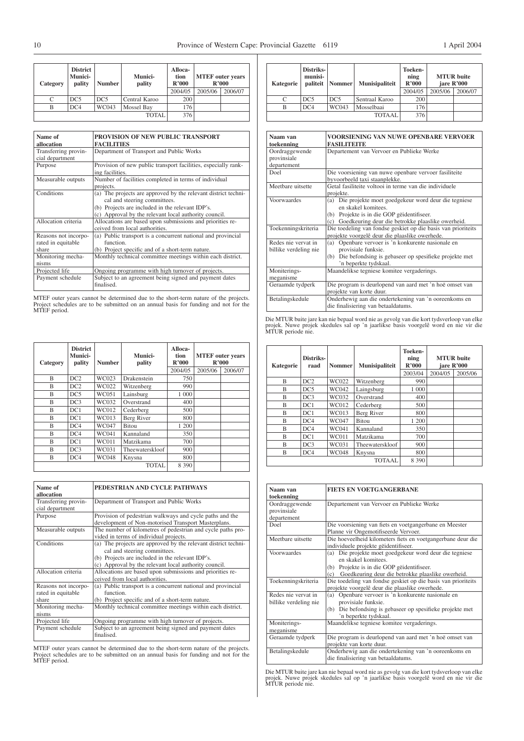| Category | <b>District</b><br>Munici-<br>pality | <b>Number</b>   | <b>Munici-</b><br>pality | Alloca-<br>tion<br>R'000 | <b>MTEF</b> outer years<br>R'000 |         |
|----------|--------------------------------------|-----------------|--------------------------|--------------------------|----------------------------------|---------|
|          |                                      |                 |                          | 2004/05                  | 2005/06                          | 2006/07 |
| C        | DC5                                  | DC <sub>5</sub> | Central Karoo            | 200                      |                                  |         |
| В        | DC4                                  | WC043           | Mossel Bay               | 176                      |                                  |         |
|          |                                      |                 | <b>TOTAL</b>             | 376                      |                                  |         |

| Name of<br>allocation                               | PROVISION OF NEW PUBLIC TRANSPORT<br><b>FACILITIES</b>                                                                                                                                                      |
|-----------------------------------------------------|-------------------------------------------------------------------------------------------------------------------------------------------------------------------------------------------------------------|
| Transferring provin-<br>cial department             | Department of Transport and Public Works                                                                                                                                                                    |
| Purpose                                             | Provision of new public transport facilities, especially rank-<br>ing facilities.                                                                                                                           |
| Measurable outputs                                  | Number of facilities completed in terms of individual<br>projects.                                                                                                                                          |
| Conditions                                          | (a) The projects are approved by the relevant district techni-<br>cal and steering committees.<br>(b) Projects are included in the relevant IDP's.<br>(c) Approval by the relevant local authority council. |
| Allocation criteria                                 | Allocations are based upon submissions and priorities re-<br>ceived from local authorities.                                                                                                                 |
| Reasons not incorpo-<br>rated in equitable<br>share | (a) Public transport is a concurrent national and provincial<br>function.<br>(b) Project specific and of a short-term nature.                                                                               |
| Monitoring mecha-<br>nisms                          | Monthly technical committee meetings within each district.                                                                                                                                                  |
| Projected life                                      | Ongoing programme with high turnover of projects.                                                                                                                                                           |
| Payment schedule                                    | Subject to an agreement being signed and payment dates<br>finalised.                                                                                                                                        |

MTEF outer years cannot be determined due to the short-term nature of the projects. Project schedules are to be submitted on an annual basis for funding and not for the MTEF period.

| Category                | <b>District</b><br><b>Munici-</b><br>pality | <b>Number</b> | Munici-<br>pality | Alloca-<br>tion<br>R'000 | <b>MTEF</b> outer years<br>R'000 |         |
|-------------------------|---------------------------------------------|---------------|-------------------|--------------------------|----------------------------------|---------|
|                         |                                             |               |                   | 2004/05                  | 2005/06                          | 2006/07 |
| B                       | DC2                                         | WC023         | Drakenstein       | 750                      |                                  |         |
| B                       | DC2                                         | WC022         | Witzenberg        | 990                      |                                  |         |
| B                       | DC5                                         | WC051         | Lainsburg         | 1 000                    |                                  |         |
| B                       | DC3                                         | WC032         | Overstrand        | 400                      |                                  |         |
| B                       | DC1                                         | WC012         | Cederberg         | 500                      |                                  |         |
| $\overline{\mathbf{B}}$ | DC1                                         | WC013         | Berg River        | 800                      |                                  |         |
| B                       | DC4                                         | WC047         | <b>Bitou</b>      | 1 200                    |                                  |         |
| B                       | DC4                                         | WC041         | Kannaland         | 350                      |                                  |         |
| R                       | DC1                                         | <b>WC011</b>  | Matzikama         | 700                      |                                  |         |
| B                       | DC3                                         | WC031         | Theewaterskloof   | 900                      |                                  |         |
| B                       | DC4                                         | <b>WC048</b>  | Knysna            | 800                      |                                  |         |
|                         |                                             |               | <b>TOTAL</b>      | 8 3 9 0                  |                                  |         |

| Name of<br>allocation                               | PEDESTRIAN AND CYCLE PATHWAYS                                                                                                                                                                               |
|-----------------------------------------------------|-------------------------------------------------------------------------------------------------------------------------------------------------------------------------------------------------------------|
| Transferring provin-<br>cial department             | Department of Transport and Public Works                                                                                                                                                                    |
| Purpose                                             | Provision of pedestrian walkways and cycle paths and the<br>development of Non-motorised Transport Masterplans.                                                                                             |
| Measurable outputs                                  | The number of kilometres of pedestrian and cycle paths pro-<br>vided in terms of individual projects.                                                                                                       |
| Conditions                                          | (a) The projects are approved by the relevant district techni-<br>cal and steering committees.<br>(b) Projects are included in the relevant IDP's.<br>(c) Approval by the relevant local authority council. |
| Allocation criteria                                 | Allocations are based upon submissions and priorities re-<br>ceived from local authorities.                                                                                                                 |
| Reasons not incorpo-<br>rated in equitable<br>share | (a) Public transport is a concurrent national and provincial<br>function.<br>(b) Project specific and of a short-term nature.                                                                               |
| Monitoring mecha-<br>nisms                          | Monthly technical committee meetings within each district.                                                                                                                                                  |
| Projected life                                      | Ongoing programme with high turnover of projects.                                                                                                                                                           |
| Payment schedule                                    | Subject to an agreement being signed and payment dates<br>finalised.                                                                                                                                        |

MTEF outer years cannot be determined due to the short-term nature of the projects. Project schedules are to be submitted on an annual basis for funding and not for the MTEF period.

| Kategorie | <b>Distriks-</b><br>munisi-<br>paliteit | Nommer          | Munisipaliteit | Toeken-<br>ning<br>R'000 | jare R'000 | <b>MTUR</b> buite |
|-----------|-----------------------------------------|-----------------|----------------|--------------------------|------------|-------------------|
|           |                                         |                 |                | 2004/05                  | 2005/06    | 2006/07           |
|           | DC5                                     | DC <sub>5</sub> | Sentraal Karoo | 200                      |            |                   |
| B         | DC4                                     | WC043           | Mosselbaai     | 176                      |            |                   |
|           |                                         |                 | <b>TOTAAL</b>  | 376                      |            |                   |

| Naam van              | <b>VOORSIENING VAN NUWE OPENBARE VERVOER</b>                  |
|-----------------------|---------------------------------------------------------------|
| toekenning            | <b>FASILITEITE</b>                                            |
| Oordraggewende        | Departement van Vervoer en Publieke Werke                     |
| provinsiale           |                                                               |
| departement           |                                                               |
| Doel                  | Die voorsiening van nuwe openbare vervoer fasiliteite         |
|                       | byvoorbeeld taxi staanplekke.                                 |
| Meetbare uitsette     | Getal fasiliteite voltooi in terme van die individuele        |
|                       | projekte.                                                     |
| Voorwaardes           | Die projekte moet goedgekeur word deur die tegniese<br>(a)    |
|                       | en skakel komitees.                                           |
|                       | (b) Projekte is in die GOP geidentifiseer.                    |
|                       | (c) Goedkeuring deur die betrokke plaaslike owerheid.         |
| Toekenningskriteria   | Die toedeling van fondse geskiet op die basis van prioriteits |
|                       | projekte voorgelê deur die plaaslike owerhede.                |
| Redes nie vervat in   | Openbare vervoer is 'n konkurente nasionale en<br>(a)         |
| billike verdeling nie | provisiale funksie.                                           |
|                       | Die befondsing is gebaseer op spesifieke projekte met<br>(b)  |
|                       | 'n beperkte tydskaal.                                         |
| Moniterings-          | Maandelikse tegniese komitee vergaderings.                    |
| meganisme             |                                                               |
| Geraamde tydperk      | Die program is deurlopend van aard met 'n hoë omset van       |
|                       | projekte van korte duur.                                      |
| Betalingskedule       | Onderhewig aan die ondertekening van 'n ooreenkoms en         |
|                       | die finalisiering van betaaldatums.                           |

Die MTUR buite jare kan nie bepaal word nie as gevolg van die kort tydsverloop van elke projek. Nuwe projek skedules sal op 'n jaarlikse basis voorgelê word en nie vir die MTUR periode nie.

| Kategorie | Distriks-<br>raad | <b>Nommer</b> | <b>Munisipaliteit</b> | <b>Toeken-</b><br>ning<br>R'000 | <b>MTUR</b> buite<br>jare R'000 |         |
|-----------|-------------------|---------------|-----------------------|---------------------------------|---------------------------------|---------|
|           |                   |               |                       | 2003/04                         | 2004/05                         | 2005/06 |
| B         | DC2               | WC022         | Witzenberg            | 990                             |                                 |         |
| B         | DC5               | WC042         | Laingsburg            | 1 000                           |                                 |         |
| B         | DC3               | WC032         | Overstrand            | 400                             |                                 |         |
| B         | DC1               | WC012         | Cederberg             | 500                             |                                 |         |
| B         | DC1               | WC013         | Berg River            | 800                             |                                 |         |
| B         | DC4               | WC047         | <b>Bitou</b>          | 1 200                           |                                 |         |
| B         | DC4               | WC041         | Kannaland             | 350                             |                                 |         |
| B         | DC1               | WC011         | Matzikama             | 700                             |                                 |         |
| B         | DC3               | WC031         | Theewaterskloof       | 900                             |                                 |         |
| B         | DC4               | <b>WC048</b>  | Knysna                | 800                             |                                 |         |
|           |                   |               | <b>TOTAAL</b>         | 8 3 9 0                         |                                 |         |

| Naam van<br>toekenning                       | <b>FIETS EN VOETGANGERBANE</b>                                                                                                                                                              |
|----------------------------------------------|---------------------------------------------------------------------------------------------------------------------------------------------------------------------------------------------|
| Oordraggewende<br>provinsiale<br>departement | Departement van Vervoer en Publieke Werke                                                                                                                                                   |
| Doel                                         | Die voorsiening van fiets en voetgangerbane en Meester                                                                                                                                      |
|                                              | Planne vir Ongemotifiseerde Vervoer.                                                                                                                                                        |
| Meetbare uitsette                            | Die hoeveelheid kilometers fiets en voetgangerbane deur die<br>individuele projekte gëidentifiseer.                                                                                         |
| Voorwaardes                                  | Die projekte moet goedgekeur word deur die tegniese<br>(a)<br>en skakel komitees.<br>(b) Projekte is in die GOP geidentifiseer.<br>Goedkeuring deur die betrokke plaaslike owerheid.<br>(c) |
| Toekenningskriteria                          | Die toedeling van fondse geskiet op die basis van prioriteits<br>projekte voorgelê deur die plaaslike owerhede.                                                                             |
| Redes nie vervat in<br>billike verdeling nie | Openbare vervoer is 'n konkurente nasionale en<br>(a)<br>provisiale funksie.<br>(b) Die befondsing is gebaseer op spesifieke projekte met<br>'n beperkte tydskaal.                          |
| Moniterings-<br>meganisme                    | Maandelikse tegniese komitee vergaderings.                                                                                                                                                  |
| Geraamde tydperk                             | Die program is deurlopend van aard met 'n hoë omset van<br>projekte van korte duur.                                                                                                         |
| Betalingskedule                              | Onderhewig aan die ondertekening van 'n ooreenkoms en<br>die finalisiering van betaaldatums.                                                                                                |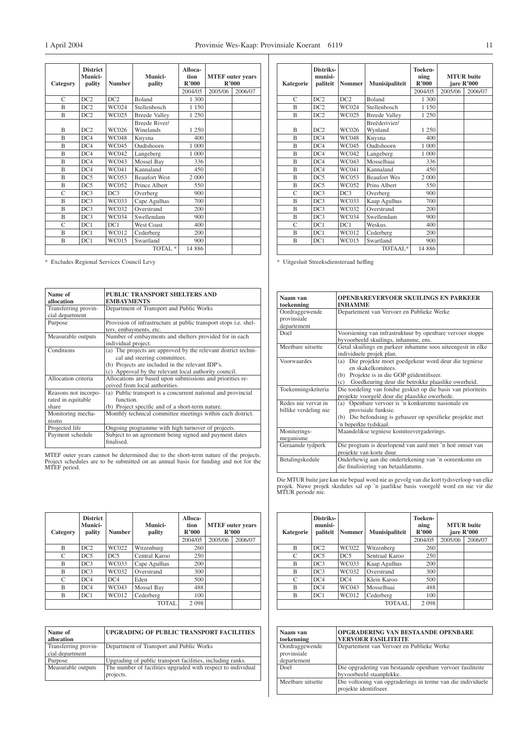| Category       | <b>District</b><br>Munici-<br>pality | <b>Number</b> | Munici-<br>pality          | Alloca-<br>tion<br>R'000 | <b>MTEF</b> outer years<br>R'000 |         |
|----------------|--------------------------------------|---------------|----------------------------|--------------------------|----------------------------------|---------|
|                |                                      |               |                            | 2004/05                  | 2005/06                          | 2006/07 |
| $\mathcal{C}$  | DC2                                  | DC2           | <b>Boland</b>              | 1 300                    |                                  |         |
| $\overline{B}$ | DC2                                  | <b>WC024</b>  | Stellenbosch               | 1 1 5 0                  |                                  |         |
| B              | DC2                                  | WC025         | <b>Breede Valley</b>       | 1 250                    |                                  |         |
| B              | DC2                                  | WC026         | Breede River/<br>Winelands | 1 250                    |                                  |         |
| B              | DC4                                  | <b>WC048</b>  | Knysna                     | 400                      |                                  |         |
| B              | DC4                                  | WC045         | Oudtshoorn                 | 1 000                    |                                  |         |
| B              | DC4                                  | WC042         | Langeberg                  | 1 000                    |                                  |         |
| B              | DC4                                  | WC043         | Mossel Bay                 | 336                      |                                  |         |
| B              | DC4                                  | WC041         | Kannaland                  | 450                      |                                  |         |
| B              | DC5                                  | WC053         | <b>Beaufort West</b>       | 2 000                    |                                  |         |
| B              | DC5                                  | WC052         | Prince Albert              | 550                      |                                  |         |
| $\overline{C}$ | DC3                                  | DC3           | Overberg                   | 900                      |                                  |         |
| B              | DC3                                  | WC033         | Cape Agulhas               | 700                      |                                  |         |
| B              | DC3                                  | WC032         | Overstrand                 | 200                      |                                  |         |
| B              | DC3                                  | <b>WC034</b>  | Swellendam                 | 900                      |                                  |         |
| C              | DC1                                  | DC1           | <b>West Coast</b>          | 400                      |                                  |         |
| B              | DC1                                  | WC012         | Cederberg                  | 200                      |                                  |         |
| B              | DC1                                  | WC015         | Swartland                  | 900                      |                                  |         |
|                |                                      |               | TOTAL <sup>*</sup>         | 14 886                   |                                  |         |

\* Excludes Regional Services Council Levy

| Name of<br>allocation                               | PUBLIC TRANSPORT SHELTERS AND<br><b>EMBAYMENTS</b>                                                                                                                                                             |
|-----------------------------------------------------|----------------------------------------------------------------------------------------------------------------------------------------------------------------------------------------------------------------|
| Transferring provin-<br>cial department             | Department of Transport and Public Works                                                                                                                                                                       |
| Purpose                                             | Provision of infrastructure at public transport stops <i>i.e.</i> shel-<br>ters, embayments, etc.                                                                                                              |
| Measurable outputs                                  | Number of embayments and shelters provided for in each<br>individual project.                                                                                                                                  |
| Conditions                                          | The projects are approved by the relevant district techni-<br>(a)<br>cal and steering committees.<br>(b) Projects are included in the relevant IDP's.<br>(c) Approval by the relevant local authority council. |
| Allocation criteria                                 | Allocations are based upon submissions and priorities re-<br>ceived from local authorities.                                                                                                                    |
| Reasons not incorpo-<br>rated in equitable<br>share | (a) Public transport is a concurrent national and provincial<br>function.<br>(b) Project specific and of a short-term nature.                                                                                  |
| Monitoring mecha-<br>nisms                          | Monthly technical committee meetings within each district.                                                                                                                                                     |
| Projected life                                      | Ongoing programme with high turnover of projects.                                                                                                                                                              |
| Payment schedule                                    | Subject to an agreement being signed and payment dates<br>finalised.                                                                                                                                           |

MTEF outer years cannot be determined due to the short-term nature of the projects. Project schedules are to be submitted on an annual basis for funding and not for the MTEF period.

| Category      | <b>District</b><br>Munici-<br>pality | <b>Number</b> | Munici-<br>pality | Alloca-<br>tion<br>R'000 | R'000   | <b>MTEF</b> outer years |
|---------------|--------------------------------------|---------------|-------------------|--------------------------|---------|-------------------------|
|               |                                      |               |                   | 2004/05                  | 2005/06 | 2006/07                 |
| B             | DC2                                  | WC022         | Witzenburg        | 260                      |         |                         |
| C             | DC5                                  | DC5           | Central Karoo     | 250                      |         |                         |
| B             | DC3                                  | WC033         | Cape Agulhas      | 200                      |         |                         |
| B             | DC3                                  | WC032         | Overstrand        | 300                      |         |                         |
| $\mathcal{C}$ | DC4                                  | DC4           | Eden              | 500                      |         |                         |
| B             | DC4                                  | WC043         | Mossel Bay        | 488                      |         |                         |
| B             | DC1                                  | WC012         | Cederberg         | 100                      |         |                         |
|               |                                      |               | <b>TOTAL</b>      | 2 0 9 8                  |         |                         |

| Name of              | <b>UPGRADING OF PUBLIC TRANSPORT FACILITIES</b>              |
|----------------------|--------------------------------------------------------------|
| allocation           |                                                              |
| Transferring provin- | Department of Transport and Public Works                     |
| cial department      |                                                              |
| Purpose              | Upgrading of public transport facilities, including ranks.   |
| Measurable outputs   | The number of facilities upgraded with respect to individual |
|                      | projects.                                                    |

| Kategorie      | Distriks-<br>munisi-<br>paliteit | <b>Nommer</b> | Munisipaliteit           | Toeken-<br>ning<br>R'000 |         | <b>MTUR</b> buite<br>jare R'000 |
|----------------|----------------------------------|---------------|--------------------------|--------------------------|---------|---------------------------------|
|                |                                  |               |                          | 2004/05                  | 2005/06 | 2006/07                         |
| C              | DC2                              | DC2           | <b>Boland</b>            | 1 300                    |         |                                 |
| B              | DC2                              | <b>WC024</b>  | Stellenbosch             | 1 1 5 0                  |         |                                 |
| $\overline{B}$ | DC2                              | WC025         | <b>Breede Valley</b>     | 1 250                    |         |                                 |
| B              | DC2                              | WC026         | Breëderivier/<br>Wynland | 1 2 5 0                  |         |                                 |
| B              | DC4                              | <b>WC048</b>  | Knysna                   | 400                      |         |                                 |
| B              | DC4                              | <b>WC045</b>  | Oudtshoorn               | 1 000                    |         |                                 |
| B              | DC4                              | WC042         | Langeberg                | 1 000                    |         |                                 |
| B              | DC4                              | WC043         | Mosselbaai               | 336                      |         |                                 |
| B              | DC4                              | WC041         | Kannaland                | 450                      |         |                                 |
| B              | DC5                              | WC053         | <b>Beaufort Wes</b>      | 2 000                    |         |                                 |
| B              | DC5                              | WC052         | Prins Albert             | 550                      |         |                                 |
| Ċ              | DC3                              | DC3           | Overberg                 | 900                      |         |                                 |
| B              | DC3                              | WC033         | Kaap Agulhus             | 700                      |         |                                 |
| B              | DC3                              | WC032         | Overstrand               | 200                      |         |                                 |
| B              | DC3                              | <b>WC034</b>  | Swellendam               | 900                      |         |                                 |
| C              | DC1                              | DC1           | Weskus.                  | 400                      |         |                                 |
| B              | DC1                              | WC012         | Cederberg                | 200                      |         |                                 |
| B              | DC1                              | WC015         | Swartland                | 900                      |         |                                 |
|                |                                  |               | TOTAAL*                  | 14 8 8 6                 |         |                                 |

\* Uitgesluit Streeksdiensteraad heffing

| Naam van              | <b>OPENBAREVERVOER SKUILINGS EN PARKEER</b>                   |
|-----------------------|---------------------------------------------------------------|
| toekenning            | <b>INHAMME</b>                                                |
| Oordraggewende        | Departement van Vervoer en Publieke Werke                     |
| provinsiale           |                                                               |
| departement           |                                                               |
| Doel                  | Voorsiening van infrastruktuur by openbare vervoer stoppe     |
|                       | byvoorbeeld skuilings, inhamme, ens.                          |
| Meetbare uitsette     | Getal skuilings en parkeer inhamme soos uiteengesit in elke   |
|                       | individuele projek plan.                                      |
| Voorwaardes           | Die projekte moet goedgekeur word deur die tegniese<br>(a)    |
|                       | en skakelkomitees.                                            |
|                       | Projekte is in die GOP geidentifiseer.<br>(b)                 |
|                       | Goedkeuring deur die betrokke plaaslike owerheid.<br>(c)      |
| Toekenningskriteria   | Die toedeling van fondse geskiet op die basis van prioriteits |
|                       | projekte voorgelê deur die plaaslike owerhede.                |
| Redes nie vervat in   | Openbare vervoer is 'n konkurente nasionale en<br>(a)         |
| billike verdeling nie | provisiale funksie.                                           |
|                       | (b) Die befondsing is gebaseer op spesifieke projekte met     |
|                       | 'n beperkte tydskaal.                                         |
| Moniterings-          | Maandelikse tegniese komiteevergaderings.                     |
| meganisme             |                                                               |
| Geraamde tydperk      | Die program is deurlopend van aard met 'n hoë omset van       |
|                       | projekte van korte duur.                                      |
| Betalingskedule       | Onderhewig aan die ondertekening van 'n ooreenkoms en         |
|                       | die finalisiering van betaaldatums.                           |

| Kategorie | Distriks-<br>munisi-<br>paliteit | Nommer | <b>Munisipaliteit</b> | Toeken-<br>ning<br>R'000 |         | <b>MTUR</b> buite<br>jare R'000 |
|-----------|----------------------------------|--------|-----------------------|--------------------------|---------|---------------------------------|
|           |                                  |        |                       | 2004/05                  | 2005/06 | 2006/07                         |
| B         | DC <sub>2</sub>                  | WC022  | Witzenberg            | 260                      |         |                                 |
| C         | DC5                              | DC5    | Sentraal Karoo        | 250                      |         |                                 |
| B         | DC3                              | WC033  | Kaap Agulhus          | 200                      |         |                                 |
| B         | DC3                              | WC032  | Overstrand            | 300                      |         |                                 |
| C         | DC4                              | DC4    | Klein Karoo           | 500                      |         |                                 |
| B         | DC4                              | WC043  | Mosselbaai            | 488                      |         |                                 |
| B         | DC1                              | WC012  | Cederberg             | 100                      |         |                                 |
|           |                                  |        | TOTAAL                | 2098                     |         |                                 |

| Naam van<br>toekenning                       | <b>OPGRADERING VAN BESTAANDE OPENBARE</b><br><b>VERVOER FASILITEITE</b>                |
|----------------------------------------------|----------------------------------------------------------------------------------------|
| Oordraggewende<br>provinsiale<br>departement | Departement van Vervoer en Publieke Werke                                              |
| Doel                                         | Die opgradering van bestaande openbare vervoer fasiliteite<br>byvoorbeeld staanplekke. |
| Meetbare uitsette                            | Die voltooing van opgraderings in terme van die individuele<br>projekte identifiseer.  |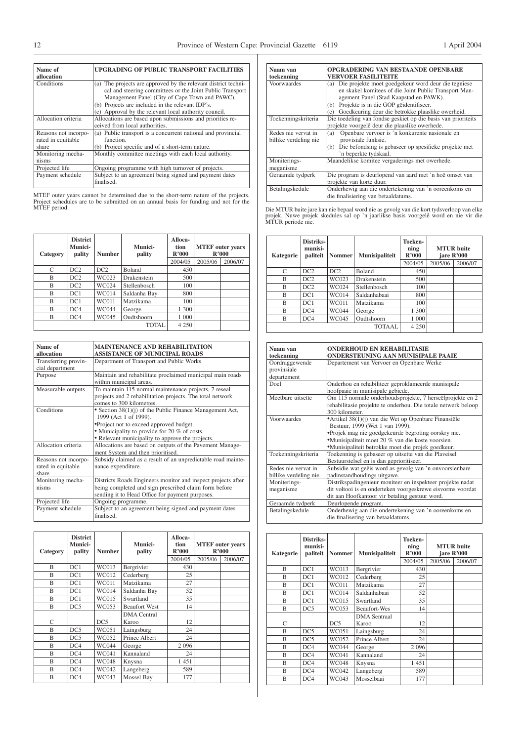| Name of<br>allocation                               | UPGRADING OF PUBLIC TRANSPORT FACILITIES                                                                                                                                                                                                                                                   |
|-----------------------------------------------------|--------------------------------------------------------------------------------------------------------------------------------------------------------------------------------------------------------------------------------------------------------------------------------------------|
| Conditions                                          | (a) The projects are approved by the relevant district techni-<br>cal and steering committees or the Joint Public Transport<br>Management Panel (City of Cape Town and PAWC).<br>(b) Projects are included in the relevant IDP's.<br>(c) Approval by the relevant local authority council. |
| Allocation criteria                                 | Allocations are based upon submissions and priorities re-<br>ceived from local authorities.                                                                                                                                                                                                |
| Reasons not incorpo-<br>rated in equitable<br>share | (a) Public transport is a concurrent national and provincial<br>function.<br>(b) Project specific and of a short-term nature.                                                                                                                                                              |
| Monitoring mecha-<br>nisms                          | Monthly committee meetings with each local authority.                                                                                                                                                                                                                                      |
| Projected life                                      | Ongoing programme with high turnover of projects.                                                                                                                                                                                                                                          |
| Payment schedule                                    | Subject to an agreement being signed and payment dates<br>finalised.                                                                                                                                                                                                                       |

MTEF outer years cannot be determined due to the short-term nature of the projects. Project schedules are to be submitted on an annual basis for funding and not for the MTEF period.

| Category | <b>District</b><br>Munici-<br>pality | <b>Number</b> | Munici-<br>pality | Alloca-<br>tion<br>R'000 | <b>MTEF</b> outer years | R'000   |
|----------|--------------------------------------|---------------|-------------------|--------------------------|-------------------------|---------|
|          |                                      |               |                   | 2004/05                  | 2005/06                 | 2006/07 |
| C        | DC2                                  | DC2           | <b>Boland</b>     | 450                      |                         |         |
| B        | DC2                                  | WC023         | Drakenstein       | 500                      |                         |         |
| B        | DC2                                  | <b>WC024</b>  | Stellenbosch      | 100                      |                         |         |
| B        | DC1                                  | <b>WC014</b>  | Saldanha Bay      | 800                      |                         |         |
| B        | DC1                                  | <b>WC011</b>  | Matzikama         | 100                      |                         |         |
| B        | DC4                                  | <b>WC044</b>  | George            | 1 300                    |                         |         |
| B        | DC4                                  | WC045         | Oudtshoorn        | 1 000                    |                         |         |
|          |                                      |               | TOTAL             | 4 2 5 0                  |                         |         |

| Name of              | <b>MAINTENANCE AND REHABILITATION</b>                                |
|----------------------|----------------------------------------------------------------------|
| allocation           | <b>ASSISTANCE OF MUNICIPAL ROADS</b>                                 |
| Transferring provin- | Department of Transport and Public Works                             |
| cial department      |                                                                      |
| Purpose              | Maintain and rehabilitate proclaimed municipal main roads            |
|                      | within municipal areas.                                              |
| Measurable outputs   | To maintain 115 normal maintenance projects, 7 reseal                |
|                      | projects and 2 rehabilitation projects. The total network            |
|                      | comes to 300 kilometres.                                             |
| Conditions           | • Section 38(1)(j) of the Public Finance Management Act,             |
|                      | 1999 (Act 1 of 1999).                                                |
|                      | •Project not to exceed approved budget.                              |
|                      | • Municipality to provide for 20 % of costs.                         |
|                      | • Relevant municipality to approve the projects.                     |
| Allocation criteria  | Allocations are based on outputs of the Pavement Manage-             |
|                      | ment System and then prioritised.                                    |
| Reasons not incorpo- | Subsidy claimed as a result of an unpredictable road mainte-         |
| rated in equitable   | nance expenditure.                                                   |
| share                |                                                                      |
| Monitoring mecha-    | Districts Roads Engineers monitor and inspect projects after         |
| nisms                | being completed and sign prescribed claim form before                |
|                      | sending it to Head Office for payment purposes.                      |
| Projected life       | Ongoing programme.                                                   |
| Payment schedule     | Subject to an agreement being signed and payment dates<br>finalised. |

| Category | <b>District</b><br><b>Munici-</b><br>pality | <b>Number</b> | Munici-<br>pality           | Alloca-<br>tion<br>R'000 |         | <b>MTEF</b> outer years<br>R'000 |
|----------|---------------------------------------------|---------------|-----------------------------|--------------------------|---------|----------------------------------|
|          |                                             |               |                             | 2004/05                  | 2005/06 | 2006/07                          |
| B        | DC1                                         | WC013         | Bergrivier                  | 430                      |         |                                  |
| B        | DC1                                         | WC012         | Cederberg                   | 25                       |         |                                  |
| B        | DC1                                         | <b>WC011</b>  | Matzikama                   | 27                       |         |                                  |
| B        | DC1                                         | <b>WC014</b>  | Saldanha Bay                | 52                       |         |                                  |
| B        | DC1                                         | WC015         | Swartland                   | 35                       |         |                                  |
| B        | DC5                                         | WC053         | <b>Beaufort West</b>        | 14                       |         |                                  |
| C        |                                             | DC5           | <b>DMA</b> Central<br>Karoo | 12                       |         |                                  |
| B        | DC5                                         | WC051         | Laingsburg                  | 24                       |         |                                  |
| B        | DC5                                         | WC052         | Prince Albert               | 24                       |         |                                  |
| B        | DC4                                         | <b>WC044</b>  | George                      | 2 0 9 6                  |         |                                  |
| R        | DC4                                         | WC041         | Kannaland                   | 24                       |         |                                  |
| B        | DC4                                         | <b>WC048</b>  | Knysna                      | 1451                     |         |                                  |
| B        | DC4                                         | WC042         | Langeberg                   | 589                      |         |                                  |
| B        | DC4                                         | WC043         | Mossel Bay                  | 177                      |         |                                  |

| Naam van              | OPGRADERING VAN BESTAANDE OPENBARE                            |  |  |  |  |
|-----------------------|---------------------------------------------------------------|--|--|--|--|
| toekenning            | VERVOER FASILITEITE                                           |  |  |  |  |
| Voorwaardes           | Die projekte moet goedgekeur word deur die tegniese<br>(a)    |  |  |  |  |
|                       | en skakel komitees of die Joint Public Transport Man-         |  |  |  |  |
|                       | agement Panel (Stad Kaapstad en PAWK).                        |  |  |  |  |
|                       | Projekte is in die GOP geidentifiseer.<br>(b)                 |  |  |  |  |
|                       | Goedkeuring deur die betrokke plaaslike owerheid.<br>(c)      |  |  |  |  |
| Toekenningskriteria   | Die toedeling van fondse geskiet op die basis van prioriteits |  |  |  |  |
|                       | projekte voorgelê deur die plaaslike owerhede.                |  |  |  |  |
| Redes nie vervat in   | Openbare vervoer is 'n konkurente nasionale en<br>(a)         |  |  |  |  |
| billike verdeling nie | provisiale funksie.                                           |  |  |  |  |
|                       | Die befondsing is gebaseer op spesifieke projekte met<br>(b)  |  |  |  |  |
|                       | 'n beperkte tydskaal.                                         |  |  |  |  |
| Moniterings-          | Maandelikse komitee vergaderings met owerhede.                |  |  |  |  |
| meganisme             |                                                               |  |  |  |  |
| Geraamde tydperk      | Die program is deurlopend van aard met 'n hoë omset van       |  |  |  |  |
|                       | projekte van korte duur.                                      |  |  |  |  |
| Betalingskedule       | Onderhewig aan die ondertekening van 'n ooreenkoms en         |  |  |  |  |
|                       | die finalisiering van betaaldatums.                           |  |  |  |  |

| Kategorie | Distriks-<br>munisi-<br>paliteit | <b>Nommer</b> | <b>Munisipaliteit</b> | Toeken-<br>ning<br>R'000 |         | <b>MTUR</b> buite<br>jare R'000 |
|-----------|----------------------------------|---------------|-----------------------|--------------------------|---------|---------------------------------|
|           |                                  |               |                       | 2004/05                  | 2005/06 | 2006/07                         |
| C         | DC2                              | DC2           | <b>Boland</b>         | 450                      |         |                                 |
| B         | DC2                              | WC023         | Drakenstein           | 500                      |         |                                 |
| B         | DC2                              | WC024         | Stellenbosch          | 100                      |         |                                 |
| B         | DC1                              | <b>WC014</b>  | Saldanhabaai          | 800                      |         |                                 |
| B         | DC1                              | WC011         | Matzikama             | 100                      |         |                                 |
| B         | DC4                              | <b>WC044</b>  | George                | 1 300                    |         |                                 |
| B         | DC4                              | WC045         | Oudtshoorn            | 1 000                    |         |                                 |
|           |                                  |               | <b>TOTAAL</b>         | 4 2 5 0                  |         |                                 |

| Naam van<br>toekenning                       | <b>ONDERHOUD EN REHABILITASIE</b><br><b>ONDERSTEUNING AAN MUNISIPALE PAAIE</b>                                                                                                                                                                             |
|----------------------------------------------|------------------------------------------------------------------------------------------------------------------------------------------------------------------------------------------------------------------------------------------------------------|
| Oordraggewende<br>provinsiale                | Departement van Vervoer en Openbare Werke                                                                                                                                                                                                                  |
| departement                                  |                                                                                                                                                                                                                                                            |
| Doel                                         | Onderhou en rehabiliteer geproklameerde munisipale<br>hoofpaaie in munisipale gebiede.                                                                                                                                                                     |
| Meetbare uitsette                            | Om 115 normale onderhoudsprojekte, 7 herseëlprojekte en 2<br>rehabilitasie projekte te onderhou. Die totale netwerk beloop<br>300 kilometer.                                                                                                               |
| Voorwaardes                                  | • Artikel 38(1)(j) van die Wet op Openbare Finansiële<br>Bestuur, 1999 (Wet 1 van 1999).<br>*Projek mag nie goedgekeurde begroting oorskry nie.<br>•Munisipaliteit moet 20 % van die koste voorsien.<br>*Munisipaliteit betrokke moet die projek goedkeur. |
| Toekenningskriteria                          | Toekenning is gebaseer op uitsette van die Plaveisel<br>Bestuurstelsel en is dan geprioritiseer.                                                                                                                                                           |
| Redes nie vervat in<br>billike verdeling nie | Subsidie wat geëis word as gevolg van 'n onvoorsienbare<br>padinstandhoudings uitgawe.                                                                                                                                                                     |
| Moniterings-<br>meganisme                    | Distrikspadingenieur moniteer en inspekteer projekte nadat<br>dit voltooi is en onderteken voorgeskrewe eisvorms voordat<br>dit aan Hoofkantoor vir betaling gestuur word.                                                                                 |
| Geraamde tydperk                             | Deurlopende program.                                                                                                                                                                                                                                       |
| Betalingskedule                              | Onderhewig aan die ondertekening van 'n ooreenkoms en<br>die finalisering van betaaldatums.                                                                                                                                                                |

| <b>Kategorie</b> | Distriks-<br>munisi-<br>paliteit | <b>Nommer</b> | <b>Munisipaliteit</b> | <b>Toeken-</b><br>ning<br>R'000 |         | <b>MTUR</b> buite<br>jare R'000 |
|------------------|----------------------------------|---------------|-----------------------|---------------------------------|---------|---------------------------------|
|                  |                                  |               |                       | 2004/05                         | 2005/06 | 2006/07                         |
| B                | DC1                              | WC013         | Bergrivier            | 430                             |         |                                 |
| B                | DC1                              | WC012         | Cederberg             | 25                              |         |                                 |
| B                | DC1                              | <b>WC011</b>  | Matzikama             | 27                              |         |                                 |
| B                | DC1                              | <b>WC014</b>  | Saldanhabaai          | 52                              |         |                                 |
| B                | DC1                              | WC015         | Swartland             | 35                              |         |                                 |
| B                | DC5                              | WC053         | Beaufort-Wes          | 14                              |         |                                 |
|                  |                                  |               | <b>DMA</b> Sentraal   |                                 |         |                                 |
| C                |                                  | DC5           | Karoo                 | 12                              |         |                                 |
| R                | DC5                              | WC051         | Laingsburg            | 24                              |         |                                 |
| B                | DC5                              | WC052         | Prince Albert         | 24                              |         |                                 |
| B                | DC4                              | <b>WC044</b>  | George                | 2 0 9 6                         |         |                                 |
| B                | DC4                              | WC041         | Kannaland             | 24                              |         |                                 |
| B                | DC4                              | <b>WC048</b>  | Knysna                | 1451                            |         |                                 |
| B                | DC4                              | WC042         | Langeberg             | 589                             |         |                                 |
| B                | DC4                              | WC043         | Mosselbaai            | 177                             |         |                                 |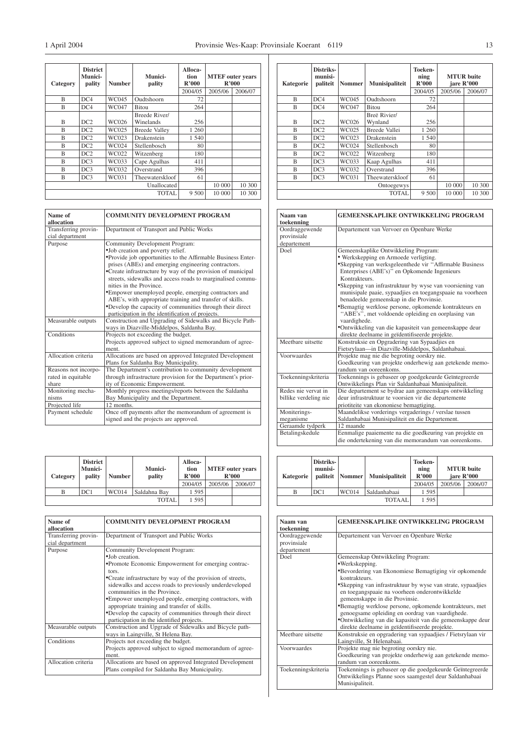┪

| Category | <b>District</b><br>Munici-<br>pality | <b>Number</b> | Munici-<br>pality    | Alloca-<br>tion<br>R'000 | <b>MTEF</b> outer years<br>R'000 |         |
|----------|--------------------------------------|---------------|----------------------|--------------------------|----------------------------------|---------|
|          |                                      |               |                      | 2004/05                  | 2005/06                          | 2006/07 |
| B        | DC4                                  | WC045         | Oudtshoorn           | 72                       |                                  |         |
| B        | DC4                                  | WC047         | <b>Bitou</b>         | 264                      |                                  |         |
|          |                                      |               | Breede River/        |                          |                                  |         |
| B        | DC2                                  | WC026         | Winelands            | 256                      |                                  |         |
| B        | DC2                                  | WC025         | <b>Breede Valley</b> | 1 260                    |                                  |         |
| B        | DC2                                  | WC023         | Drakenstein          | 1 540                    |                                  |         |
| B        | DC2                                  | <b>WC024</b>  | Stellenbosch         | 80                       |                                  |         |
| B        | DC2                                  | WC022         | Witzenberg           | 180                      |                                  |         |
| B        | DC3                                  | WC033         | Cape Agulhas         | 411                      |                                  |         |
| B        | DC3                                  | WC032         | Overstrand           | 396                      |                                  |         |
| B        | DC3                                  | WC031         | Theewaterskloof      | 61                       |                                  |         |
|          |                                      |               | Unallocated          |                          | 10 000                           | 10 300  |
|          |                                      |               | <b>TOTAL</b>         | 9 500                    | 10 000                           | 10 300  |

| Name of<br>allocation                   | <b>COMMUNITY DEVELOPMENT PROGRAM</b>                         |
|-----------------------------------------|--------------------------------------------------------------|
| Transferring provin-<br>cial department | Department of Transport and Public Works                     |
| Purpose                                 | Community Development Program:                               |
|                                         | .Job creation and poverty relief.                            |
|                                         | •Provide job opportunities to the Affirmable Business Enter- |
|                                         | prises (ABEs) and emerging engineering contractors.          |
|                                         | •Create infrastructure by way of the provision of municipal  |
|                                         | streets, sidewalks and access roads to marginalised commu-   |
|                                         | nities in the Province.                                      |
|                                         | •Empower unemployed people, emerging contractors and         |
|                                         | ABE's, with appropriate training and transfer of skills.     |
|                                         | •Develop the capacity of communities through their direct    |
|                                         | participation in the identification of projects.             |
| Measurable outputs                      | Construction and Upgrading of Sidewalks and Bicycle Path-    |
|                                         | ways in Diazville-Middelpos, Saldanha Bay.                   |
| Conditions                              | Projects not exceeding the budget.                           |
|                                         | Projects approved subject to signed memorandum of agree-     |
|                                         | ment.                                                        |
| Allocation criteria                     | Allocations are based on approved Integrated Development     |
|                                         | Plans for Saldanha Bay Municipality.                         |
| Reasons not incorpo-                    | The Department's contribution to community development       |
| rated in equitable                      | through infrastructure provision for the Department's prior- |
| share                                   | ity of Economic Empowerment.                                 |
| Monitoring mecha-                       | Monthly progress meetings/reports between the Saldanha       |
| nisms                                   | Bay Municipality and the Department.                         |
| Projected life                          | 12 months.                                                   |
| Payment schedule                        | Once off payments after the memorandum of agreement is       |
|                                         | signed and the projects are approved.                        |

| Category | <b>District</b><br><b>Munici-</b><br>pality | <b>Number</b> | <b>Munici-</b><br>pality | <b>Alloca-</b><br>tion<br>R'000<br>2004/05 | <b>MTEF</b> outer years<br>R'000<br>2005/06 | 2006/07 |
|----------|---------------------------------------------|---------------|--------------------------|--------------------------------------------|---------------------------------------------|---------|
| В        | DC1                                         | <b>WC014</b>  | Saldahna Bay             | 1 5 9 5                                    |                                             |         |
|          |                                             |               | TOTAL                    | 1 595                                      |                                             |         |

| Name of<br>allocation                   | <b>COMMUNITY DEVELOPMENT PROGRAM</b>                                                                      |
|-----------------------------------------|-----------------------------------------------------------------------------------------------------------|
| Transferring provin-<br>cial department | Department of Transport and Public Works                                                                  |
| Purpose                                 | Community Development Program:                                                                            |
|                                         | •Job creation.                                                                                            |
|                                         | •Promote Economic Empowerment for emerging contrac-<br>tors.                                              |
|                                         | •Create infrastructure by way of the provision of streets,                                                |
|                                         | sidewalks and access roads to previously underdeveloped<br>communities in the Province.                   |
|                                         | •Empower unemployed people, emerging contractors, with<br>appropriate training and transfer of skills.    |
|                                         | •Develop the capacity of communities through their direct<br>participation in the identified projects.    |
| Measurable outputs                      | Construction and Upgrade of Sidewalks and Bicycle path-                                                   |
|                                         | ways in Laingville, St Helena Bay.                                                                        |
| Conditions                              | Projects not exceeding the budget.                                                                        |
|                                         | Projects approved subject to signed memorandum of agree-<br>ment.                                         |
| Allocation criteria                     | Allocations are based on approved Integrated Development<br>Plans compiled for Saldanha Bay Municipality. |

| Kategorie | Distriks-<br>munisi-<br>paliteit | <b>Nommer</b> | <b>Munisipaliteit</b>   | Toeken-<br>ning<br>R'000 | <b>MTUR</b> buite<br>jare R'000 |         |
|-----------|----------------------------------|---------------|-------------------------|--------------------------|---------------------------------|---------|
|           |                                  |               |                         | 2004/05                  | 2005/06                         | 2006/07 |
| B         | DC4                              | WC045         | Oudtshoorn              | 72                       |                                 |         |
| B         | DC4                              | WC047         | <b>Bitou</b>            | 264                      |                                 |         |
| B         | DC <sub>2</sub>                  | WC026         | Breë Rivier/<br>Wynland | 256                      |                                 |         |
| R         | DC2                              | WC025         | Breede Vallei           | 1 260                    |                                 |         |
| B         | DC2                              | WC023         | Drakenstein             | 1 540                    |                                 |         |
| B         | DC2                              | WC024         | Stellenbosch            | 80                       |                                 |         |
| R         | DC2                              | WC022         | Witzenberg              | 180                      |                                 |         |
| R         | DC3                              | WC033         | Kaap Agulhas            | 411                      |                                 |         |
| B         | DC3                              | WC032         | Overstrand              | 396                      |                                 |         |
| B         | DC3                              | WC031         | Theewaterskloof         | 61                       |                                 |         |
|           |                                  |               | Ontoegewys              |                          | 10 000                          | 10 300  |
|           |                                  |               | <b>TOTAL</b>            | 9 500                    | 10 000                          | 10 300  |

| Naam van<br>toekenning                       | <b>GEMEENSKAPLIKE ONTWIKKELING PROGRAM</b>                                                                                                                                                                                                                                                                                                                                                                                                                                                                                                                                                                               |
|----------------------------------------------|--------------------------------------------------------------------------------------------------------------------------------------------------------------------------------------------------------------------------------------------------------------------------------------------------------------------------------------------------------------------------------------------------------------------------------------------------------------------------------------------------------------------------------------------------------------------------------------------------------------------------|
| Oordraggewende<br>provinsiale<br>departement | Departement van Vervoer en Openbare Werke                                                                                                                                                                                                                                                                                                                                                                                                                                                                                                                                                                                |
| Doel                                         | Gemeenskaplike Ontwikkeling Program:<br>• Werkskepping en Armoede verligting.<br>*Skepping van werksgeleenthede vir "Affirmable Business<br>Enterprises (ABE's)" en Opkomende Ingenieurs<br>Kontrakteurs.<br>•Skepping van infrastruktuur by wyse van voorsiening van<br>munisipale paaie, sypaadjies en toegangspaaie na voorheen<br>benadeelde gemeenskap in die Provinsie.<br>*Bemagtig werklose persone, opkomende kontrakteurs en<br>"ABE's", met voldoende opleiding en oorplasing van<br>vaardighede.<br>•Ontwikkeling van die kapasiteit van gemeenskappe deur<br>direkte deelname in geïdentifiseerde projekte. |
| Meethare uitsette                            | Konstruksie en Opgradering van Sypaadjies en<br>Fietsrylaan-in Diazville-Middelpos, Saldanhabaai.                                                                                                                                                                                                                                                                                                                                                                                                                                                                                                                        |
| Voorwaardes                                  | Projekte mag nie die begroting oorskry nie.<br>Goedkeuring van projekte onderhewig aan getekende memo-<br>randum van ooreenkoms.                                                                                                                                                                                                                                                                                                                                                                                                                                                                                         |
| Toekenningskriteria                          | Toekennings is gebaseer op goedgekeurde Geïntegreerde<br>Ontwikkelings Plan vir Saldanhabaai Munisipaliteit.                                                                                                                                                                                                                                                                                                                                                                                                                                                                                                             |
| Redes nie vervat in<br>billike verdeling nie | Die departement se bydrae aan gemeenskaps ontwikkeling<br>deur infrastruktuur te voorsien vir die departemente<br>priotiteite van ekononiese bemagtiging.                                                                                                                                                                                                                                                                                                                                                                                                                                                                |
| Moniterings-<br>meganisme                    | Maandelikse vorderings vergaderings / verslae tussen<br>Saldanhabaai Munisipaliteit en die Departement.                                                                                                                                                                                                                                                                                                                                                                                                                                                                                                                  |
| Geraamde tydperk                             | 12 maande                                                                                                                                                                                                                                                                                                                                                                                                                                                                                                                                                                                                                |
| Betalingskedule                              | Eenmalige paaiemente na die goedkeuring van projekte en<br>die ondertekening van die memorandum van ooreenkoms.                                                                                                                                                                                                                                                                                                                                                                                                                                                                                                          |

| Kategorie | Distriks-<br>munisi-<br>paliteit | Nommer | <b>Munisipaliteit</b> | Toeken-<br>ning<br>R'000 |         | <b>MTUR</b> buite<br>jare R'000 |
|-----------|----------------------------------|--------|-----------------------|--------------------------|---------|---------------------------------|
|           |                                  |        |                       | 2004/05                  | 2005/06 | 2006/07                         |
| В         | DC1                              | WC014  | Saldanhabaai          | 1595                     |         |                                 |
|           |                                  |        | <b>TOTAAL</b>         | 1 5 9 5                  |         |                                 |

| Naam van<br>toekenning                       | <b>GEMEENSKAPLIKE ONTWIKKELING PROGRAM</b>                                                                                                                                                                                  |
|----------------------------------------------|-----------------------------------------------------------------------------------------------------------------------------------------------------------------------------------------------------------------------------|
| Oordraggewende<br>provinsiale<br>departement | Departement van Vervoer en Openbare Werke                                                                                                                                                                                   |
| Doel                                         | Gemeenskap Ontwikkeling Program:<br>•Werkskepping.                                                                                                                                                                          |
|                                              | *Bevordering van Ekonomiese Bemagtiging vir opkomende<br>kontrakteurs.                                                                                                                                                      |
|                                              | •Skepping van infrastruktuur by wyse van strate, sypaadjies<br>en toegangspaaie na voorheen onderontwikkelde<br>gemeenskappe in die Provinsie.                                                                              |
|                                              | •Bemagtig werklose persone, opkomende kontrakteurs, met<br>genoegsame opleiding en oordrag van vaardighede.<br>•Ontwikkeling van die kapasiteit van die gemeenskappe deur<br>direkte deelname in geïdentifiseerde projekte. |
| Meetbare uitsette                            | Konstruksie en opgradering van sypaadjies / Fietsrylaan vir<br>Laingville, St Helenabaai.                                                                                                                                   |
| Voorwaardes                                  | Projekte mag nie begroting oorskry nie.<br>Goedkeuring van projekte onderhewig aan getekende memo-<br>randum van ooreenkoms.                                                                                                |
| Toekenningskriteria                          | Toekennings is gebaseer op die goedgekeurde Geïntegreerde<br>Ontwikkelings Planne soos saamgestel deur Saldanhabaai<br>Munisipaliteit.                                                                                      |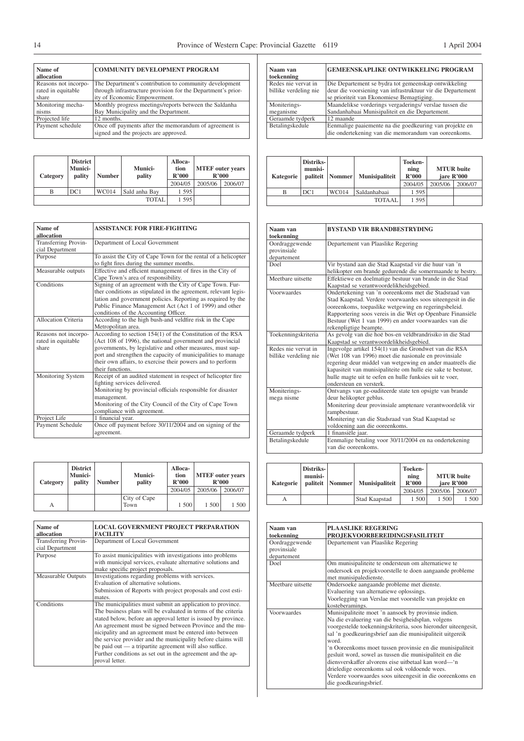| Name of<br>allocation | <b>COMMUNITY DEVELOPMENT PROGRAM</b>                         |
|-----------------------|--------------------------------------------------------------|
| Reasons not incorpo-  | The Department's contribution to community development       |
| rated in equitable    | through infrastructure provision for the Department's prior- |
| share                 | ity of Economic Empowerment.                                 |
| Monitoring mecha-     | Monthly progress meetings/reports between the Saldanha       |
| nisms                 | Bay Municipality and the Department.                         |
| Projected life        | 12 months.                                                   |
| Payment schedule      | Once off payments after the memorandum of agreement is       |
|                       | signed and the projects are approved.                        |

| Category | <b>District</b><br><b>Munici-</b><br>pality | <b>Number</b> | <b>Munici-</b><br>pality | Alloca-<br>tion<br>R'000 | <b>MTEF</b> outer years | R'000   |
|----------|---------------------------------------------|---------------|--------------------------|--------------------------|-------------------------|---------|
|          |                                             |               |                          | 2004/05                  | 2005/06                 | 2006/07 |
| В        | DC1                                         | <b>WC014</b>  | Sald anha Bay            | 1 595                    |                         |         |
|          |                                             |               | <b>TOTAL</b>             | 1 5 9 5                  |                         |         |

| Name of<br>allocation                               | <b>ASSISTANCE FOR FIRE-FIGHTING</b>                                                                                                                                                                                                                                                                                                    |
|-----------------------------------------------------|----------------------------------------------------------------------------------------------------------------------------------------------------------------------------------------------------------------------------------------------------------------------------------------------------------------------------------------|
| Transferring Provin-<br>cial Department             | Department of Local Government                                                                                                                                                                                                                                                                                                         |
| Purpose                                             | To assist the City of Cape Town for the rental of a helicopter<br>to fight fires during the summer months.                                                                                                                                                                                                                             |
| Measurable outputs                                  | Effective and efficient management of fires in the City of<br>Cape Town's area of responsibility.                                                                                                                                                                                                                                      |
| Conditions                                          | Signing of an agreement with the City of Cape Town. Fur-<br>ther conditions as stipulated in the agreement, relevant legis-<br>lation and government policies. Reporting as required by the<br>Public Finance Management Act (Act 1 of 1999) and other<br>conditions of the Accounting Officer.                                        |
| Allocation Criteria                                 | According to the high bush-and veldfire risk in the Cape<br>Metropolitan area.                                                                                                                                                                                                                                                         |
| Reasons not incorpo-<br>rated in equitable<br>share | According to section 154(1) of the Constitution of the RSA<br>(Act 108 of 1996), the national government and provincial<br>governments, by legislative and other measures, must sup-<br>port and strengthen the capacity of municipalities to manage<br>their own affairs, to exercise their powers and to perform<br>their functions. |
| Monitoring System                                   | Receipt of an audited statement in respect of helicopter fire<br>fighting services delivered.<br>Monitoring by provincial officials responsible for disaster<br>management.<br>Monitoring of the City Council of the City of Cape Town<br>compliance with agreement.                                                                   |
| Project Life                                        | 1 financial vear.                                                                                                                                                                                                                                                                                                                      |
| Payment Schedule                                    | Once off payment before 30/11/2004 and on signing of the<br>agreement.                                                                                                                                                                                                                                                                 |

| Category | <b>District</b><br><b>Munici-</b><br>pality | <b>Number</b> | <b>Munici-</b><br>pality | Alloca-<br>tion<br>R'000<br>2004/05 | <b>MTEF</b> outer years<br>R'000<br>2005/06 | 2006/07 |
|----------|---------------------------------------------|---------------|--------------------------|-------------------------------------|---------------------------------------------|---------|
|          |                                             |               |                          |                                     |                                             |         |
| А        |                                             |               | City of Cape<br>Town     | 1 500                               | 1 500                                       | 1 500   |

| Name of<br>allocation | <b>LOCAL GOVERNMENT PROJECT PREPARATION</b><br><b>FACILITY</b> |
|-----------------------|----------------------------------------------------------------|
| Transferring Provin-  | Department of Local Government                                 |
| cial Department       |                                                                |
| Purpose               | To assist municipalities with investigations into problems     |
|                       | with municipal services, evaluate alternative solutions and    |
|                       | make specific project proposals.                               |
| Measurable Outputs    | Investigations regarding problems with services.               |
|                       | Evaluation of alternative solutions.                           |
|                       | Submission of Reports with project proposals and cost esti-    |
|                       | mates.                                                         |
| Conditions            | The municipalities must submit an application to province.     |
|                       | The business plans will be evaluated in terms of the criteria  |
|                       | stated below, before an approval letter is issued by province. |
|                       | An agreement must be signed between Province and the mu-       |
|                       | nicipality and an agreement must be entered into between       |
|                       | the service provider and the municipality before claims will   |
|                       | be paid out — a tripartite agreement will also suffice.        |
|                       | Further conditions as set out in the agreement and the ap-     |
|                       | proval letter.                                                 |
|                       |                                                                |

| Naam van              | <b>GEMEENSKAPLIKE ONTWIKKELING PROGRAM</b>                  |
|-----------------------|-------------------------------------------------------------|
| toekenning            |                                                             |
| Redes nie vervat in   | Die Departement se bydra tot gemeenskap ontwikkeling        |
| billike verdeling nie | deur die voorsiening van infrastruktuur vir die Departement |
|                       | se prioriteit van Ekonomiese Bemagtiging.                   |
| Moniterings-          | Maandelikse vorderings vergaderings/ verslae tussen die     |
| meganisme             | Sandanhabaai Munisipaliteit en die Departement.             |
| Geraamde tydperk      | 12 maande                                                   |
| Betalingskedule       | Eenmalige paaiemente na die goedkeuring van projekte en     |
|                       | die ondertekening van die memorandum van ooreenkoms.        |

| <b>Kategorie</b> | Distriks-<br>munisi-<br>paliteit | Nommer       | <b>Munisipaliteit</b> | Toeken-<br>ning<br>R'000<br>2004/05 | 2005/06 | <b>MTUR</b> buite<br>jare R'000<br>2006/07 |
|------------------|----------------------------------|--------------|-----------------------|-------------------------------------|---------|--------------------------------------------|
|                  |                                  |              |                       |                                     |         |                                            |
| В                | DC1                              | <b>WC014</b> | Saldanhabaai          | 1 5 9 5                             |         |                                            |
|                  |                                  |              | TOTAAL                | 1 5 9 5                             |         |                                            |

| Naam van<br>toekenning                       | <b>BYSTAND VIR BRANDBESTRYDING</b>                                                                                                                                                                                                                                                                                               |
|----------------------------------------------|----------------------------------------------------------------------------------------------------------------------------------------------------------------------------------------------------------------------------------------------------------------------------------------------------------------------------------|
| Oordraggewende<br>provinsiale<br>departement | Departement van Plaaslike Regering                                                                                                                                                                                                                                                                                               |
| Doel                                         | Vir bystand aan die Stad Kaapstad vir die huur van 'n<br>helikopter om brande gedurende die somermaande te bestry.                                                                                                                                                                                                               |
| Meethare uitsette                            | Effektiewe en doelmatige bestuur van brande in die Stad<br>Kaapstad se verantwoordelikheidsgebied.                                                                                                                                                                                                                               |
| Voorwaardes                                  | Ondertekening van 'n ooreenkoms met die Stadsraad van<br>Stad Kaapstad. Verdere voorwaardes soos uiteengesit in die<br>ooreenkoms, toepaslike wetgewing en regeringsbeleid.<br>Rapportering soos vereis in die Wet op Openbare Finansiële<br>Bestuur (Wet 1 van 1999) en ander voorwaardes van die<br>rekenpligtige beampte.     |
| Toekenningskriteria                          | As gevolg van die hoë bos-en veldbrandrisiko in die Stad<br>Kaapstad se verantwoordelikheidsgebied.                                                                                                                                                                                                                              |
| Redes nie vervat in<br>billike verdeling nie | Ingevolge artikel 154(1) van die Grondwet van die RSA<br>(Wet 108 van 1996) moet die nasionale en provinsiale<br>regering deur middel van wetgewing en ander maatreëls die<br>kapasiteit van munisipaliteite om hulle eie sake te bestuur,<br>hulle magte uit te oefen en hulle funksies uit te voer,<br>ondersteun en versterk. |
| Moniterings-<br>mega nisme                   | Ontvangs van ge-ouditeerde state ten opsigte van brande<br>deur helikopter geblus.<br>Monitering deur provinsiale amptenare verantwoordelik vir<br>rampbestuur.<br>Monitering van die Stadsraad van Stad Kaapstad se<br>voldoening aan die ooreenkoms.                                                                           |
| Geraamde tydperk                             | 1 finansiële jaar.                                                                                                                                                                                                                                                                                                               |
| Betalingskedule                              | Eenmalige betaling voor 30/11/2004 en na ondertekening<br>van die ooreenkoms.                                                                                                                                                                                                                                                    |

| <b>Kategorie</b> | Distriks-<br>munisi-<br>paliteit | Nommer | <b>Munisipaliteit</b> | Toeken-<br>ning<br>R'000<br>2004/05 | <b>MTUR</b> buite<br>jare R'000<br>2005/06 | 2006/07 |
|------------------|----------------------------------|--------|-----------------------|-------------------------------------|--------------------------------------------|---------|
| А                |                                  |        | Stad Kaapstad         | 1 500                               | 1.500                                      | 1 500   |

| Naam van<br>toekenning                       | <b>PLAASLIKE REGERING</b><br>PROJEKVOORBEREIDINGSFASILITEIT                                                                                                                                                                                                                                                                                                                                                                                                                                                                                                            |
|----------------------------------------------|------------------------------------------------------------------------------------------------------------------------------------------------------------------------------------------------------------------------------------------------------------------------------------------------------------------------------------------------------------------------------------------------------------------------------------------------------------------------------------------------------------------------------------------------------------------------|
| Oordraggewende<br>provinsiale<br>departement | Departement van Plaaslike Regering                                                                                                                                                                                                                                                                                                                                                                                                                                                                                                                                     |
| Doel                                         | Om munisipaliteite te ondersteun om alternatiewe te<br>ondersoek en projekvoorstelle te doen aangaande probleme<br>met munisipaledienste.                                                                                                                                                                                                                                                                                                                                                                                                                              |
| Meethare uitsette                            | Ondersoeke aangaande probleme met dienste.<br>Evaluering van alternatiewe oplossings.<br>Voorlegging van Verslae met voorstelle van projekte en<br>kosteberamings.                                                                                                                                                                                                                                                                                                                                                                                                     |
| Voorwaardes                                  | Munisipaliteite moet 'n aansoek by provinsie indien.<br>Na die evaluering van die besigheidsplan, volgens<br>voorgestelde toekenningskriteria, soos hieronder uiteengesit,<br>sal 'n goedkeuringsbrief aan die munisipaliteit uitgereik<br>word<br>'n Ooreenkoms moet tussen provinsie en die munisipaliteit<br>gesluit word, sowel as tussen die munisipaliteit en die<br>diensverskaffer alvorens eise uitbetaal kan word—'n<br>drieledige ooreenkoms sal ook voldoende wees.<br>Verdere voorwaardes soos uiteengesit in die ooreenkoms en<br>die goedkeuringsbrief. |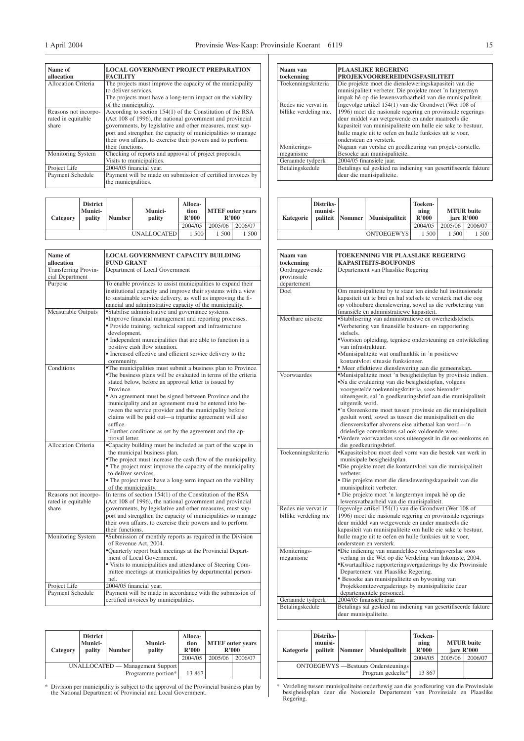$\exists$ 

| Name of                    | <b>LOCAL GOVERNMENT PROJECT PREPARATION</b>                  |
|----------------------------|--------------------------------------------------------------|
| allocation                 | <b>FACILITY</b>                                              |
| <b>Allocation Criteria</b> | The projects must improve the capacity of the municipality   |
|                            | to deliver services.                                         |
|                            | The projects must have a long-term impact on the viability   |
|                            | of the municipality.                                         |
| Reasons not incorpo-       | According to section 154(1) of the Constitution of the RSA   |
| rated in equitable         | (Act 108 of 1996), the national government and provincial    |
| share                      | governments, by legislative and other measures, must sup-    |
|                            | port and strengthen the capacity of municipalities to manage |
|                            | their own affairs, to exercise their powers and to perform   |
|                            | their functions.                                             |
| Monitoring System          | Checking of reports and approval of project proposals.       |
|                            | Visits to municipalities.                                    |
| Project Life               | 2004/05 financial year.                                      |
| Payment Schedule           | Payment will be made on submission of certified invoices by  |
|                            | the municipalities.                                          |

| Category | <b>District</b><br>Munici-<br>pality | <b>Number</b> | <b>Munici-</b><br>pality | Alloca-<br>tion<br>R'000 | <b>MTEF</b> outer years | R'000   |
|----------|--------------------------------------|---------------|--------------------------|--------------------------|-------------------------|---------|
|          |                                      |               |                          | 2004/05                  | 2005/06                 | 2006/07 |
|          |                                      |               | <b>UNALLOCATED</b>       | 1 500                    | 1 500                   | 1 500   |

| Name of                                             | LOCAL GOVERNMENT CAPACITY BUILDING                                                                                                                                                                                                                                                                                                      |
|-----------------------------------------------------|-----------------------------------------------------------------------------------------------------------------------------------------------------------------------------------------------------------------------------------------------------------------------------------------------------------------------------------------|
| allocation                                          | <b>FUND GRANT</b>                                                                                                                                                                                                                                                                                                                       |
| Transferring Provin-                                | Department of Local Government                                                                                                                                                                                                                                                                                                          |
| cial Department                                     |                                                                                                                                                                                                                                                                                                                                         |
| Purpose                                             | To enable provinces to assist municipalities to expand their<br>institutional capacity and improve their systems with a view<br>to sustainable service delivery, as well as improving the fi-<br>nancial and administrative capacity of the municipality.                                                                               |
| Measurable Outputs                                  | *Stabilise administrative and governance systems.<br>•Improve financial management and reporting processes.<br>• Provide training, technical support and infrastructure                                                                                                                                                                 |
|                                                     | development.<br>• Independent municipalities that are able to function in a<br>positive cash flow situation.                                                                                                                                                                                                                            |
|                                                     | • Increased effective and efficient service delivery to the<br>community.                                                                                                                                                                                                                                                               |
| Conditions                                          | •The municipalities must submit a business plan to Province.<br>•The business plans will be evaluated in terms of the criteria<br>stated below, before an approval letter is issued by<br>Province.                                                                                                                                     |
|                                                     | • An agreement must be signed between Province and the<br>municipality and an agreement must be entered into be-<br>tween the service provider and the municipality before<br>claims will be paid out—a tripartite agreement will also<br>suffice.                                                                                      |
|                                                     | • Further conditions as set by the agreement and the ap-<br>proval letter.                                                                                                                                                                                                                                                              |
| <b>Allocation Criteria</b>                          | •Capacity building must be included as part of the scope in<br>the municipal business plan.<br>•The project must increase the cash flow of the municipality.                                                                                                                                                                            |
|                                                     | • The project must improve the capacity of the municipality<br>to deliver services.<br>• The project must have a long-term impact on the viability                                                                                                                                                                                      |
|                                                     | of the municipality.                                                                                                                                                                                                                                                                                                                    |
| Reasons not incorpo-<br>rated in equitable<br>share | In terms of section $154(1)$ of the Constitution of the RSA<br>(Act 108 of 1996), the national government and provincial<br>governments, by legislative and other measures, must sup-<br>port and strengthen the capacity of municipalities to manage<br>their own affairs, to exercise their powers and to perform<br>their functions. |
| Monitoring System                                   | •Submission of monthly reports as required in the Division                                                                                                                                                                                                                                                                              |
|                                                     | of Revenue Act, 2004.<br>•Quarterly report back meetings at the Provincial Depart-<br>ment of Local Government.<br>• Visits to municipalities and attendance of Steering Com-<br>mittee meetings at municipalities by departmental person-<br>nel.                                                                                      |
| Project Life                                        | 2004/05 financial year.                                                                                                                                                                                                                                                                                                                 |
| Payment Schedule                                    | Payment will be made in accordance with the submission of<br>certified invoices by municipalities.                                                                                                                                                                                                                                      |

| Category                                               | <b>District</b><br>Munici-<br>pality | <b>Number</b> | <b>Munici-</b><br>pality | Alloca-<br>tion<br>R'000<br>2004/05 | <b>MTEF</b> outer years<br>R'000<br>2005/06 | 2006/07 |
|--------------------------------------------------------|--------------------------------------|---------------|--------------------------|-------------------------------------|---------------------------------------------|---------|
| UNALLOCATED — Management Support<br>Programme portion* |                                      |               |                          | 13 867                              |                                             |         |

\* Division per municipality is subject to the approval of the Provincial business plan by the National Department of Provincial and Local Government.

| Naam van<br>toekenning | <b>PLAASLIKE REGERING</b><br><b>PROJEKVOORBEREIDINGSFASILITEIT</b> |
|------------------------|--------------------------------------------------------------------|
| Toekenningskriteria    | Die projekte moet die diensleweringskapasiteit van die             |
|                        | munisipaliteit verbeter. Die projekte moet 'n langtermyn           |
|                        | impak hê op die lewensvatbaarheid van die munisipaliteit.          |
| Redes nie vervat in    | Ingevolge artikel 154(1) van die Grondwet (Wet 108 of              |
| billike verdeling nie. | 1996) moet die nasionale regering en provinsiale regerings         |
|                        | deur middel van wetgewende en ander maatreëls die                  |
|                        | kapasiteit van munisipaliteite om hulle eie sake te bestuur,       |
|                        | hulle magte uit te oefen en hulle funksies uit te voer,            |
|                        | ondersteun en versterk.                                            |
| Moniterings-           | Nagaan van verslae en goedkeuring van projekvoorstelle.            |
| meganisme              | Besoeke aan munisipaliteite.                                       |
| Geraamde tydperk       | 2004/05 finansiële jaar.                                           |
| Betalingskedule        | Betalings sal geskied na indiening van gesertifiseerde fakture     |
|                        | deur die munisipaliteite.                                          |

| Kategorie | Distriks-<br>munisi- | paliteit   Nommer | <b>Munisipaliteit</b> | Toeken-<br>ning<br>R'000 | <b>MTUR</b> buite<br>iare R'000 |         |
|-----------|----------------------|-------------------|-----------------------|--------------------------|---------------------------------|---------|
|           |                      |                   |                       | 2004/05                  | 2005/06                         | 2006/07 |
|           |                      |                   | <b>ONTOEGEWYS</b>     | 1 500                    | 1 500                           | 1 500   |

| Naam van<br>toekenning | <b>TOEKENNING VIR PLAASLIKE REGERING</b><br><b>KAPASITEITS-BOUFONDS</b> |
|------------------------|-------------------------------------------------------------------------|
| Oordraggewende         | Departement van Plaaslike Regering                                      |
| provinsiale            |                                                                         |
| departement            |                                                                         |
| Doel                   | Om munisipaliteite by te staan ten einde hul institusionele             |
|                        | kapasiteit uit te brei en hul stelsels te versterk met die oog          |
|                        | op volhoubare dienslewering, sowel as die verbetering van               |
|                        | finansiële en administratiewe kapasiteit.                               |
| Meetbare uitsette      | *Stabilisering van administratiewe en owerheidstelsels.                 |
|                        | •Verbetering van finansiële bestuurs- en rapportering                   |
|                        | stelsels.                                                               |
|                        | •Voorsien opleiding, tegniese ondersteuning en ontwikkeling             |
|                        | van infrastruktuur.                                                     |
|                        | *Munisipaliteite wat onafhanklik in 'n positiewe                        |
|                        | kontantvloei situasie funksioneer.                                      |
|                        | · Meer effektiewe dienslewering aan die gemeenskap.                     |
| Voorwaardes            | •Munisipaliteite moet 'n besigheidsplan by provinsie indien.            |
|                        | .Na die evaluering van die besigheidsplan, volgens                      |
|                        | voorgestelde toekenningskriteria, soos hieronder                        |
|                        |                                                                         |
|                        | uiteengesit, sal 'n goedkeuringsbrief aan die munisipaliteit            |
|                        | uitgereik word.                                                         |
|                        | •'n Ooreenkoms moet tussen provinsie en die munisipaliteit              |
|                        | gesluit word, sowel as tussen die munisipaliteit en die                 |
|                        | diensverskaffer alvorens eise uitbetaal kan word-'n                     |
|                        | drieledige ooreenkoms sal ook voldoende wees.                           |
|                        | •Verdere voorwaardes soos uiteengesit in die ooreenkoms en              |
|                        | die goedkeuringsbrief.                                                  |
| Toekenningskriteria    | *Kapasiteitsbou moet deel vorm van die bestek van werk in               |
|                        | munisipale besigheidsplan.                                              |
|                        | •Die projekte moet die kontantvloei van die munisipaliteit              |
|                        | verbeter.                                                               |
|                        | · Die projekte moet die diensleweringskapasiteit van die                |
|                        | munisipaliteit verbeter.                                                |
|                        | · Die projekte moet 'n langtermyn impak hê op die                       |
|                        | lewensvatbaarheid van die munisipaliteit.                               |
| Redes nie vervat in    | Ingevolge artikel 154(1) van die Grondwet (Wet 108 of                   |
| billike verdeling nie  | 1996) moet die nasionale regering en provinsiale regerings              |
|                        | deur middel van wetgewende en ander maatreëls die                       |
|                        | kapasiteit van munisipaliteite om hulle eie sake te bestuur,            |
|                        | hulle magte uit te oefen en hulle funksies uit te voer,                 |
|                        | ondersteun en versterk.                                                 |
| Moniterings-           | *Die indiening van maandelikse vorderingsverslae soos                   |
| meganisme              | verlang in die Wet op die Verdeling van Inkomste, 2004.                 |
|                        | •Kwartaallikse rapporteringsvergaderings by die Provinsiale             |
|                        | Departement van Plaaslike Regering.                                     |
|                        | · Besoeke aan munisipaliteite en bywoning van                           |
|                        | Projekkomiteevergaderings by munisipaliteite deur                       |
|                        | departementele personeel.                                               |
| Geraamde tydperk       | 2004/05 finansiële jaar.                                                |
| Betalingskedule        | Betalings sal geskied na indiening van gesertifiseerde fakture          |
|                        | deur munisipaliteite.                                                   |

| Kategorie                                   | Distriks-<br>munisi-<br>paliteit | Nommer | <b>Munisipaliteit</b> | Toeken-<br>ning<br>R'000 |         | <b>MTUR</b> buite<br>jare R'000 |
|---------------------------------------------|----------------------------------|--------|-----------------------|--------------------------|---------|---------------------------------|
|                                             |                                  |        |                       | 2004/05                  | 2005/06 | 2006/07                         |
| <b>ONTOEGEWYS</b> — Bestuurs Ondersteunings |                                  |        |                       |                          |         |                                 |
|                                             |                                  |        | Program gedeelte*     | 13 867                   |         |                                 |

\* Verdeling tussen munisipaliteite onderhewig aan die goedkeuring van die Provinsiale besigheidsplan deur die Nasionale Departement van Provinsiale en Plaaslike Regering.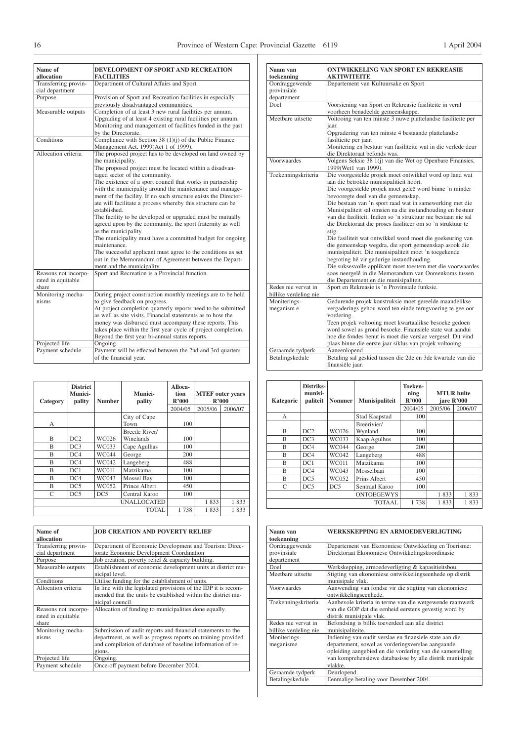| Name of<br>allocation                               | DEVELOPMENT OF SPORT AND RECREATION<br><b>FACILITIES</b>                                                                                                                                                                                                                                                                                                                                                                                                                                                                                                                                                                                                                                                                                                                                                                                        |
|-----------------------------------------------------|-------------------------------------------------------------------------------------------------------------------------------------------------------------------------------------------------------------------------------------------------------------------------------------------------------------------------------------------------------------------------------------------------------------------------------------------------------------------------------------------------------------------------------------------------------------------------------------------------------------------------------------------------------------------------------------------------------------------------------------------------------------------------------------------------------------------------------------------------|
| Transferring provin-<br>cial department             | Department of Cultural Affairs and Sport                                                                                                                                                                                                                                                                                                                                                                                                                                                                                                                                                                                                                                                                                                                                                                                                        |
| Purpose                                             | Provision of Sport and Recreation facilities in especially<br>previously disadvantaged communities.                                                                                                                                                                                                                                                                                                                                                                                                                                                                                                                                                                                                                                                                                                                                             |
| Measurable outputs                                  | Completion of at least 3 new rural facilities per annum.<br>Upgrading of at least 4 existing rural facilities per annum.<br>Monitoring and management of facilities funded in the past<br>by the Directorate.                                                                                                                                                                                                                                                                                                                                                                                                                                                                                                                                                                                                                                   |
| Conditions                                          | Compliance with Section 38 (1)(j) of the Public Finance<br>Management Act, 1999(Act 1 of 1999).                                                                                                                                                                                                                                                                                                                                                                                                                                                                                                                                                                                                                                                                                                                                                 |
| Allocation criteria                                 | The proposed project has to be developed on land owned by<br>the municipality.<br>The proposed project must be located within a disadvan-<br>taged sector of the community.<br>The existence of a sport council that works in partnership<br>with the municipality around the maintenance and manage-<br>ment of the facility. If no such structure exists the Director-<br>ate will facilitate a process whereby this structure can be<br>established.<br>The facility to be developed or upgraded must be mutually<br>agreed upon by the community, the sport fraternity as well<br>as the municipality.<br>The municipality must have a committed budget for ongoing<br>maintenance.<br>The successful applicant must agree to the conditions as set<br>out in the Memorandum of Agreement between the Depart-<br>ment and the municipality. |
| Reasons not incorpo-<br>rated in equitable<br>share | Sport and Recreation is a Provincial function.                                                                                                                                                                                                                                                                                                                                                                                                                                                                                                                                                                                                                                                                                                                                                                                                  |
| Monitoring mecha-<br>nisms                          | During project construction monthly meetings are to be held<br>to give feedback on progress.<br>At project completion quarterly reports need to be submitted<br>as well as site visits. Financial statements as to how the<br>money was disbursed must accompany these reports. This<br>takes place within the first year cycle of project completion.<br>Beyond the first year bi-annual status reports.                                                                                                                                                                                                                                                                                                                                                                                                                                       |
| Projected life                                      | Ongoing                                                                                                                                                                                                                                                                                                                                                                                                                                                                                                                                                                                                                                                                                                                                                                                                                                         |
| Payment schedule                                    | Payment will be effected between the 2nd and 3rd quarters<br>of the financial year.                                                                                                                                                                                                                                                                                                                                                                                                                                                                                                                                                                                                                                                                                                                                                             |

| Category                | <b>District</b><br>Munici-<br>pality | <b>Number</b>   | Munici-<br>pality          | Alloca-<br>tion<br>R'000 | <b>MTEF</b> outer years<br>R'000 |         |
|-------------------------|--------------------------------------|-----------------|----------------------------|--------------------------|----------------------------------|---------|
|                         |                                      |                 |                            | 2004/05                  | 2005/06                          | 2006/07 |
| А                       |                                      |                 | City of Cape<br>Town       | 100                      |                                  |         |
| B                       | DC <sub>2</sub>                      | <b>WC026</b>    | Breede River/<br>Winelands | 100                      |                                  |         |
| $\overline{\mathbf{B}}$ | DC3                                  | WC033           | Cape Agulhas               | 100                      |                                  |         |
| B                       | DC4                                  | <b>WC044</b>    | George                     | 200                      |                                  |         |
| B                       | DC4                                  | WC042           | Langeberg                  | 488                      |                                  |         |
| B                       | DC1                                  | <b>WC011</b>    | Matzikama                  | 100                      |                                  |         |
| B                       | DC4                                  | WC043           | Mossel Bay                 | 100                      |                                  |         |
| B                       | DC5                                  | WC052           | Prince Albert              | 450                      |                                  |         |
| C                       | DC5                                  | DC <sub>5</sub> | Central Karoo              | 100                      |                                  |         |
|                         |                                      |                 | <b>UNALLOCATED</b>         |                          | 1833                             | 1833    |
|                         |                                      |                 | <b>TOTAL</b>               | 1738                     | 1833                             | 1833    |

| Name of<br>allocation | <b>JOB CREATION AND POVERTY RELIEF</b>                         |
|-----------------------|----------------------------------------------------------------|
| Transferring provin-  | Department of Economic Development and Tourism: Direc-         |
| cial department       | torate Economic Development Coordination                       |
| Purpose               | Job creation, poverty relief & capacity building.              |
| Measurable outputs    | Establishment of economic development units at district mu-    |
|                       | nicipal level.                                                 |
| Conditions            | Utilise funding for the establishment of units.                |
| Allocation criteria   | In line with the legislated provisions of the IDP it is recom- |
|                       | mended that the units be established within the district mu-   |
|                       | nicipal council.                                               |
| Reasons not incorpo-  | Allocation of funding to municipalities done equally.          |
| rated in equitable    |                                                                |
| share                 |                                                                |
| Monitoring mecha-     | Submission of audit reports and financial statements to the    |
| nisms                 | department, as well as progress reports on training provided   |
|                       | and compilation of database of baseline information of re-     |
|                       | gions.                                                         |
| Projected life        | Ongoing.                                                       |
| Payment schedule      | Once-off payment before December 2004.                         |

| Naam van<br>toekenning                       | <b>ONTWIKKELING VAN SPORT EN REKREASIE</b><br><b>AKTIWITEITE</b>                                                                                                                                                                                                                                                                                                                                                                                                                                                                                                                                                                                                                                                                                                                                                                                                       |
|----------------------------------------------|------------------------------------------------------------------------------------------------------------------------------------------------------------------------------------------------------------------------------------------------------------------------------------------------------------------------------------------------------------------------------------------------------------------------------------------------------------------------------------------------------------------------------------------------------------------------------------------------------------------------------------------------------------------------------------------------------------------------------------------------------------------------------------------------------------------------------------------------------------------------|
| Oordraggewende<br>provinsiale<br>departement | Departement van Kultuursake en Sport                                                                                                                                                                                                                                                                                                                                                                                                                                                                                                                                                                                                                                                                                                                                                                                                                                   |
| Doel                                         | Voorsiening van Sport en Rekreasie fasiliteite in veral<br>voorheen benadeelde gemeenskappe.                                                                                                                                                                                                                                                                                                                                                                                                                                                                                                                                                                                                                                                                                                                                                                           |
| Meethare uitsette                            | Voltooing van ten minste 3 nuwe plattelandse fasiliteite per<br>jaar.<br>Opgradering van ten minste 4 bestaande plattelandse<br>fasiltieite per jaar.<br>Monitering en bestuur van fasiliteite wat in die verlede deur<br>die Direktoraat befonds was.                                                                                                                                                                                                                                                                                                                                                                                                                                                                                                                                                                                                                 |
| Voorwaardes                                  | Volgens Seksie 38 1(j) van die Wet op Openbare Finansies,<br>1999(Wet1 van 1999).                                                                                                                                                                                                                                                                                                                                                                                                                                                                                                                                                                                                                                                                                                                                                                                      |
| Toekenningskriteria                          | Die voorgestelde projek moet ontwikkel word op land wat<br>aan die betrokke munisipalitieit hoort.<br>Die voorgestelde projek moet geleë word binne 'n minder<br>bevooregte deel van die gemeenskap.<br>Die bestaan van 'n sport raad wat in samewerking met die<br>Munisipaliteit sal omsien na die instandhouding en bestuur<br>van die fasiliteit. Indien so 'n struktuur nie bestaan nie sal-<br>die Direktoraat die proses fasiliteer om so 'n struktuur te<br>stig.<br>Die fasiliteit wat ontwikkel word moet die goekeuring van<br>die gemeenskap wegdra, die sport gemeenskap asook die<br>munisipaliteit. Die munisipaliteit moet 'n toegekende<br>begroting hê vir gedurige instandhouding.<br>Die suksesvolle applikant moet toestem met die voorwaardes<br>soos neergelê in die Memorandum van Ooreenkoms tussen<br>die Departement en die munisipaliteit. |
| Redes nie vervat in<br>billike verdeling nie | Sport en Rekreasie is 'n Provinsiale funksie.                                                                                                                                                                                                                                                                                                                                                                                                                                                                                                                                                                                                                                                                                                                                                                                                                          |
| Moniterings-<br>meganism e                   | Gedurende projek konstruksie moet gereelde maandelikse<br>vergaderings gehou word ten einde terugvoering te gee oor<br>vordering.<br>Teen projek voltooing moet kwartaalikse besoeke gedoen<br>word sowel as grond besoeke. Finansiële state wat aandui<br>hoe die fondes benut is moet die verslae vergesel. Dit vind<br>plaas binne die eerste jaar siklus van projek voltooing.                                                                                                                                                                                                                                                                                                                                                                                                                                                                                     |
| Geraamde tydperk                             | Aaneenlopend                                                                                                                                                                                                                                                                                                                                                                                                                                                                                                                                                                                                                                                                                                                                                                                                                                                           |
| Betalingskedule                              | Betaling sal geskied tussen die 2de en 3de kwartale van die<br>finansiële jaar.                                                                                                                                                                                                                                                                                                                                                                                                                                                                                                                                                                                                                                                                                                                                                                                        |

| Kategorie | Distriks-<br>munisi-<br>paliteit | <b>Nommer</b> | Munisipaliteit    | Toeken-<br>ning<br>R'000 | <b>MTUR</b> buite<br>jare R'000 |         |
|-----------|----------------------------------|---------------|-------------------|--------------------------|---------------------------------|---------|
|           |                                  |               |                   | 2004/05                  | 2005/06                         | 2006/07 |
| A         |                                  |               | Stad Kaapstad     | 100                      |                                 |         |
|           |                                  |               | Breërivier/       |                          |                                 |         |
| B         | DC2                              | WC026         | Wynland           | 100                      |                                 |         |
| B         | DC3                              | WC033         | Kaap Agulhus      | 100                      |                                 |         |
| B         | DC4                              | <b>WC044</b>  | George            | 200                      |                                 |         |
| B         | DC4                              | WC042         | Langeberg         | 488                      |                                 |         |
| R         | DC1                              | WC011         | Matzikama         | 100                      |                                 |         |
| B         | DC4                              | WC043         | Mosselbaai        | 100                      |                                 |         |
| B         | DC5                              | WC052         | Prins Albert      | 450                      |                                 |         |
| C         | DC5                              | DC5           | Sentraal Karoo    | 100                      |                                 |         |
|           |                                  |               | <b>ONTOEGEWYS</b> |                          | 1833                            | 1833    |
|           |                                  |               | <b>TOTAAL</b>     | 1738                     | 1833                            | 1833    |

| Naam van              | <b>WERKSKEPPING EN ARMOEDEVERLIGTING</b>                  |
|-----------------------|-----------------------------------------------------------|
| toekenning            |                                                           |
| Oordraggewende        | Departement van Ekonomiese Ontwikkeling en Toerisme:      |
| provinsiale           | Direktoraat Ekonomiese Ontwikkelingskoordinasie           |
| departement           |                                                           |
| Doel                  | Werkskepping, armoedeverligting & kapasitieitsbou.        |
| Meetbare uitsette     | Stigting van ekonomiese ontwikkelingseenhede op distrik   |
|                       | munisipale vlak.                                          |
| Voorwaardes           | Aanwending van fondse vir die stigting van ekonomiese     |
|                       | ontwikkelingseenhede.                                     |
| Toekenningskriteria   | Aanbevole kriteria in terme van die wetgewende raamwerk   |
|                       | van die GOP dat die eenheid eerstens gevestig word by     |
|                       | distrik munisipale vlak.                                  |
| Redes nie vervat in   | Befondsing is billik toeverdeel aan alle district         |
| billike verdeling nie | munisipaliteite.                                          |
| Moniterings-          | Indiening van oudit verslae en finansiele state aan die   |
| meganisme             | departement, sowel as vorderingsverslae aangaande         |
|                       | opleiding aangebied en die vordering van die samestelling |
|                       | van komprehensiewe databasisse by alle distrik munisipale |
|                       | vlakke.                                                   |
| Geraamde tydperk      | Deurlopend.                                               |
| Betalingskedule       | Eenmalige betaling voor Desember 2004.                    |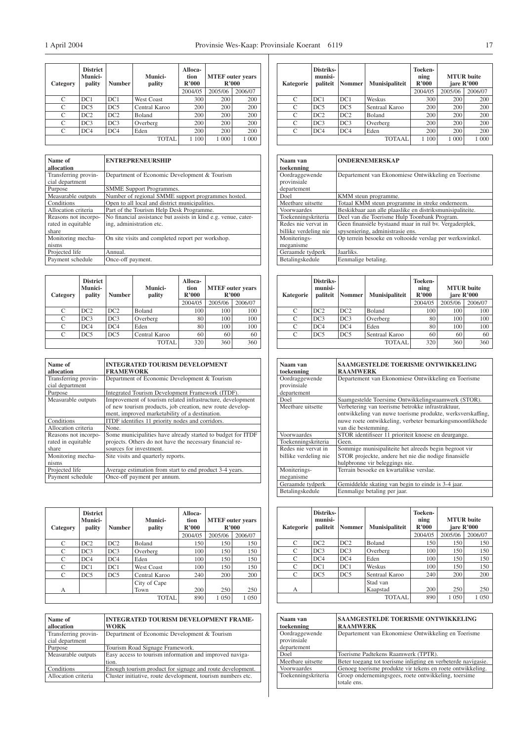| Category      | <b>District</b><br><b>Munici-</b><br>pality | <b>Number</b>   | Munici-<br>pality | Alloca-<br>tion<br>R'000 | <b>MTEF</b> outer years<br>R'000 |         |
|---------------|---------------------------------------------|-----------------|-------------------|--------------------------|----------------------------------|---------|
|               |                                             |                 |                   | 2004/05                  | 2005/06                          | 2006/07 |
| C             | DC1                                         | DC1             | <b>West Coast</b> | 300                      | 200                              | 200     |
| C             | DC <sub>5</sub>                             | DC <sub>5</sub> | Central Karoo     | 200                      | 200                              | 200     |
| C             | DC2                                         | DC2             | Boland            | 200                      | 200                              | 200     |
| C             | DC3                                         | DC3             | Overberg          | 200                      | 200                              | 200     |
| $\mathcal{C}$ | DC <sub>4</sub>                             | DC <sub>4</sub> | Eden              | 200                      | 200                              | 200     |
|               |                                             |                 | TOTAL             | 100                      | 1 000                            | 1 000   |

| Name of              | <b>ENTREPRENEURSHIP</b>                                        |
|----------------------|----------------------------------------------------------------|
| allocation           |                                                                |
| Transferring provin- | Department of Economic Development & Tourism                   |
| cial department      |                                                                |
| Purpose              | <b>SMME</b> Support Programmes.                                |
| Measurable outputs   | Number of regional SMME support programmes hosted.             |
| Conditions           | Open to all local and district municipalities.                 |
| Allocation criteria  | Part of the Tourism Help Desk Programme.                       |
| Reasons not incorpo- | No financial assistance but assists in kind e.g. venue, cater- |
| rated in equitable   | ing, administration etc.                                       |
| share                |                                                                |
| Monitoring mecha-    | On site visits and completed report per workshop.              |
| nisms                |                                                                |
| Projected life       | Annual.                                                        |
| Payment schedule     | Once-off payment.                                              |

| Category | <b>District</b><br>Munici-<br>pality | <b>Number</b> | <b>Munici-</b><br>pality | Alloca-<br>tion<br>R'000 | <b>MTEF</b> outer years<br>R'000 |         |
|----------|--------------------------------------|---------------|--------------------------|--------------------------|----------------------------------|---------|
|          |                                      |               |                          | 2004/05                  | 2005/06                          | 2006/07 |
| C        | DC2                                  | DC2           | Boland                   | 100                      | 100                              | 100     |
| C        | DC3                                  | DC3           | Overberg                 | 80                       | 100                              | 100     |
| C        | DC4                                  | DC4           | Eden                     | 80                       | 100                              | 100     |
| C        | DC5                                  | DC5           | Central Karoo            | 60                       | 60                               | 60      |
|          |                                      |               | <b>TOTAL</b>             | 320                      | 360                              | 360     |

| Name of              | <b>INTEGRATED TOURISM DEVELOPMENT</b>                       |
|----------------------|-------------------------------------------------------------|
| allocation           | <b>FRAMEWORK</b>                                            |
| Transferring provin- | Department of Economic Development & Tourism                |
| cial department      |                                                             |
| Purpose              | Integrated Tourism Development Framework (ITDF).            |
| Measurable outputs   | Improvement of tourism related infrastructure, development  |
|                      | of new tourism products, job creation, new route develop-   |
|                      | ment, improved marketability of a destination.              |
| Conditions           | ITDF identifies 11 priority nodes and corridors.            |
| Allocation criteria  | None.                                                       |
| Reasons not incorpo- | Some municipalities have already started to budget for ITDF |
| rated in equitable   | projects. Others do not have the necessary financial re-    |
| share                | sources for investment.                                     |
| Monitoring mecha-    | Site visits and quarterly reports.                          |
| nisms                |                                                             |
| Projected life       | Average estimation from start to end product 3-4 years.     |
| Payment schedule     | Once-off payment per annum.                                 |

| Category | <b>District</b><br>Munici-<br>pality | <b>Number</b>   | Munici-<br>pality | Alloca-<br>tion<br>R'000<br>2004/05 | <b>MTEF</b> outer years<br>R'000<br>2005/06<br>2006/07 |         |
|----------|--------------------------------------|-----------------|-------------------|-------------------------------------|--------------------------------------------------------|---------|
| C        | DC2                                  | DC2             | <b>Boland</b>     | 150                                 | 150                                                    | 150     |
| C        | DC3                                  | DC3             | Overberg          | 100                                 | 150                                                    | 150     |
| C        | DC4                                  | DC4             | Eden              | 100                                 | 150                                                    | 150     |
| C        | DC1                                  | DC1             | <b>West Coast</b> | 100                                 | 150                                                    | 150     |
| C        | DC5                                  | DC <sub>5</sub> | Central Karoo     | 240                                 | 200                                                    | 200     |
|          |                                      |                 | City of Cape      |                                     |                                                        |         |
| А        |                                      |                 | Town              | 200                                 | 250                                                    | 250     |
|          |                                      |                 | <b>TOTAL</b>      | 890                                 | 1 0 5 0                                                | 1 0 5 0 |

| Name of<br>allocation                   | <b>INTEGRATED TOURISM DEVELOPMENT FRAME-</b><br><b>WORK</b>      |
|-----------------------------------------|------------------------------------------------------------------|
| Transferring provin-<br>cial department | Department of Economic Development & Tourism                     |
| Purpose                                 | Tourism Road Signage Framework.                                  |
| Measurable outputs                      | Easy access to tourism information and improved naviga-<br>tion. |
| Conditions                              | Enough tourism product for signage and route development.        |
| Allocation criteria                     | Cluster initiative, route development, tourism numbers etc.      |

| Kategorie | Distriks-<br>munisi-<br>paliteit | <b>Nommer</b> | <b>Munisipaliteit</b> | Toeken-<br>ning<br>R'000 | jare R'000 | <b>MTUR</b> buite |
|-----------|----------------------------------|---------------|-----------------------|--------------------------|------------|-------------------|
|           |                                  |               |                       | 2004/05                  | 2005/06    | 2006/07           |
| C         | DC1                              | DC1           | Weskus                | 300                      | 200        | 200               |
| C         | DC5                              | DC5           | Sentraal Karoo        | 200                      | 200        | 200               |
| $\Gamma$  | DC2                              | DC2           | Boland                | 200                      | 200        | 200               |
|           | DC3                              | DC3           | Overberg              | 200                      | 200        | 200               |
| $\Gamma$  | DC4                              | DC4           | Eden                  | 200                      | 200        | 200               |
|           |                                  |               | TOTAAL                | 1 100                    | 1 000      | 1 000             |

| Naam van              | <b>ONDERNEMERSKAP</b>                                     |
|-----------------------|-----------------------------------------------------------|
| toekenning            |                                                           |
| Oordraggewende        | Departement van Ekonomiese Ontwikkeling en Toerisme       |
| provinsiale           |                                                           |
| departement           |                                                           |
| Doel                  | KMM steun programme.                                      |
| Meetbare uitsette     | Totaal KMM steun programme in streke onderneem.           |
| Voorwaardes           | Beskikbaar aan alle plaaslike en distriksmunisipaliteite. |
| Toekenningskriteria   | Deel van die Toerisme Hulp Toonbank Program.              |
| Redes nie vervat in   | Geen finansiële bystaand maar in ruil by. Vergaderplek,   |
| billike verdeling nie | spyseniering, administrasie ens.                          |
| Moniterings-          | Op terrein besoeke en voltooide verslag per werkswinkel.  |
| meganisme             |                                                           |
| Geraamde tydperk      | Jaarliks.                                                 |
| Betalingskedule       | Eenmalige betaling.                                       |

| Kategorie | Distriks-<br>munisi-<br>paliteit | Nommer | Munisipaliteit | Toeken-<br>ning<br>R'000<br>2004/05 | <b>MTUR</b> buite<br>jare R'000<br>2005/06 | 2006/07 |
|-----------|----------------------------------|--------|----------------|-------------------------------------|--------------------------------------------|---------|
| C         | DC2                              | DC2    | Boland         | 100                                 | 100                                        | 100     |
| C         | DC3                              | DC3    | Overberg       | 80                                  | 100                                        | 100     |
| C         | DC4                              | DC4    | Eden           | 80                                  | 100                                        | 100     |
| C         | DC5                              | DC5    | Sentraal Karoo | 60                                  | 60                                         | 60      |
|           |                                  |        | <b>TOTAAL</b>  | 320                                 | 360                                        | 360     |

| Naam van<br>toekenning                       | <b>SAAMGESTELDE TOERISME ONTWIKKELING</b><br><b>RAAMWERK</b>                                                                                    |
|----------------------------------------------|-------------------------------------------------------------------------------------------------------------------------------------------------|
| Oordraggewende<br>provinsiale<br>departement | Departement van Ekonomiese Ontwikkeling en Toerisme                                                                                             |
| Doel                                         | Saamgestelde Toersime Ontwikkelingsraamwerk (STOR).                                                                                             |
| Meetbare uitsette                            | Verbetering van toerisme betrokke infrastraktuur,                                                                                               |
|                                              | ontwikkeling van nuwe toerisme produkte, werksverskaffing,<br>nuwe roete ontwikkeling, verbeter bemarkingsmoontlikhede<br>van die bestemming.   |
| Voorwaardes                                  | STOR identifiseer 11 prioriteit knoese en deurgange.                                                                                            |
| Toekenningskriteria                          | Geen.                                                                                                                                           |
| Redes nie vervat in<br>billike verdeling nie | Sommige munisipaliteite het alreeds begin begroot vir<br>STOR projeckte, andere het nie die nodige finansiële<br>hulpbronne vir beleggings nie. |
| Moniterings-                                 | Terrain besoeke en kwartalikse verslae.                                                                                                         |
| meganisme                                    |                                                                                                                                                 |
| Geraamde tydperk                             | Gemiddelde skating van begin to einde is 3-4 jaar.                                                                                              |
| Betalingskedule                              | Eenmalige betaling per jaar.                                                                                                                    |

| Kategorie    | Distriks-<br>munisi-<br>paliteit | <b>Nommer</b> | <b>Munisipaliteit</b> | Toeken-<br>ning<br>R'000 | jare R'000 | <b>MTUR</b> buite |
|--------------|----------------------------------|---------------|-----------------------|--------------------------|------------|-------------------|
|              |                                  |               |                       | 2004/05                  | 2005/06    | 2006/07           |
| C            | DC2                              | DC2           | Boland                | 150                      | 150        | 150               |
| C            | DC3                              | DC3           | Overberg              | 100                      | 150        | 150               |
| C            | DC4                              | DC4           | Eden                  | 100                      | 150        | 150               |
| C            | DC1                              | DC1           | Weskus                | 100                      | 150        | 150               |
| C            | DC5                              | DC5           | Sentraal Karoo        | 240                      | 200        | 200               |
|              |                                  |               | Stad van              |                          |            |                   |
| $\mathsf{A}$ |                                  |               | Kaapstad              | 200                      | 250        | 250               |
|              |                                  |               | <b>TOTAAL</b>         | 890                      | 1 0 5 0    | 1 0 5 0           |

| Naam van<br>toekenning        | <b>SAAMGESTELDE TOERISME ONTWIKKELING</b><br><b>RAAMWERK</b>        |
|-------------------------------|---------------------------------------------------------------------|
| Oordraggewende<br>provinsiale | Departement van Ekonomiese Ontwikkeling en Toerisme                 |
| departement                   |                                                                     |
| Doel                          | Toerisme Padtekens Raamwerk (TPTR).                                 |
| Meetbare uitsette             | Beter toegang tot toerisme inligting en verbeterde navigasie.       |
| Voorwaardes                   | Genoeg toerisme produkte vir tekens en roete ontwikkeling.          |
| Toekenningskriteria           | Groep ondernemingsgees, roete ontwikkeling, toersime<br>totale ens. |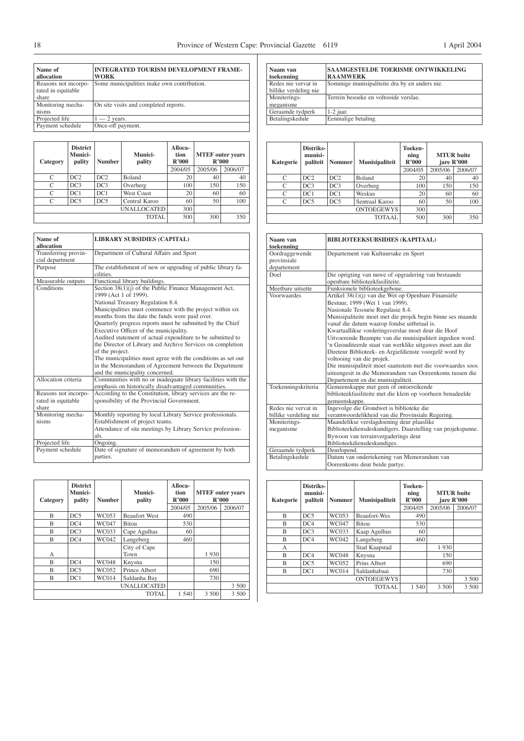| Name of<br>allocation                               | <b>INTEGRATED TOURISM DEVELOPMENT FRAME-</b><br><b>WORK</b> |
|-----------------------------------------------------|-------------------------------------------------------------|
| Reasons not incorpo-<br>rated in equitable<br>share | Some municipalities make own contribution.                  |
| Monitoring mecha-<br>nisms                          | On site visits and completed reports.                       |
| Projected life                                      | $-2$ years.                                                 |
| Payment schedule                                    | Once-off payment.                                           |

| Category           | <b>District</b><br>Munici-<br>pality | <b>Number</b> | Munici-<br>pality | Alloca-<br>tion<br>R'000 | <b>MTEF</b> outer years<br>R'000 |         |
|--------------------|--------------------------------------|---------------|-------------------|--------------------------|----------------------------------|---------|
|                    |                                      |               |                   | 2004/05                  | 2005/06                          | 2006/07 |
| С                  | DC2                                  | DC2           | Boland            | 20                       | 40                               | 40      |
| C                  | DC3                                  | DC3           | Overberg          | 100                      | 150                              | 150     |
| $\mathcal{C}$      | DC1                                  | DC1           | West Coast        | 20                       | 60                               | 60      |
| С                  | DC5                                  | DC5           | Central Karoo     | 60                       | 50                               | 100     |
| <b>UNALLOCATED</b> |                                      |               |                   | 300                      |                                  |         |
|                    |                                      |               | TOTAL             | 500                      | 300                              | 350     |

| Name of<br>allocation                   | <b>LIBRARY SUBSIDIES (CAPITAL)</b>                                                                                       |  |  |  |  |
|-----------------------------------------|--------------------------------------------------------------------------------------------------------------------------|--|--|--|--|
| Transferring provin-<br>cial department | Department of Cultural Affairs and Sport                                                                                 |  |  |  |  |
| Purpose                                 | The establishment of new or upgrading of public library fa-<br>cilities.                                                 |  |  |  |  |
| Measurable outputs                      | Functional library buildings.                                                                                            |  |  |  |  |
| Conditions                              | Section 38(1)(j) of the Public Finance Management Act,<br>1999 (Act 1 of 1999).                                          |  |  |  |  |
|                                         | National Treasury Regulation 8.4.                                                                                        |  |  |  |  |
|                                         | Municipalities must commence with the project within six<br>months from the date the funds were paid over.               |  |  |  |  |
|                                         | Quarterly progress reports must be submitted by the Chief<br>Executive Officer of the municipality.                      |  |  |  |  |
|                                         | Audited statement of actual expenditure to be submitted to<br>the Director of Library and Archive Services on completion |  |  |  |  |
|                                         | of the project.                                                                                                          |  |  |  |  |
|                                         | The municipalities must agree with the conditions as set out                                                             |  |  |  |  |
|                                         | in the Memorandum of Agreement between the Department<br>and the municipality concerned.                                 |  |  |  |  |
| Allocation criteria                     | Communities with no or inadequate library facilities with the<br>emphasis on historically disadvantaged communities.     |  |  |  |  |
| Reasons not incorpo-                    | According to the Constitution, library services are the re-                                                              |  |  |  |  |
| rated in equitable                      | sponsibility of the Provincial Government.                                                                               |  |  |  |  |
| share                                   |                                                                                                                          |  |  |  |  |
| Monitoring mecha-                       | Monthly reporting by local Library Service professionals.                                                                |  |  |  |  |
| nisms                                   | Establishment of project teams.                                                                                          |  |  |  |  |
|                                         | Attendance of site meetings by Library Service profession-                                                               |  |  |  |  |
|                                         | als.                                                                                                                     |  |  |  |  |
| Projected life                          | Ongoing.                                                                                                                 |  |  |  |  |
| Payment schedule                        | Date of signature of memorandum of agreement by both                                                                     |  |  |  |  |
|                                         | parties.                                                                                                                 |  |  |  |  |

| Category                | <b>District</b><br>Munici-<br>pality | <b>Number</b> | Munici-<br>pality    | Alloca-<br>tion<br>R'000<br>2004/05 | <b>MTEF</b> outer years<br>R'000<br>2005/06<br>2006/07 |       |
|-------------------------|--------------------------------------|---------------|----------------------|-------------------------------------|--------------------------------------------------------|-------|
| B                       | DC5                                  | WC053         | <b>Beaufort West</b> | 490                                 |                                                        |       |
| B                       | DC4                                  | <b>WC047</b>  | <b>Bitou</b>         | 530                                 |                                                        |       |
| B                       | DC3                                  | WC033         | Cape Agulhas         | 60                                  |                                                        |       |
| B                       | DC4                                  | WC042         | Langeberg            | 460                                 |                                                        |       |
| А                       |                                      |               | City of Cape<br>Town |                                     | 1930                                                   |       |
| B                       | DC4                                  | <b>WC048</b>  | Knysna               |                                     | 150                                                    |       |
| $\overline{\mathbf{B}}$ | DC5                                  | WC052         | Prince Albert        |                                     | 690                                                    |       |
| B                       | DC1                                  | <b>WC014</b>  | Saldanha Bay         |                                     | 730                                                    |       |
|                         |                                      |               | <b>UNALLOCATED</b>   |                                     |                                                        | 3 500 |
|                         |                                      |               | <b>TOTAL</b>         | 1 540                               | 3 500                                                  | 3 500 |

| Naam van<br>toekenning                | <b>SAAMGESTELDE TOERISME ONTWIKKELING</b><br><b>RAAMWERK</b> |
|---------------------------------------|--------------------------------------------------------------|
| Redes nie vervat in                   | Sommige munisipaliteite dra by en anders nie.                |
| billike verdeling nie<br>Moniterings- | Terrein besoeke en voltooide verslae.                        |
| meganisme                             |                                                              |
| Geraamde tydperk                      | $1-2$ jaar.                                                  |
| Betalingskedule                       | Eenmalige betaling.                                          |
|                                       |                                                              |

| Kategorie | Distriks-<br>munisi-<br>paliteit | <b>Nommer</b> | <b>Munisipaliteit</b> | Toeken-<br>ning<br>R'000 | <b>MTUR</b> buite<br>jare R'000 |         |
|-----------|----------------------------------|---------------|-----------------------|--------------------------|---------------------------------|---------|
|           |                                  |               |                       | 2004/05                  | 2005/06                         | 2006/07 |
| C         | DC2                              | DC2           | Boland                | 20                       | 40                              | 40      |
| C         | DC3                              | DC3           | Overberg              | 100                      | 150                             | 150     |
| C         | DC1                              | DC1           | Weskus                | 20                       | 60                              | 60      |
| C         | DC5                              | DC5           | Sentraal Karoo        | 60                       | 50                              | 100     |
|           |                                  |               | <b>ONTOEGEWYS</b>     | 300                      |                                 |         |
|           |                                  |               | TOTAAL                | 500                      | 300                             | 350     |

| Naam van<br>toekenning                       | <b>BIBLIOTEEKSUBSIDIES (KAPITAAL)</b>                                                                                                                                                                                                                                                                                                                                                                                                                                                                                                                                                                                                                                        |
|----------------------------------------------|------------------------------------------------------------------------------------------------------------------------------------------------------------------------------------------------------------------------------------------------------------------------------------------------------------------------------------------------------------------------------------------------------------------------------------------------------------------------------------------------------------------------------------------------------------------------------------------------------------------------------------------------------------------------------|
| Oordraggewende<br>provinsiale<br>departement | Departement van Kultuursake en Sport                                                                                                                                                                                                                                                                                                                                                                                                                                                                                                                                                                                                                                         |
| Doel                                         | Die oprigting van nuwe of opgradering van bestaande<br>openbare biblioteekfasiliteite.                                                                                                                                                                                                                                                                                                                                                                                                                                                                                                                                                                                       |
| Meetbare uitsette                            | Funksionele biblioteekgeboue.                                                                                                                                                                                                                                                                                                                                                                                                                                                                                                                                                                                                                                                |
| Voorwaardes                                  | Artikel 38(1)(j) van die Wet op Openbare Finansiële<br>Bestuur, 1999 (Wet 1 van 1999).<br>Nasionale Tesourie Regulasie 8.4.<br>Munisipaliteite moet met die projek begin binne ses maande<br>vanaf die datum waarop fondse uitbetaal is.<br>Kwartaallikse vorderingsverslae moet deur die Hoof<br>Uitvoerende Beampte van die munisipaliteit ingedien word.<br>'n Geouditeerde staat van werklike uitgawes moet aan die<br>Direteur Biblioteek- en Argiefdienste voorgelê word by<br>voltooing van die projek.<br>Die munisipaliteit moet saamstem met die voorwaardes soos<br>uiteengesit in die Memorandum van Ooreenkoms tussen die<br>Departement en die munisipaliteit. |
| Toekenningskriteria                          | Gemeenskappe met geen of ontoereikende<br>biblioteekfasiliteite met die klem op voorheen benadeelde<br>gemeenskappe.                                                                                                                                                                                                                                                                                                                                                                                                                                                                                                                                                         |
| Redes nie vervat in<br>billike verdeling nie | Ingevolge die Grondwet is biblioteke die<br>verantwoordelikheid van die Provinsiale Regering.                                                                                                                                                                                                                                                                                                                                                                                                                                                                                                                                                                                |
| Moniterings-                                 | Maandelikse verslagdoening deur plaaslike                                                                                                                                                                                                                                                                                                                                                                                                                                                                                                                                                                                                                                    |
| meganisme                                    | Biblioteekdiensdeskundigers. Daarstelling van projekspanne.<br>Bywoon van terrainvergaderings deur<br>Biblioteekdiensdeskundiges.                                                                                                                                                                                                                                                                                                                                                                                                                                                                                                                                            |
| Geraamde tydperk                             | Deurlopend.                                                                                                                                                                                                                                                                                                                                                                                                                                                                                                                                                                                                                                                                  |
| Betalingskedule                              | Datum van ondertekening van Memorandum van<br>Ooreenkoms deur beide partye.                                                                                                                                                                                                                                                                                                                                                                                                                                                                                                                                                                                                  |

| Kategorie | Distriks-<br>munisi-<br>paliteit | <b>Nommer</b> | Munisipaliteit      | Toeken-<br>ning<br>R'000 | <b>MTUR</b> buite<br>jare R'000 |         |
|-----------|----------------------------------|---------------|---------------------|--------------------------|---------------------------------|---------|
|           |                                  |               |                     | 2004/05                  | 2005/06                         | 2006/07 |
| B         | DC5                              | WC053         | <b>Beaufort-Wes</b> | 490                      |                                 |         |
| B         | DC4                              | WC047         | <b>Bitou</b>        | 530                      |                                 |         |
| B         | DC3                              | WC033         | Kaap Agulhus        | 60                       |                                 |         |
| B         | DC4                              | WC042         | Langeberg           | 460                      |                                 |         |
| A         |                                  |               | Stad Kaapstad       |                          | 1930                            |         |
| B         | DC4                              | <b>WC048</b>  | Knysna              |                          | 150                             |         |
| R         | DC5                              | WC052         | Prins Albert        |                          | 690                             |         |
| B         | DC1                              | <b>WC014</b>  | Saldanhabaai        |                          | 730                             |         |
|           |                                  |               | <b>ONTOEGEWYS</b>   |                          |                                 | 3 500   |
|           |                                  |               | <b>TOTAAL</b>       | 1 540                    | 3 500                           | 3 500   |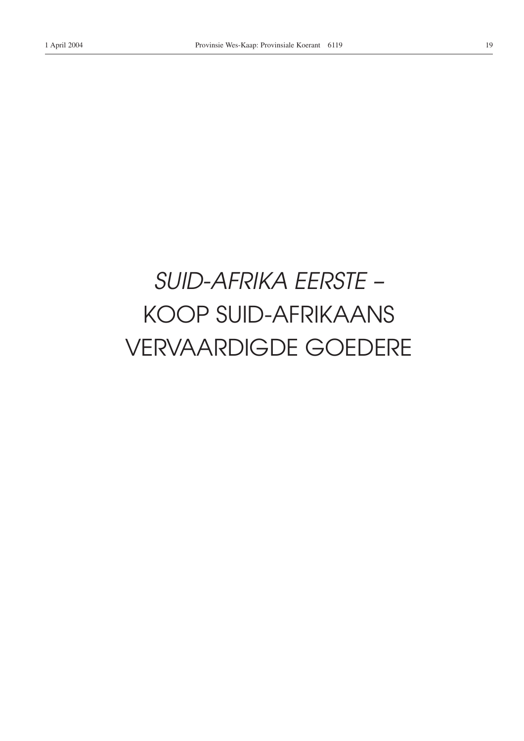# *SUID-AFRIKA EERSTE –* KOOP SUID-AFRIKAANS VERVAARDIGDE GOEDERE